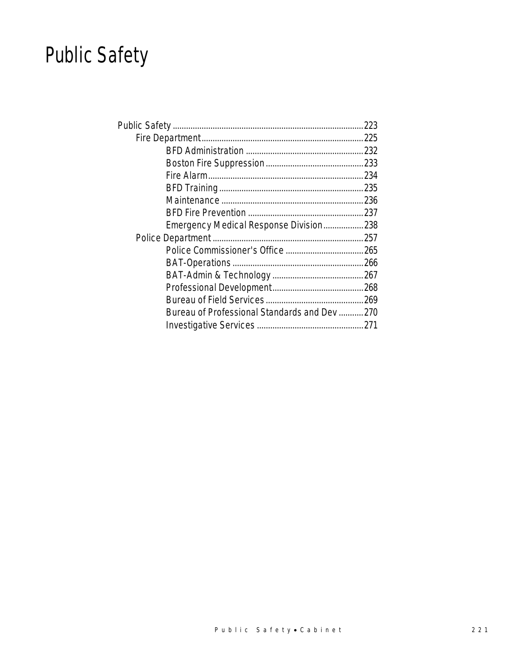## Public Safety

| Emergency Medical Response Division238      |  |
|---------------------------------------------|--|
|                                             |  |
|                                             |  |
|                                             |  |
|                                             |  |
|                                             |  |
|                                             |  |
| Bureau of Professional Standards and Dev270 |  |
|                                             |  |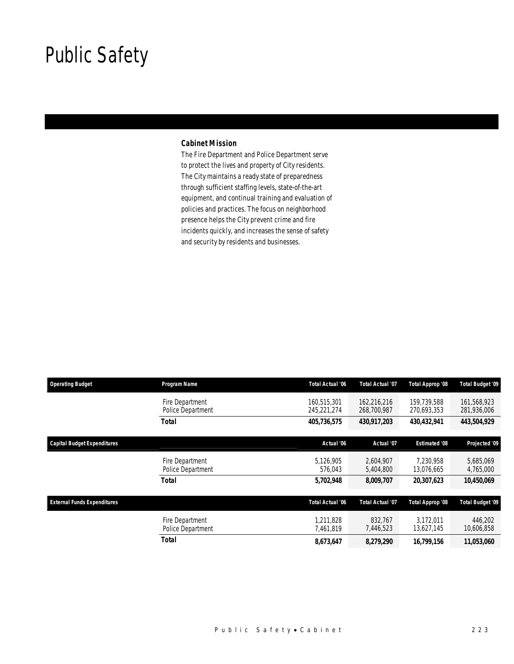## Public Safety

### *Cabinet Mission*

The Fire Department and Police Department serve to protect the lives and property of City residents. The City maintains a ready state of preparedness through sufficient staffing levels, state-of-the-art equipment, and continual training and evaluation of policies and practices. The focus on neighborhood presence helps the City prevent crime and fire incidents quickly, and increases the sense of safety and security by residents and businesses.

| <b>Operating Budget</b>            | Program Name                         | <b>Total Actual '06</b>    | <b>Total Actual '07</b>    | Total Approp '08           | Total Budget '09           |
|------------------------------------|--------------------------------------|----------------------------|----------------------------|----------------------------|----------------------------|
|                                    | Fire Department<br>Police Department | 160.515.301<br>245,221,274 | 162.216.216<br>268,700,987 | 159.739.588<br>270,693,353 | 161.568.923<br>281,936,006 |
|                                    | Total                                | 405,736,575                | 430,917,203                | 430,432,941                | 443,504,929                |
| <b>Capital Budget Expenditures</b> |                                      | Actual '06                 | Actual '07                 | <b>Estimated '08</b>       | Projected '09              |
|                                    | Fire Department<br>Police Department | 5.126.905<br>576,043       | 2,604,907<br>5,404,800     | 7.230.958<br>13,076,665    | 5,685,069<br>4,765,000     |
|                                    | <b>Total</b>                         | 5,702,948                  | 8,009,707                  | 20,307,623                 | 10,450,069                 |
| <b>External Funds Expenditures</b> |                                      | Total Actual '06           | <b>Total Actual '07</b>    | Total Approp '08           | <b>Total Budget '09</b>    |
|                                    | Fire Department<br>Police Department | 1.211.828<br>7,461,819     | 832.767<br>7,446,523       | 3.172.011<br>13,627,145    | 446,202<br>10,606,858      |
|                                    | <b>Total</b>                         | 8,673,647                  | 8,279,290                  | 16,799,156                 | 11,053,060                 |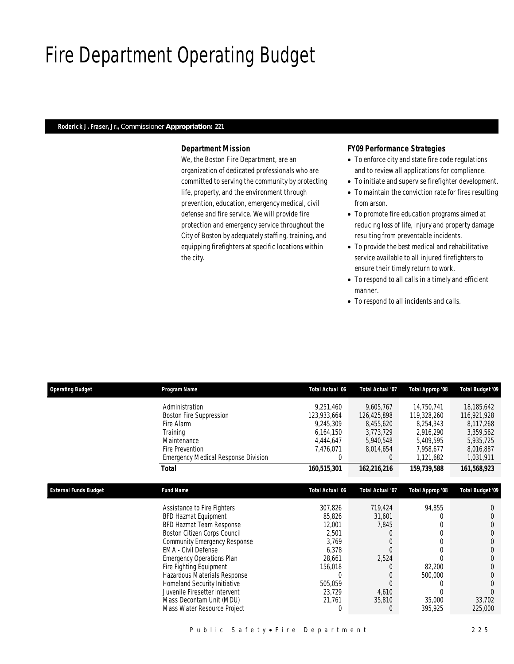## Fire Department Operating Budget

#### *Roderick J. Fraser, Jr., Commissioner Appropriation: 221*

### *Department Mission*

We, the Boston Fire Department, are an organization of dedicated professionals who are committed to serving the community by protecting life, property, and the environment through prevention, education, emergency medical, civil defense and fire service. We will provide fire protection and emergency service throughout the City of Boston by adequately staffing, training, and equipping firefighters at specific locations within the city.

#### *FY09 Performance Strategies*

- To enforce city and state fire code regulations and to review all applications for compliance.
- To initiate and supervise firefighter development.
- To maintain the conviction rate for fires resulting from arson.
- To promote fire education programs aimed at reducing loss of life, injury and property damage resulting from preventable incidents.
- To provide the best medical and rehabilitative service available to all injured firefighters to ensure their timely return to work.
- To respond to all calls in a timely and efficient manner.
- To respond to all incidents and calls.

| <b>Operating Budget</b>      | Program Name                               | <b>Total Actual '06</b> | <b>Total Actual '07</b> | Total Approp '08 | Total Budget '09        |
|------------------------------|--------------------------------------------|-------------------------|-------------------------|------------------|-------------------------|
|                              | Administration                             | 9,251,460               | 9,605,767               | 14,750,741       | 18,185,642              |
|                              | <b>Boston Fire Suppression</b>             | 123,933,664             | 126,425,898             | 119,328,260      | 116,921,928             |
|                              | Fire Alarm                                 | 9,245,309               | 8,455,620               | 8,254,343        | 8,117,268               |
|                              | Training                                   | 6,164,150               | 3,773,729               | 2,916,290        | 3,359,562               |
|                              | Maintenance                                | 4,444,647               | 5,940,548               | 5,409,595        | 5,935,725               |
|                              | Fire Prevention                            | 7,476,071               | 8,014,654               | 7,958,677        | 8,016,887               |
|                              | <b>Emergency Medical Response Division</b> |                         | $\Omega$                | 1,121,682        | 1,031,911               |
|                              | Total                                      | 160,515,301             | 162,216,216             | 159,739,588      | 161,568,923             |
|                              |                                            |                         |                         |                  |                         |
| <b>External Funds Budget</b> | <b>Fund Name</b>                           | <b>Total Actual '06</b> | <b>Total Actual '07</b> | Total Approp '08 | <b>Total Budget '09</b> |
|                              | Assistance to Fire Fighters                | 307,826                 | 719,424                 | 94,855           |                         |
|                              | BFD Hazmat Equipment                       | 85,826                  | 31,601                  |                  |                         |
|                              | BFD Hazmat Team Response                   | 12,001                  | 7,845                   |                  |                         |
|                              | Boston Citizen Corps Council               | 2,501                   |                         |                  |                         |
|                              | Community Emergency Response               | 3,769                   | 0                       |                  | 0                       |
|                              | EMA - Civil Defense                        | 6,378                   |                         |                  |                         |
|                              | <b>Emergency Operations Plan</b>           | 28,661                  | 2,524                   |                  | 0                       |
|                              | Fire Fighting Equipment                    | 156,018                 |                         | 82,200           |                         |
|                              | Hazardous Materials Response               |                         | 0                       | 500,000          |                         |
|                              | Homeland Security Initiative               | 505,059                 | $\Omega$                |                  | 0                       |
|                              | Juvenile Firesetter Intervent              | 23,729                  | 4,610                   |                  |                         |
|                              | Mass Decontam Unit (MDU)                   | 21,761                  | 35,810                  | 35,000           | 33,702                  |
|                              | Mass Water Resource Project                |                         |                         | 395,925          | 225,000                 |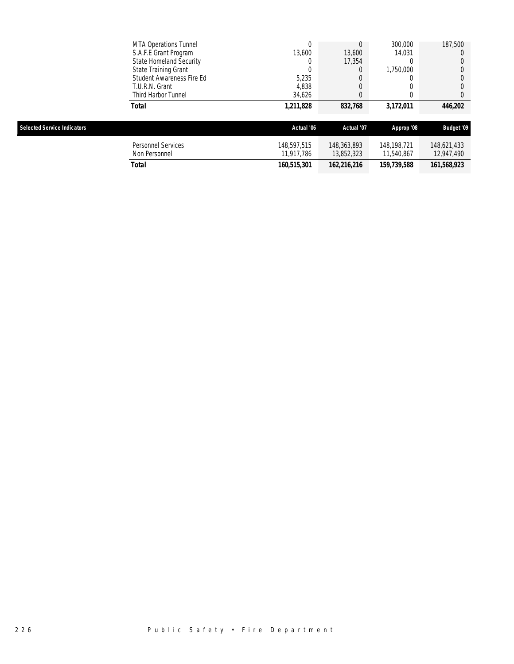|                                    | <b>MTA Operations Tunnel</b> | 0           |             | 300,000     | 187,500           |
|------------------------------------|------------------------------|-------------|-------------|-------------|-------------------|
|                                    | S.A.F.E Grant Program        | 13,600      | 13,600      | 14,031      |                   |
|                                    | State Homeland Security      | 0           | 17,354      |             |                   |
|                                    | State Training Grant         | 0           |             | 1,750,000   |                   |
|                                    | Student Awareness Fire Ed    | 5,235       |             |             |                   |
|                                    | T.U.R.N. Grant               | 4,838       |             |             |                   |
|                                    | Third Harbor Tunnel          | 34.626      |             |             |                   |
|                                    | Total                        | 1,211,828   | 832,768     | 3,172,011   | 446,202           |
| <b>Selected Service Indicators</b> |                              | Actual '06  | Actual '07  | Approp '08  | <b>Budget '09</b> |
|                                    | <b>Personnel Services</b>    | 148.597.515 | 148,363,893 | 148.198.721 | 148,621,433       |
|                                    |                              |             |             |             |                   |
|                                    | Non Personnel                | 11,917,786  | 13,852,323  | 11,540,867  | 12,947,490        |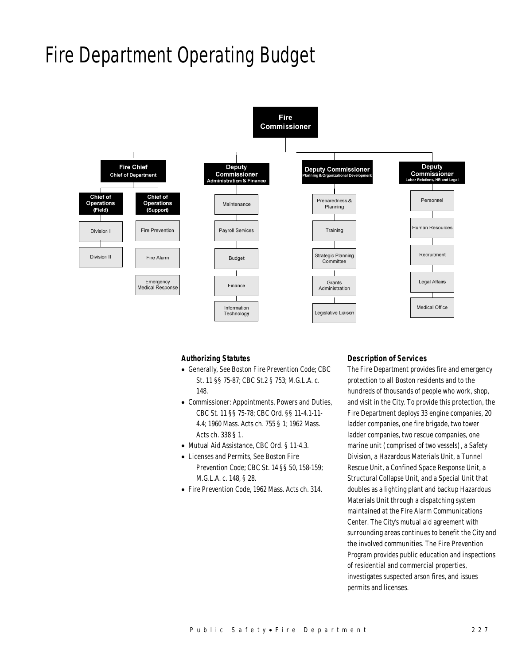## Fire Department Operating Budget



### *Authorizing Statutes*

- Generally, See Boston Fire Prevention Code; CBC St. 11 §§ 75-87; CBC St.2 § 753; M.G.L.A. c. 148.
- Commissioner: Appointments, Powers and Duties, CBC St. 11 §§ 75-78; CBC Ord. §§ 11-4.1-11- 4.4; 1960 Mass. Acts ch. 755 § 1; 1962 Mass. Acts ch. 338 § 1.
- Mutual Aid Assistance, CBC Ord. § 11-4.3.
- Licenses and Permits, See Boston Fire Prevention Code; CBC St. 14 §§ 50, 158-159; M.G.L.A. c. 148, § 28.
- Fire Prevention Code, 1962 Mass. Acts ch. 314.

### *Description of Services*

The Fire Department provides fire and emergency protection to all Boston residents and to the hundreds of thousands of people who work, shop, and visit in the City. To provide this protection, the Fire Department deploys 33 engine companies, 20 ladder companies, one fire brigade, two tower ladder companies, two rescue companies, one marine unit (comprised of two vessels), a Safety Division, a Hazardous Materials Unit, a Tunnel Rescue Unit, a Confined Space Response Unit, a Structural Collapse Unit, and a Special Unit that doubles as a lighting plant and backup Hazardous Materials Unit through a dispatching system maintained at the Fire Alarm Communications Center. The City's mutual aid agreement with surrounding areas continues to benefit the City and the involved communities. The Fire Prevention Program provides public education and inspections of residential and commercial properties, investigates suspected arson fires, and issues permits and licenses.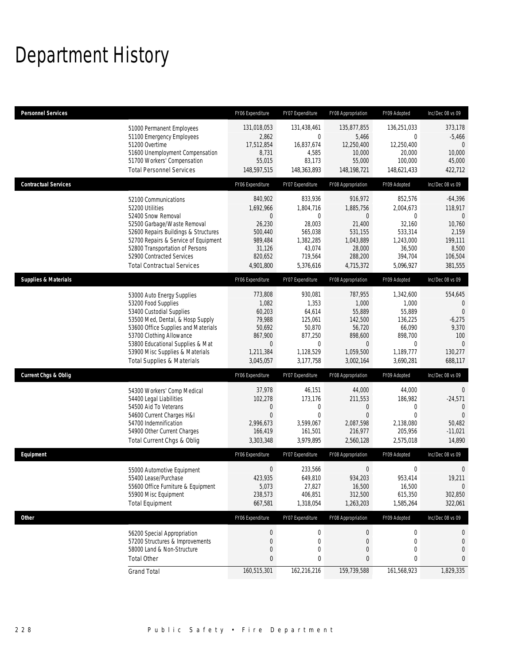# Department History

| <b>Personnel Services</b>       |                                                                                                                                                                                                                                                                                                      | FY06 Expenditure                                                                                   | FY07 Expenditure                                                                                        | FY08 Appropriation                                                                                         | FY09 Adopted                                                                                           | Inc/Dec 08 vs 09                                                                                            |
|---------------------------------|------------------------------------------------------------------------------------------------------------------------------------------------------------------------------------------------------------------------------------------------------------------------------------------------------|----------------------------------------------------------------------------------------------------|---------------------------------------------------------------------------------------------------------|------------------------------------------------------------------------------------------------------------|--------------------------------------------------------------------------------------------------------|-------------------------------------------------------------------------------------------------------------|
|                                 | 51000 Permanent Employees<br>51100 Emergency Employees<br>51200 Overtime<br>51600 Unemployment Compensation<br>51700 Workers' Compensation<br><b>Total Personnel Services</b>                                                                                                                        | 131,018,053<br>2,862<br>17,512,854<br>8,731<br>55,015<br>148,597,515                               | 131,438,461<br>$\mathbf 0$<br>16,837,674<br>4,585<br>83,173<br>148,363,893                              | 135,877,855<br>5,466<br>12,250,400<br>10,000<br>55,000<br>148, 198, 721                                    | 136,251,033<br>$\mathbf{0}$<br>12,250,400<br>20,000<br>100,000<br>148,621,433                          | 373,178<br>$-5,466$<br>$\mathbf{0}$<br>10,000<br>45,000<br>422,712                                          |
| <b>Contractual Services</b>     |                                                                                                                                                                                                                                                                                                      | FY06 Expenditure                                                                                   | FY07 Expenditure                                                                                        | FY08 Appropriation                                                                                         | FY09 Adopted                                                                                           | Inc/Dec 08 vs 09                                                                                            |
|                                 | 52100 Communications<br>52200 Utilities<br>52400 Snow Removal<br>52500 Garbage/Waste Removal<br>52600 Repairs Buildings & Structures<br>52700 Repairs & Service of Equipment<br>52800 Transportation of Persons<br>52900 Contracted Services<br><b>Total Contractual Services</b>                    | 840,902<br>1,692,966<br>0<br>26,230<br>500,440<br>989,484<br>31,126<br>820,652<br>4,901,800        | 833,936<br>1,804,716<br>$\mathbf 0$<br>28,003<br>565,038<br>1,382,285<br>43,074<br>719,564<br>5,376,616 | 916,972<br>1,885,756<br>$\overline{0}$<br>21,400<br>531,155<br>1,043,889<br>28,000<br>288,200<br>4,715,372 | 852,576<br>2,004,673<br>0<br>32,160<br>533,314<br>1,243,000<br>36,500<br>394,704<br>5,096,927          | $-64,396$<br>118,917<br>$\mathbf{0}$<br>10,760<br>2,159<br>199,111<br>8,500<br>106,504<br>381,555           |
| <b>Supplies &amp; Materials</b> |                                                                                                                                                                                                                                                                                                      | FY06 Expenditure                                                                                   | FY07 Expenditure                                                                                        | FY08 Appropriation                                                                                         | FY09 Adopted                                                                                           | Inc/Dec 08 vs 09                                                                                            |
|                                 | 53000 Auto Energy Supplies<br>53200 Food Supplies<br>53400 Custodial Supplies<br>53500 Med, Dental, & Hosp Supply<br>53600 Office Supplies and Materials<br>53700 Clothing Allowance<br>53800 Educational Supplies & Mat<br>53900 Misc Supplies & Materials<br><b>Total Supplies &amp; Materials</b> | 773,808<br>1,082<br>60,203<br>79,988<br>50,692<br>867,900<br>$\mathbf 0$<br>1,211,384<br>3,045,057 | 930,081<br>1,353<br>64,614<br>125,061<br>50,870<br>877,250<br>$\mathbf 0$<br>1,128,529<br>3,177,758     | 787,955<br>1,000<br>55,889<br>142,500<br>56,720<br>898,600<br>$\overline{0}$<br>1,059,500<br>3,002,164     | 1,342,600<br>1,000<br>55,889<br>136,225<br>66,090<br>898,700<br>$\mathbf{0}$<br>1,189,777<br>3,690,281 | 554,645<br>$\boldsymbol{0}$<br>$\theta$<br>$-6,275$<br>9,370<br>100<br>$\overline{0}$<br>130,277<br>688,117 |
| <b>Current Chgs &amp; Oblig</b> |                                                                                                                                                                                                                                                                                                      | FY06 Expenditure                                                                                   | FY07 Expenditure                                                                                        | FY08 Appropriation                                                                                         | FY09 Adopted                                                                                           | Inc/Dec 08 vs 09                                                                                            |
|                                 | 54300 Workers' Comp Medical<br>54400 Legal Liabilities<br>54500 Aid To Veterans<br>54600 Current Charges H&I<br>54700 Indemnification<br>54900 Other Current Charges<br>Total Current Chgs & Oblig                                                                                                   | 37,978<br>102,278<br>$\mathbf 0$<br>$\mathbf{0}$<br>2,996,673<br>166,419<br>3,303,348              | 46,151<br>173,176<br>0<br>$\mathbf 0$<br>3,599,067<br>161,501<br>3,979,895                              | 44,000<br>211,553<br>0<br>$\overline{0}$<br>2,087,598<br>216,977<br>2,560,128                              | 44,000<br>186,982<br>0<br>$\Omega$<br>2,138,080<br>205,956<br>2,575,018                                | $\mathbf 0$<br>$-24,571$<br>$\mathbf{0}$<br>$\Omega$<br>50,482<br>$-11,021$<br>14,890                       |
| Equipment                       |                                                                                                                                                                                                                                                                                                      | FY06 Expenditure                                                                                   | FY07 Expenditure                                                                                        | FY08 Appropriation                                                                                         | FY09 Adopted                                                                                           | Inc/Dec 08 vs 09                                                                                            |
|                                 | 55000 Automotive Equipment<br>55400 Lease/Purchase<br>55600 Office Furniture & Equipment<br>55900 Misc Equipment<br><b>Total Equipment</b>                                                                                                                                                           | 0<br>423,935<br>5,073<br>238,573<br>667,581                                                        | 233,566<br>649,810<br>27,827<br>406,851<br>1,318,054                                                    | 0<br>934.203<br>16,500<br>312,500<br>1,263,203                                                             | 0<br>953,414<br>16,500<br>615,350<br>1,585,264                                                         | $\boldsymbol{0}$<br>19,211<br>$\mathbf 0$<br>302,850<br>322,061                                             |
| Other                           |                                                                                                                                                                                                                                                                                                      | FY06 Expenditure                                                                                   | FY07 Expenditure                                                                                        | FY08 Appropriation                                                                                         | FY09 Adopted                                                                                           | Inc/Dec 08 vs 09                                                                                            |
|                                 | 56200 Special Appropriation<br>57200 Structures & Improvements<br>58000 Land & Non-Structure<br><b>Total Other</b>                                                                                                                                                                                   | $\boldsymbol{0}$<br>$\boldsymbol{0}$<br>0<br>0                                                     | 0<br>$\boldsymbol{0}$<br>0<br>0                                                                         | 0<br>0<br>$\boldsymbol{0}$<br>$\pmb{0}$                                                                    | $\mathbf 0$<br>0<br>0<br>0                                                                             | 0<br>$\mathbf 0$<br>$\boldsymbol{0}$<br>0                                                                   |
|                                 | <b>Grand Total</b>                                                                                                                                                                                                                                                                                   | 160,515,301                                                                                        | 162,216,216                                                                                             | 159,739,588                                                                                                | 161,568,923                                                                                            | 1,829,335                                                                                                   |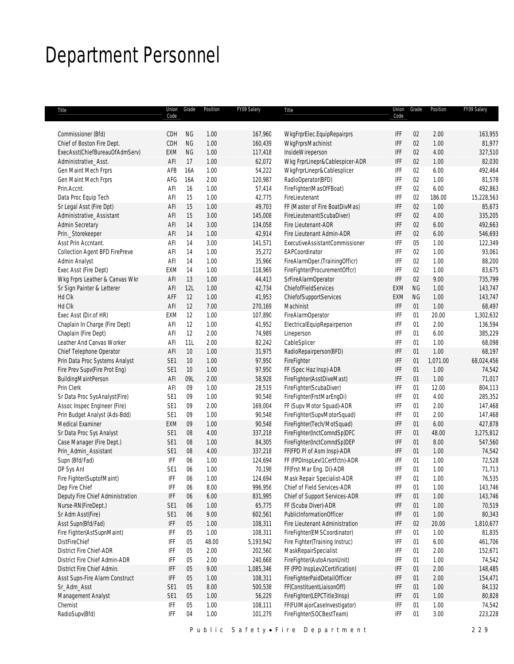## Department Personnel

|                                                   | Code                   |           |              |                  |                                |            |           |              |                    |
|---------------------------------------------------|------------------------|-----------|--------------|------------------|--------------------------------|------------|-----------|--------------|--------------------|
|                                                   |                        |           |              |                  |                                | Code       |           |              |                    |
| Commissioner (Bfd)                                | CDH                    | <b>NG</b> | 1.00         | 167,960          | WkgFrprElec.EquipRepairprs     | IFF        | 02        | 2.00         | 163,955            |
| Chief of Boston Fire Dept.                        | CDH                    | <b>NG</b> | 1.00         | 160,439          | WkgFrprsMachinist              | IFF        | 02        | 1.00         | 81,977             |
| ExecAsst(ChiefBureauOfAdmServ)                    | EXM                    | <b>NG</b> | 1.00         | 117,418          | InsideWireperson               | IFF        | 02        | 4.00         | 327,510            |
| Administrative_Asst.                              | AFI                    | 17        | 1.00         | 62,072           | Wkg FrprLinepr&Cablespicer-ADR | IFF        | 02        | 1.00         | 82,030             |
| Gen Maint Mech Frprs                              | AFB                    | 16A       | 1.00         | 54,222           | WkgFrprLinepr&Cablesplicer     | IFF        | 02        | 6.00         | 492,464            |
| Gen Maint Mech Frprs                              | AFG                    | 16A       | 2.00         | 120,987          | RadioOperator(BFD)             | IFF        | 02        | 1.00         | 81,578             |
| Prin.Accnt.                                       | AFI                    | 16        | 1.00         | 57,414           | FireFighter(MasOfFBoat)        | IFF        | 02        | 6.00         | 492,863            |
| Data Proc Equip Tech                              | AFI                    | 15        | 1.00         | 42,775           | FireLieutenant                 | IFF        | 02        | 186.00       | 15,228,563         |
| Sr Legal Asst (Fire Dpt)                          | AFI                    | 15        | 1.00         | 49,703           | FF (Master of Fire BoatDivMas) | IFF        | 02        | 1.00         | 85,673             |
| Administrative Assistant                          | AFI                    | 15        | 3.00         | 145,008          | FireLieutenant(ScubaDiver)     | IFF        | 02        | 4.00         | 335,205            |
| <b>Admin Secretary</b>                            | AFI                    | 14        | 3.00         | 134,058          | Fire Lieutenant-ADR            | IFF        | 02        | 6.00         | 492,663            |
| Prin._Storekeeper                                 | AFI                    | 14        | 1.00         | 42,914           | Fire Lieutenant Admin-ADR      | IFF        | 02        | 6.00         | 546,693            |
| Asst Prin Accntant.                               | AFI                    | 14        | 3.00         | 141,571          | ExecutiveAssistantCommissioner | IFF        | 05        | 1.00         | 122,349            |
| Collection Agent BFD FirePreve                    | AFI                    | 14        | 1.00         | 35,272           | EAPCoordinator                 | IFF        | 02        | 1.00         | 93,061             |
| Admin Analyst                                     | AFI                    | 14        | 1.00         | 35,966           | FireAlarmOper.(TrainingOfficr) | IFF        | 02        | 1.00         | 88,200             |
| Exec Asst (Fire Dept)                             | EXM                    | 14        | 1.00         | 118,969          | FireFighter(ProcurementOffcr)  | IFF        | 02        | 1.00         | 83,675             |
| Wkg Frprs Leather & Canvas Wkr                    | AFI                    | 13        | 1.00         | 44,413           | SrFireAlarmOperator            | IFF        | 02        | 9.00         | 735,799            |
| Sr Sign Painter & Letterer                        | AFI                    | 12L       | 1.00         | 42,734           | ChiefofFieldServices           | EXM        | <b>NG</b> | 1.00         | 143,747            |
| Hd Clk                                            | AFF                    | 12        | 1.00         | 41,953           | ChiefofSupportServices         | EXM        | <b>NG</b> | 1.00         | 143,747            |
| Hd Clk                                            | AFI                    | 12        | 7.00         | 270,169          | Machinist                      | IFF        | 01        | 1.00         | 68,497             |
| Exec Asst (Dir.of HR)                             | EXM                    | 12        | 1.00         | 107,890          | FireAlarmOperator              | IFF        | 01        | 20.00        | 1,302,632          |
| Chaplain In Charge (Fire Dept)                    | AFI                    | 12        | 1.00         | 41,952           | ElectricalEquipRepairperson    | IFF        | 01        | 2.00         | 136,594            |
| Chaplain (Fire Dept)                              | AFI                    | 12        | 2.00         | 74,989           | Lineperson                     | IFF        | 01        | 6.00         | 385,229            |
| Leather And Canvas Worker                         | AFI                    | 11L       | 2.00         | 82,242           | CableSplicer                   | IFF        | 01        | 1.00         | 68,098             |
| Chief Telephone Operator                          | AFI                    | 10        | 1.00         | 31,975           | RadioRepairperson(BFD)         | IFF        | 01        | 1.00         | 68,197             |
| Prin Data Proc Systems Analyst                    | SE1                    | $10$      | 1.00         | 97,950           | FireFighter                    | IFF        | 01        | 1,071.00     | 68,024,456         |
| Fire Prev Supv(Fire Prot Eng)                     | SE1                    | 10        | 1.00         | 97,950           | FF (Spec Haz Insp)-ADR         | IFF        | 01        | 1.00         | 74,542             |
| BuildingMaintPerson                               | AFI                    | 09L       | 2.00         | 58,928           | FireFighter(AsstDiveMast)      | IFF        | 01        | 1.00         | 71,017             |
| Prin Clerk                                        | AFI                    | 09        | 1.00         | 28,519           | FireFighter(ScubaDiver)        | IFF        | 01        | 12.00        | 804,113            |
| Sr Data Proc SysAnalyst(Fire)                     | SE <sub>1</sub>        | 09        | 1.00         | 90,548           | FireFighter(FrstMarEngDi)      | IFF        | 01        | 4.00         | 285,352            |
|                                                   | SE <sub>1</sub>        | 09        | 2.00         | 169,004          | FF (Supv Motor Sguad)-ADR      | IFF        | 01        | 2.00         | 147,468            |
| Assoc Inspec Engineer (Fire)                      |                        | 09        |              |                  |                                |            | 01        |              |                    |
| Prin Budget Analyst (Ads-Bdd)<br>Medical Examiner | SE <sub>1</sub><br>EXM | 09        | 1.00<br>1.00 | 90,548<br>90,548 | FireFighter(SupvMotorSquad)    | IFF<br>IFF | 01        | 2.00<br>6.00 | 147,468<br>427,878 |
|                                                   |                        |           |              |                  | FireFighter(Tech/MotSquad)     |            |           |              |                    |
| Sr Data Proc Sys Analyst                          | SE1                    | 08        | 4.00         | 337,218          | FireFighter(InctComndSp)DFC    | IFF        | 01        | 48.00        | 3,275,812          |
| Case Manager (Fire Dept.)                         | SE1                    | 08        | 1.00         | 84,305           | FireFighter(InctComndSp)DEP    | IFF        | 01        | 8.00         | 547,560            |
| Prin_Admin_Assistant                              | SE <sub>1</sub>        | $08\,$    | 4.00         | 337,218          | FF(FPD PI of Asm Insp)-ADR     | IFF        | 01        | 1.00         | 74,542             |
| Supn (Bfd/Fad)                                    | IFF                    | 06        | 1.00         | 124,694          | FF (FPDInspLevI1Certfctn)-ADR  | IFF        | 01        | 1.00         | 72,528             |
| DP Sys Anl                                        | SE1                    | 06        | 1.00         | 70,198           | FF(Frst Mar Eng. Di)-ADR       | IFF        | 01        | 1.00         | 71,713             |
| Fire Fighter(SuptofMaint)                         | IFF                    | 06        | 1.00         | 124,694          | Mask Repair Specialist-ADR     | IFF        | 01        | 1.00         | 76,535             |
| Dep Fire Chief                                    | IFF                    | 06        | 8.00         | 996,956          | Chief of Field Services-ADR    | IFF        | 01        | 1.00         | 143,746            |
| Deputy Fire Chief Administration                  | IFF                    | 06        | 6.00         | 831,995          | Chief of Support Services-ADR  | IFF        | 01        | 1.00         | 143,746            |
| Nurse-RN(FireDept.)                               | SE1                    | 06        | 1.00         | 65,775           | FF (Scuba Diver)-ADR           | IFF        | 01        | 1.00         | 70,519             |
| Sr Adm Asst(Fire)                                 | SE1                    | 06        | 9.00         | 602,561          | PublicInformationOfficer       | IFF        | 01        | 1.00         | 80,343             |
| Asst Supn(Bfd/Fad)                                | IFF                    | 05        | 1.00         | 108,311          | Fire Lieutenant Administration | IFF        | 02        | 20.00        | 1,810,677          |
| Fire Fighter(AstSupnMaint)                        | IFF                    | 05        | 1.00         | 108,311          | FireFighter(EMSCoordinator)    | IFF        | 01        | 1.00         | 81,835             |
| DistFireChief                                     | IFF                    | 05        | 48.00        | 5,193,942        | Fire Fighter(Training Instruc) | IFF        | 01        | 6.00         | 461,706            |
| District Fire Chief-ADR                           | IFF                    | 05        | 2.00         | 202,560          | MaskRepairSpecialist           | IFF        | 01        | 2.00         | 152,671            |
| District Fire Chief Admin-ADR                     | IFF                    | 05        | 2.00         | 240,668          | FireFighter(AutoArsonUnit)     | IFF        | 01        | 1.00         | 74,542             |
| District Fire Chief Admin.                        | IFF                    | 05        | 9.00         | 1,085,346        | FF (FPD InspLev2Certification) | IFF        | 01        | 2.00         | 148,485            |
| Asst Supn-Fire Alarm Construct                    | IFF                    | 05        | 1.00         | 108,311          | FireFighterPaidDetailOfficer   | IFF        | 01        | 2.00         | 154,471            |
| Sr_Adm_Asst                                       | SE1                    | 05        | 8.00         | 500,538          | FF(ConstituentLiaisonOff)      | IFF        | 01        | 1.00         | 84,132             |
|                                                   | SE1                    | 05        | 1.00         | 56,229           | FireFighter(LEPCTitle3Insp)    | IFF        | 01        | 1.00         | 80,828             |
| Management Analyst                                |                        |           |              |                  |                                |            |           |              |                    |
| Chemist                                           | IFF                    | 05        | 1.00         | 108,111          | FF(FUIMajorCaseInvestigator)   | IFF        | 01        | 1.00         | 74,542             |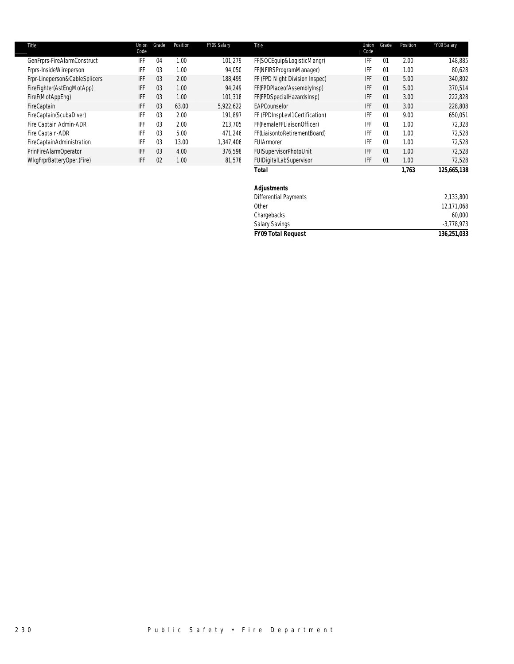| Title                         | Union<br>Code | Grade          | Position | FY09 Salary | Title                          | Union<br>Code | Grade | Position | FY09 Salary |
|-------------------------------|---------------|----------------|----------|-------------|--------------------------------|---------------|-------|----------|-------------|
| GenFrprs-FireAlarmConstruct   | IFF           | 04             | 1.00     | 101,279     | FF(SOCEquip&LogisticMangr)     | IFF           | 01    | 2.00     | 148,885     |
| Frprs-InsideWireperson        | IFF           | 03             | 1.00     | 94,050      | FF(NFIRSProgramManager)        | IFF           | 01    | 1.00     | 80,628      |
| Frpr-Lineperson&CableSplicers | IFF           | 0 <sub>3</sub> | 2.00     | 188.499     | FF (FPD Night Division Inspec) | IFF           | 01    | 5.00     | 340,802     |
| FireFighter(AstEngMotApp)     | IFF           | 0 <sub>3</sub> | 1.00     | 94,249      | FF(FPDPlaceofAssemblyInsp)     | IFF           | 01    | 5.00     | 370,514     |
| FireF(MotAppEng)              | IFF           | 03             | 1.00     | 101,318     | FF(FPDSpecialHazardsInsp)      | IFF           | 01    | 3.00     | 222,828     |
| FireCaptain                   | IFF           | 03             | 63.00    | 5,922,622   | EAPCounselor                   | IFF           | 01    | 3.00     | 228,808     |
| FireCaptain(ScubaDiver)       | IFF           | 03             | 2.00     | 191.897     | FF (FPDInspLevI1Certification) | IFF           | 01    | 9.00     | 650,051     |
| Fire Captain Admin-ADR        | IFF           | 0 <sub>3</sub> | 2.00     | 213.705     | FF(FemaleFFLiaisonOfficer)     | IFF           | 01    | 1.00     | 72.328      |
| Fire Captain-ADR              | IFF           | 03             | 5.00     | 471,246     | FF(LiaisontoRetirementBoard)   | IFF           | 01    | 1.00     | 72,528      |
| FireCaptainAdministration     | IFF           | 0 <sub>3</sub> | 13.00    | 1.347.406   | FUIArmorer                     | IFF           | 01    | 1.00     | 72.528      |
| PrinFireAlarmOperator         | IFF           | 03             | 4.00     | 376.598     | FUISupervisorPhotoUnit         | IFF           | 01    | 1.00     | 72,528      |
| WkgFrprBatteryOper.(Fire)     | IFF           | 02             | 1.00     | 81,578      | FUIDigitalLabSupervisor        | IFF           | 01    | 1.00     | 72.528      |
|                               |               |                |          |             | Total                          |               |       | 1.763    | 125,665,138 |

 Differential Payments 2,133,800 Other 12,171,068

> Chargebacks 60,000 Salary Savings -3,778,973 *FY09 Total Request 136,251,033*

*Adjustments*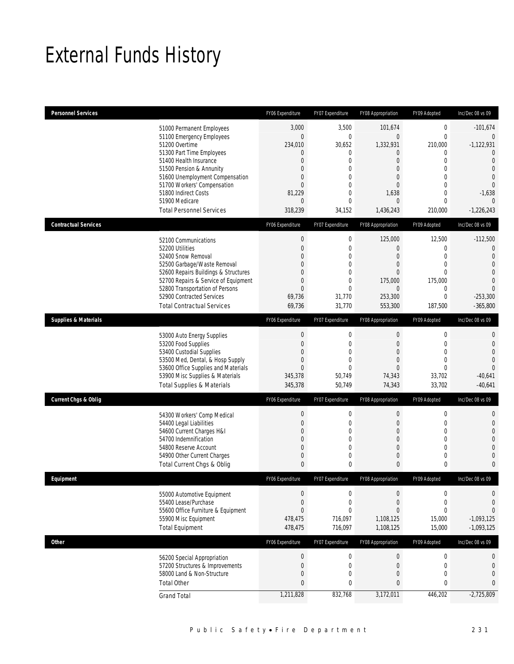## External Funds History

| <b>Personnel Services</b>       |                                                                     | FY06 Expenditure                | FY07 Expenditure                     | FY08 Appropriation               | FY09 Adopted                    | Inc/Dec 08 vs 09               |
|---------------------------------|---------------------------------------------------------------------|---------------------------------|--------------------------------------|----------------------------------|---------------------------------|--------------------------------|
|                                 | 51000 Permanent Employees                                           | 3,000                           | 3,500                                | 101,674                          | $\mathbf 0$                     | $-101,674$                     |
|                                 | 51100 Emergency Employees                                           | $\mathbf 0$                     | $\boldsymbol{0}$                     | $\mathbf 0$                      | $\mathbf{0}$                    | $\mathbf{0}$                   |
|                                 | 51200 Overtime<br>51300 Part Time Employees                         | 234,010<br>0                    | 30,652<br>0                          | 1,332,931<br>$\mathbf 0$         | 210,000<br>0                    | $-1,122,931$<br>$\Omega$       |
|                                 | 51400 Health Insurance                                              | 0                               | $\boldsymbol{0}$                     | $\mathbf{0}$                     | $\mathbf{0}$                    | $\mathbf{0}$                   |
|                                 | 51500 Pension & Annunity                                            | $\overline{0}$                  | $\mathbf 0$                          | $\mathbf{0}$                     | $\mathbf{0}$                    | $\mathbf{0}$                   |
|                                 | 51600 Unemployment Compensation                                     | $\Omega$                        | $\overline{0}$                       | $\mathbf{0}$                     | $\mathbf{0}$                    | $\overline{0}$                 |
|                                 | 51700 Workers' Compensation                                         | 0                               | 0                                    | $\overline{0}$                   | $\mathbf{0}$                    | $\overline{0}$                 |
|                                 | 51800 Indirect Costs<br>51900 Medicare                              | 81,229<br>0                     | 0<br>$\mathbf 0$                     | 1,638<br>$\overline{0}$          | $\mathbf{0}$<br>$\mathbf{0}$    | $-1,638$<br>$\theta$           |
|                                 | <b>Total Personnel Services</b>                                     | 318,239                         | 34,152                               | 1,436,243                        | 210,000                         | $-1,226,243$                   |
|                                 |                                                                     |                                 |                                      |                                  |                                 |                                |
| <b>Contractual Services</b>     |                                                                     | FY06 Expenditure                | FY07 Expenditure                     | FY08 Appropriation               | FY09 Adopted                    | Inc/Dec 08 vs 09               |
|                                 | 52100 Communications                                                | $\boldsymbol{0}$                | 0                                    | 125,000                          | 12,500                          | $-112,500$                     |
|                                 | 52200 Utilities                                                     | $\mathbf{0}$                    | $\mathbf 0$                          | $\mathbf 0$                      | $\mathbf{0}$                    | $\mathbf{0}$                   |
|                                 | 52400 Snow Removal                                                  | 0                               | $\mathbf 0$                          | $\mathbf{0}$                     | $\mathbf{0}$                    | $\mathbf{0}$                   |
|                                 | 52500 Garbage/Waste Removal<br>52600 Repairs Buildings & Structures | $\Omega$<br>$\Omega$            | 0<br>$\overline{0}$                  | $\overline{0}$<br>$\overline{0}$ | $\mathbf{0}$<br>$\mathbf{0}$    | $\mathbf{0}$<br>$\overline{0}$ |
|                                 | 52700 Repairs & Service of Equipment                                | 0                               | $\mathbf 0$                          | 175,000                          | 175,000                         | $\Omega$                       |
|                                 | 52800 Transportation of Persons                                     | $\overline{0}$                  | $\mathbf 0$                          | $\mathbf 0$                      | 0                               | $\Omega$                       |
|                                 | 52900 Contracted Services                                           | 69,736                          | 31.770                               | 253,300                          | $\mathbf 0$                     | $-253,300$                     |
|                                 | <b>Total Contractual Services</b>                                   | 69,736                          | 31,770                               | 553,300                          | 187,500                         | $-365.800$                     |
| <b>Supplies &amp; Materials</b> |                                                                     | FY06 Expenditure                | FY07 Expenditure                     | FY08 Appropriation               | FY09 Adopted                    | Inc/Dec 08 vs 09               |
|                                 | 53000 Auto Energy Supplies                                          | 0                               | $\boldsymbol{0}$                     | $\boldsymbol{0}$                 | $\boldsymbol{0}$                | 0                              |
|                                 | 53200 Food Supplies                                                 | 0                               | $\mathbf 0$                          | $\mathbf 0$                      | $\mathbf 0$                     | $\overline{0}$                 |
|                                 | 53400 Custodial Supplies                                            | 0                               | $\overline{0}$                       | $\mathbf{0}$                     | $\mathbf{0}$                    | $\overline{0}$                 |
|                                 | 53500 Med, Dental, & Hosp Supply                                    | 0                               | 0                                    | $\mathbf 0$                      | $\mathbf{0}$                    | $\theta$                       |
|                                 | 53600 Office Supplies and Materials                                 | $\overline{0}$                  | $\mathbf{0}$                         | $\overline{0}$                   | $\mathbf{0}$                    | $\Omega$                       |
|                                 | 53900 Misc Supplies & Materials                                     | 345,378                         | 50,749                               | 74,343                           | 33,702                          | $-40,641$                      |
|                                 | <b>Total Supplies &amp; Materials</b>                               | 345,378                         | 50,749                               | 74,343                           | 33,702                          | $-40,641$                      |
| <b>Current Chgs &amp; Oblig</b> |                                                                     | FY06 Expenditure                | FY07 Expenditure                     | FY08 Appropriation               | FY09 Adopted                    | Inc/Dec 08 vs 09               |
|                                 | 54300 Workers' Comp Medical                                         | 0                               | 0                                    | $\boldsymbol{0}$                 | 0                               | $\mathbf{0}$                   |
|                                 | 54400 Legal Liabilities                                             | 0                               | $\boldsymbol{0}$                     | $\mathbf 0$                      | $\mathbf 0$                     | $\mathbf{0}$                   |
|                                 | 54600 Current Charges H&I                                           | 0                               | $\boldsymbol{0}$                     | $\mathbf{0}$                     | $\mathbf{0}$                    | $\overline{0}$                 |
|                                 | 54700 Indemnification                                               | $\Omega$                        | 0                                    | $\mathbf{0}$                     | $\mathbf{0}$                    | $\Omega$                       |
|                                 | 54800 Reserve Account<br>54900 Other Current Charges                | 0<br>0                          | $\overline{0}$<br>0                  | $\mathbf{0}$<br>0                | $\mathbf{0}$<br>$\mathbf{0}$    | $\overline{0}$<br>$\Omega$     |
|                                 | Total Current Chgs & Oblig                                          | $\mathbf{0}$                    | 0                                    | 0                                | 0                               | $\mathbf{0}$                   |
| Eauipment                       |                                                                     | FY06 Expenditure                | <b>FY07 Exnenditure</b>              | FY08 Appropriation               | FY09 Adopted                    | Inc/Dec 08 vs 09               |
|                                 |                                                                     |                                 |                                      |                                  |                                 |                                |
|                                 | 55000 Automotive Equipment                                          | 0                               | 0                                    | 0                                | 0                               | $\mathbf{0}$                   |
|                                 | 55400 Lease/Purchase                                                | $\mathbf 0$                     | $\boldsymbol{0}$                     | $\mathbf 0$                      | $\mathbf 0$                     | $\mathbf{0}$                   |
|                                 | 55600 Office Furniture & Equipment<br>55900 Misc Equipment          | $\mathbf 0$<br>478,475          | $\mathbf 0$<br>716,097               | $\overline{0}$<br>1,108,125      | $\mathbf{0}$<br>15,000          | $\overline{0}$<br>$-1,093,125$ |
|                                 | <b>Total Equipment</b>                                              | 478,475                         | 716,097                              | 1,108,125                        | 15,000                          | $-1,093,125$                   |
|                                 |                                                                     |                                 | FY07 Expenditure                     |                                  |                                 |                                |
| <b>Other</b>                    |                                                                     | FY06 Expenditure                |                                      | FY08 Appropriation               | FY09 Adopted                    | Inc/Dec 08 vs 09               |
|                                 | 56200 Special Appropriation                                         | $\boldsymbol{0}$                | $\boldsymbol{0}$                     | $\boldsymbol{0}$                 | $\boldsymbol{0}$                | $\mathbf 0$                    |
|                                 | 57200 Structures & Improvements                                     | $\boldsymbol{0}$<br>$\mathbf 0$ | $\boldsymbol{0}$<br>$\boldsymbol{0}$ | $\boldsymbol{0}$                 | $\boldsymbol{0}$<br>$\mathbf 0$ | $\mathbf{0}$                   |
|                                 | 58000 Land & Non-Structure<br><b>Total Other</b>                    | $\mathbf{0}$                    | $\pmb{0}$                            | $\mathbf 0$<br>$\bf 0$           | $\bf{0}$                        | $\mathbf 0$<br>$\bf{0}$        |
|                                 |                                                                     |                                 |                                      |                                  |                                 |                                |
|                                 | <b>Grand Total</b>                                                  | 1,211,828                       | 832,768                              | 3,172,011                        | 446,202                         | $-2,725,809$                   |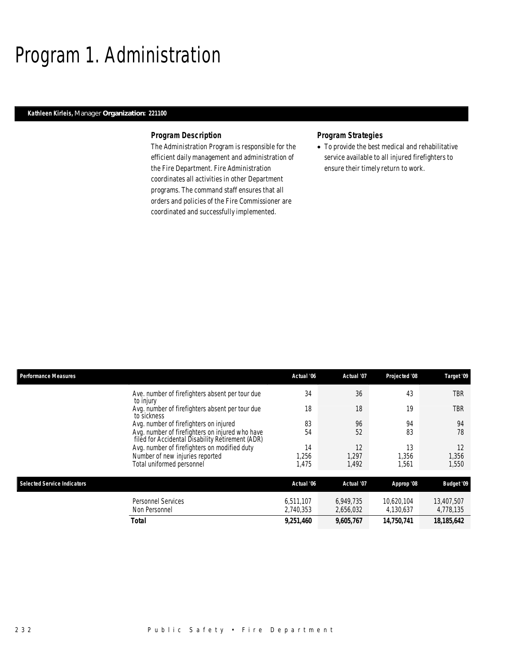## Program 1. Administration

### *Kathleen Kirleis, Manager Organization: 221100*

### *Program Description*

The Administration Program is responsible for the efficient daily management and administration of the Fire Department. Fire Administration coordinates all activities in other Department programs. The command staff ensures that all orders and policies of the Fire Commissioner are coordinated and successfully implemented.

#### *Program Strategies*

• To provide the best medical and rehabilitative service available to all injured firefighters to ensure their timely return to work.

| <b>Performance Measures</b>        |                                                                                                     | Actual '06 | Actual '07 | Projected '08 | Target '09        |
|------------------------------------|-----------------------------------------------------------------------------------------------------|------------|------------|---------------|-------------------|
|                                    | Ave. number of firefighters absent per tour due<br>to injury                                        | 34         | 36         | 43            | TBR               |
|                                    | Avg. number of firefighters absent per tour due<br>to sickness                                      | 18         | 18         | 19            | TBR               |
|                                    | Avg. number of firefighters on injured                                                              | 83         | 96         | 94            | 94                |
|                                    | Avg. number of firefighters on injured who have<br>filed for Accidental Disability Retirement (ADR) | 54         | 52         | 83            | 78                |
|                                    | Avg. number of firefighters on modified duty                                                        | 14         | 12         | 13            | 12                |
|                                    | Number of new injuries reported                                                                     | 1.256      | 1.297      | 1.356         | 1,356             |
|                                    | Total uniformed personnel                                                                           | 1.475      | 1.492      | 1.561         | 1.550             |
|                                    |                                                                                                     |            |            |               |                   |
| <b>Selected Service Indicators</b> |                                                                                                     | Actual '06 | Actual '07 | Approp '08    | <b>Budget '09</b> |
|                                    | <b>Personnel Services</b>                                                                           | 6.511.107  | 6,949,735  | 10.620.104    | 13,407,507        |
|                                    | Non Personnel                                                                                       | 2,740,353  | 2,656,032  | 4,130,637     | 4,778,135         |
|                                    | <b>Total</b>                                                                                        | 9,251,460  | 9,605,767  | 14,750,741    | 18,185,642        |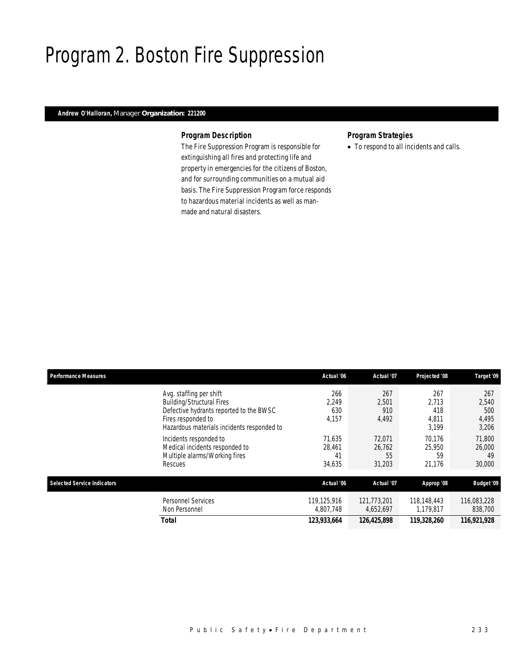## Program 2. Boston Fire Suppression

### *Andrew O'Halloran, Manager Organization: 221200*

### *Program Description*

The Fire Suppression Program is responsible for extinguishing all fires and protecting life and property in emergencies for the citizens of Boston, and for surrounding communities on a mutual aid basis. The Fire Suppression Program force responds to hazardous material incidents as well as manmade and natural disasters.

### *Program Strategies*

• To respond to all incidents and calls.

| <b>Performance Measures</b>        |                                                                                                                                                                            | Actual '06                       | Actual '07                       | Projected '08                         | Target '09                            |
|------------------------------------|----------------------------------------------------------------------------------------------------------------------------------------------------------------------------|----------------------------------|----------------------------------|---------------------------------------|---------------------------------------|
|                                    | Avg. staffing per shift<br><b>Building/Structural Fires</b><br>Defective hydrants reported to the BWSC<br>Fires responded to<br>Hazardous materials incidents responded to | 266<br>2.249<br>630<br>4,157     | 267<br>2.501<br>910<br>4,492     | 267<br>2.713<br>418<br>4,811<br>3.199 | 267<br>2,540<br>500<br>4,495<br>3,206 |
|                                    | Incidents responded to<br>Medical incidents responded to<br>Multiple alarms/Working fires<br>Rescues                                                                       | 71.635<br>28,461<br>41<br>34,635 | 72.071<br>26,762<br>55<br>31,203 | 70.176<br>25,950<br>59<br>21,176      | 71,800<br>26,000<br>49<br>30,000      |
| <b>Selected Service Indicators</b> |                                                                                                                                                                            | Actual '06                       | Actual '07                       | Approp '08                            | <b>Budget '09</b>                     |
|                                    | Personnel Services<br>Non Personnel                                                                                                                                        | 119,125,916<br>4,807,748         | 121,773,201<br>4,652,697         | 118,148,443<br>1,179,817              | 116,083,228<br>838,700                |
|                                    | <b>Total</b>                                                                                                                                                               | 123,933,664                      | 126,425,898                      | 119,328,260                           | 116,921,928                           |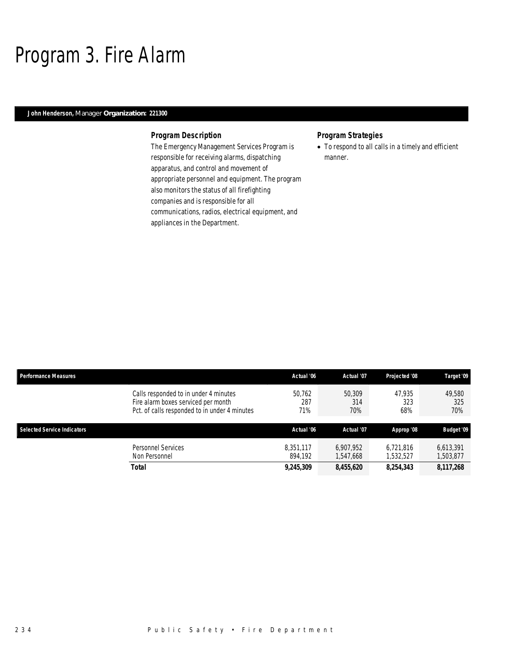## Program 3. Fire Alarm

### *John Henderson, Manager Organization: 221300*

### *Program Description*

The Emergency Management Services Program is responsible for receiving alarms, dispatching apparatus, and control and movement of appropriate personnel and equipment. The program also monitors the status of all firefighting companies and is responsible for all communications, radios, electrical equipment, and appliances in the Department.

### *Program Strategies*

• To respond to all calls in a timely and efficient manner.

| <b>Performance Measures</b>        |                                                                                                                               | Actual '06           | Actual '07             | Projected '08          | Target '09             |
|------------------------------------|-------------------------------------------------------------------------------------------------------------------------------|----------------------|------------------------|------------------------|------------------------|
|                                    | Calls responded to in under 4 minutes<br>Fire alarm boxes serviced per month<br>Pct. of calls responded to in under 4 minutes | 50,762<br>287<br>71% | 50,309<br>314<br>70%   | 47.935<br>323<br>68%   | 49.580<br>325<br>70%   |
| <b>Selected Service Indicators</b> |                                                                                                                               | Actual '06           | Actual '07             | Approp '08             | <b>Budget '09</b>      |
|                                    | Personnel Services<br>Non Personnel                                                                                           | 8.351.117<br>894.192 | 6.907.952<br>1.547.668 | 6,721,816<br>1,532,527 | 6,613,391<br>1,503,877 |
|                                    | <b>Total</b>                                                                                                                  | 9,245,309            | 8,455,620              | 8,254,343              | 8,117,268              |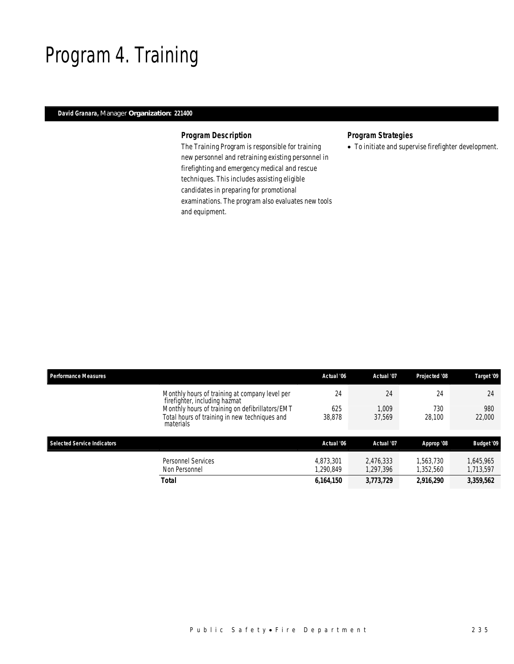## Program 4. Training

### *David Granara, Manager Organization: 221400*

### *Program Description*

The Training Program is responsible for training new personnel and retraining existing personnel in firefighting and emergency medical and rescue techniques. This includes assisting eligible candidates in preparing for promotional examinations. The program also evaluates new tools and equipment.

### *Program Strategies*

• To initiate and supervise firefighter development.

| <b>Performance Measures</b>        |                                                                                 | Actual '06            | Actual '07             | Projected '08          | Target '09             |
|------------------------------------|---------------------------------------------------------------------------------|-----------------------|------------------------|------------------------|------------------------|
|                                    | Monthly hours of training at company level per<br>firefighter, including hazmat | 24                    | 24                     | 24                     | 24                     |
|                                    | Monthly hours of training on defibrillators/EMT                                 | 625                   | 1.009                  | 730                    | 980                    |
|                                    | Total hours of training in new techniques and<br>materials                      | 38,878                | 37.569                 | 28,100                 | 22,000                 |
| <b>Selected Service Indicators</b> |                                                                                 | Actual '06            | Actual '07             | Approp '08             | <b>Budget '09</b>      |
|                                    | <b>Personnel Services</b><br>Non Personnel                                      | 4.873.301<br>.290.849 | 2.476.333<br>1,297,396 | 1.563.730<br>1,352,560 | 1.645.965<br>1,713,597 |
|                                    | <b>Total</b>                                                                    | 6,164,150             | 3,773,729              | 2,916,290              | 3,359,562              |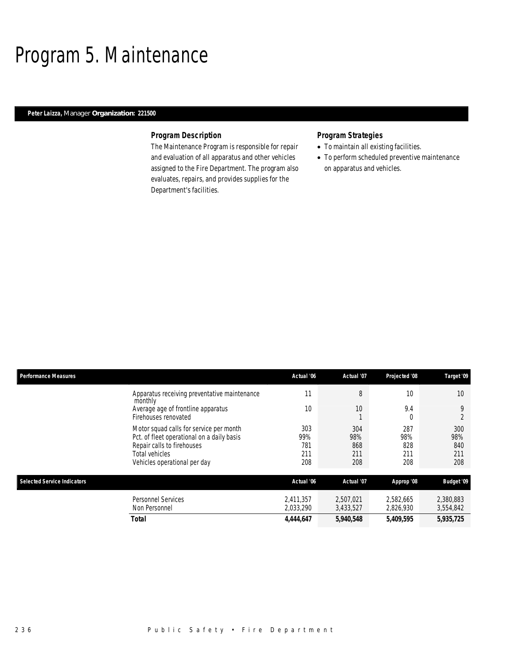## Program 5. Maintenance

### *Peter Laizza, Manager Organization: 221500*

### *Program Description*

The Maintenance Program is responsible for repair and evaluation of all apparatus and other vehicles assigned to the Fire Department. The program also evaluates, repairs, and provides supplies for the Department's facilities.

- To maintain all existing facilities.
- To perform scheduled preventive maintenance on apparatus and vehicles.

| <b>Performance Measures</b>        |                                                                                                                                                                       | Actual '06                      | Actual '07                      | Projected '08                   | Target '09                      |
|------------------------------------|-----------------------------------------------------------------------------------------------------------------------------------------------------------------------|---------------------------------|---------------------------------|---------------------------------|---------------------------------|
|                                    | Apparatus receiving preventative maintenance<br>monthly                                                                                                               | 11                              | 8                               | 10                              | $10 \,$                         |
|                                    | Average age of frontline apparatus<br>Firehouses renovated                                                                                                            | 10                              | 10                              | 9.4<br>O                        | 9<br>$\overline{2}$             |
|                                    | Motor squad calls for service per month<br>Pct. of fleet operational on a daily basis<br>Repair calls to firehouses<br>Total vehicles<br>Vehicles operational per day | 303<br>99%<br>781<br>211<br>208 | 304<br>98%<br>868<br>211<br>208 | 287<br>98%<br>828<br>211<br>208 | 300<br>98%<br>840<br>211<br>208 |
| <b>Selected Service Indicators</b> |                                                                                                                                                                       | Actual '06                      | Actual '07                      | Approp '08                      | <b>Budget '09</b>               |
|                                    | <b>Personnel Services</b><br>Non Personnel                                                                                                                            | 2,411,357<br>2,033,290          | 2,507,021<br>3,433,527          | 2,582,665<br>2,826,930          | 2,380,883<br>3,554,842          |
|                                    | <b>Total</b>                                                                                                                                                          | 4,444,647                       | 5,940,548                       | 5,409,595                       | 5,935,725                       |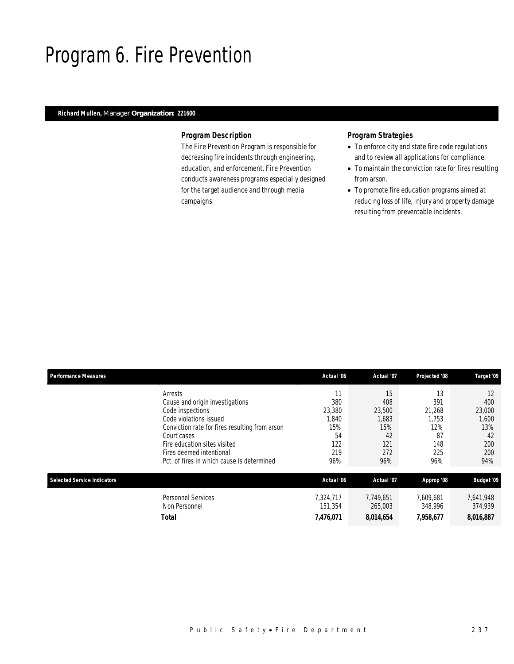## Program 6. Fire Prevention

### *Richard Mullen, Manager Organization: 221600*

#### *Program Description*

The Fire Prevention Program is responsible for decreasing fire incidents through engineering, education, and enforcement. Fire Prevention conducts awareness programs especially designed for the target audience and through media campaigns.

- To enforce city and state fire code regulations and to review all applications for compliance.
- To maintain the conviction rate for fires resulting from arson.
- To promote fire education programs aimed at reducing loss of life, injury and property damage resulting from preventable incidents.

| <b>Performance Measures</b>        |                                                | Actual '06 | Actual '07 | Projected '08 | Target '09 |
|------------------------------------|------------------------------------------------|------------|------------|---------------|------------|
|                                    | Arrests                                        | 11         | 15         | 13            | 12         |
|                                    | Cause and origin investigations                | 380        | 408        | 391           | 400        |
|                                    | Code inspections                               | 23.380     | 23,500     | 21.268        | 23,000     |
|                                    | Code violations issued                         | 1,840      | 1,683      | 1.753         | 1,600      |
|                                    | Conviction rate for fires resulting from arson | 15%        | 15%        | 12%           | 13%        |
|                                    | Court cases                                    | 54         | 42         | 87            | 42         |
|                                    | Fire education sites visited                   | 122        | 121        | 148           | 200        |
|                                    | Fires deemed intentional                       | 219        | 272        | 225           | 200        |
|                                    | Pct. of fires in which cause is determined     | 96%        | 96%        | 96%           | 94%        |
| <b>Selected Service Indicators</b> |                                                | Actual '06 | Actual '07 | Approp '08    | Budget '09 |
|                                    | <b>Personnel Services</b>                      | 7.324.717  | 7,749,651  | 7.609.681     | 7,641,948  |
|                                    | Non Personnel                                  | 151.354    | 265,003    | 348,996       | 374,939    |
|                                    | Total                                          | 7,476,071  | 8,014,654  | 7,958,677     | 8,016,887  |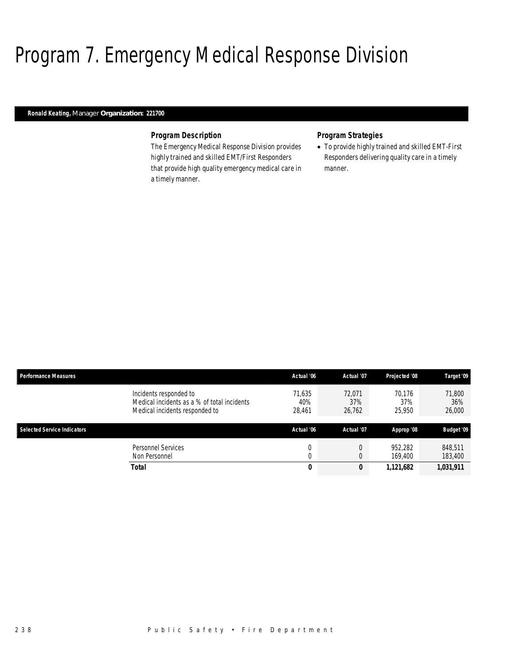## Program 7. Emergency Medical Response Division

### *Ronald Keating, Manager Organization: 221700*

### *Program Description*

The Emergency Medical Response Division provides highly trained and skilled EMT/First Responders that provide high quality emergency medical care in a timely manner.

#### *Program Strategies*

• To provide highly trained and skilled EMT-First Responders delivering quality care in a timely manner.

| <b>Performance Measures</b>        |                                                                                                         | Actual '06              | Actual '07              | Projected '08           | Target '09              |
|------------------------------------|---------------------------------------------------------------------------------------------------------|-------------------------|-------------------------|-------------------------|-------------------------|
|                                    | Incidents responded to<br>Medical incidents as a % of total incidents<br>Medical incidents responded to | 71.635<br>40%<br>28,461 | 72.071<br>37%<br>26,762 | 70.176<br>37%<br>25,950 | 71.800<br>36%<br>26,000 |
| <b>Selected Service Indicators</b> |                                                                                                         | Actual '06              | Actual '07              | Approp '08              | <b>Budget '09</b>       |
|                                    | Personnel Services<br>Non Personnel                                                                     | 0<br>$\cap$<br>υ        |                         | 952.282<br>169.400      | 848.511<br>183,400      |
|                                    | <b>Total</b>                                                                                            | 0                       | 0                       | 1,121,682               | 1,031,911               |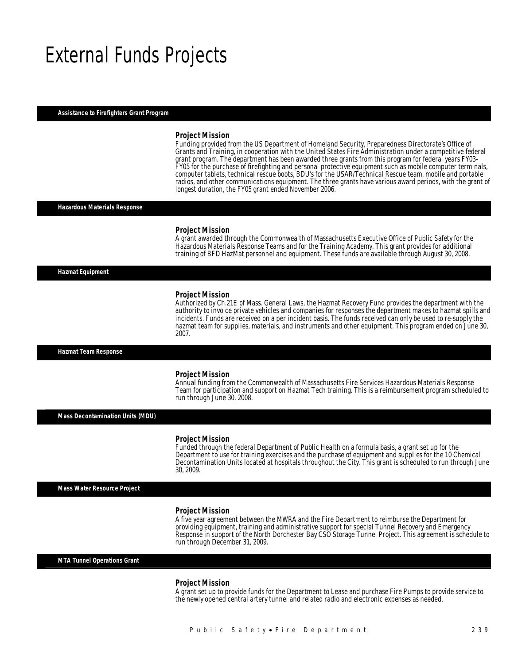### External Funds Projects

#### *Assistance to Firefighters Grant Program*

#### *Project Mission*

Funding provided from the US Department of Homeland Security, Preparedness Directorate's Office of Grants and Training, in cooperation with the United States Fire Administration under a competitive federal grant program. The department has been awarded three grants from this program for federal years FY03- FY05 for the purchase of firefighting and personal protective equipment such as mobile computer terminals, computer tablets, technical rescue boots, BDU's for the USAR/Technical Rescue team, mobile and portable radios, and other communications equipment. The three grants have various award periods, with the grant of longest duration, the FY05 grant ended November 2006.

#### *Hazardous Materials Response*

#### *Project Mission*

A grant awarded through the Commonwealth of Massachusetts Executive Office of Public Safety for the Hazardous Materials Response Teams and for the Training Academy. This grant provides for additional training of BFD HazMat personnel and equipment. These funds are available through August 30, 2008.

*Hazmat Equipment* 

#### *Project Mission*

Authorized by Ch.21E of Mass. General Laws, the Hazmat Recovery Fund provides the department with the authority to invoice private vehicles and companies for responses the department makes to hazmat spills and incidents. Funds are received on a per incident basis. The funds received can only be used to re-supply the hazmat team for supplies, materials, and instruments and other equipment. This program ended on June 30, 2007. 

#### *Hazmat Team Response*

#### *Project Mission*

Annual funding from the Commonwealth of Massachusetts Fire Services Hazardous Materials Response Team for participation and support on Hazmat Tech training. This is a reimbursement program scheduled to run through June 30, 2008.

*Mass Decontamination Units (MDU)* 

#### *Project Mission*

Funded through the federal Department of Public Health on a formula basis, a grant set up for the Department to use for training exercises and the purchase of equipment and supplies for the 10 Chemical Decontamination Units located at hospitals throughout the City. This grant is scheduled to run through June 30, 2009.

*Mass Water Resource Project* 

#### *Project Mission*

A five year agreement between the MWRA and the Fire Department to reimburse the Department for providing equipment, training and administrative support for special Tunnel Recovery and Emergency Response in support of the North Dorchester Bay CSO Storage Tunnel Project. This agreement is schedule to run through December 31, 2009.

*MTA Tunnel Operations Grant* 

#### *Project Mission*

A grant set up to provide funds for the Department to Lease and purchase Fire Pumps to provide service to the newly opened central artery tunnel and related radio and electronic expenses as needed.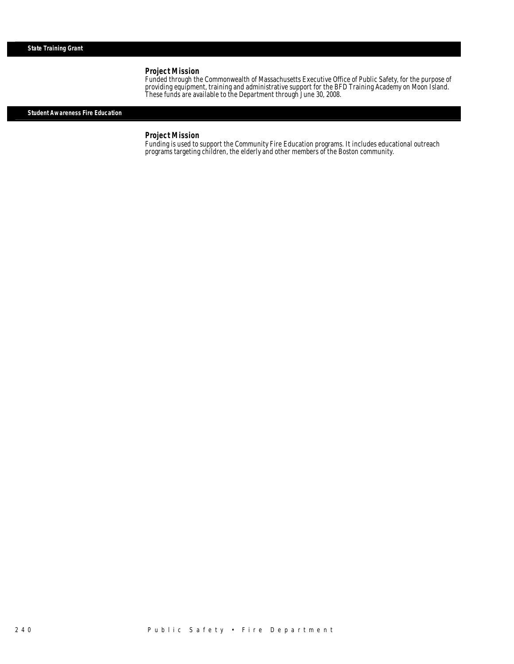Funded through the Commonwealth of Massachusetts Executive Office of Public Safety, for the purpose of providing equipment, training and administrative support for the BFD Training Academy on Moon Island. These funds are available to the Department through June 30, 2008.

#### *Student Awareness Fire Education*

*Project Mission*<br>Funding is used to support the Community Fire Education programs. It includes educational outreach programs targeting children, the elderly and other members of the Boston community.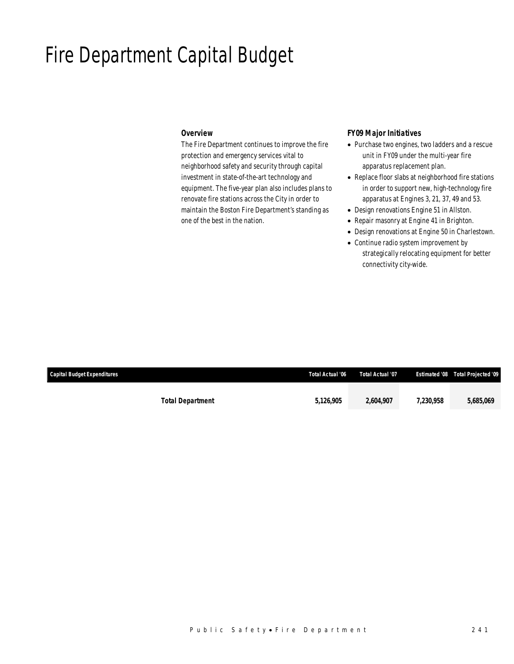## Fire Department Capital Budget

#### *Overview*

The Fire Department continues to improve the fire protection and emergency services vital to neighborhood safety and security through capital investment in state-of-the-art technology and equipment. The five-year plan also includes plans to renovate fire stations across the City in order to maintain the Boston Fire Department's standing as one of the best in the nation.

### *FY09 Major Initiatives*

- Purchase two engines, two ladders and a rescue unit in FY09 under the multi-year fire apparatus replacement plan.
- Replace floor slabs at neighborhood fire stations in order to support new, high-technology fire apparatus at Engines 3, 21, 37, 49 and 53.
- Design renovations Engine 51 in Allston.
- Repair masonry at Engine 41 in Brighton.
- Design renovations at Engine 50 in Charlestown.
- Continue radio system improvement by strategically relocating equipment for better connectivity city-wide.

| Capital Budget Expenditures |                         | Total Actual '06 | <b>Total Actual '07</b> |           | <b>Estimated '08 Total Projected '09</b> |
|-----------------------------|-------------------------|------------------|-------------------------|-----------|------------------------------------------|
|                             | <b>Total Department</b> | 5,126,905        | 2.604.907               | 7.230.958 | 5,685,069                                |
|                             |                         |                  |                         |           |                                          |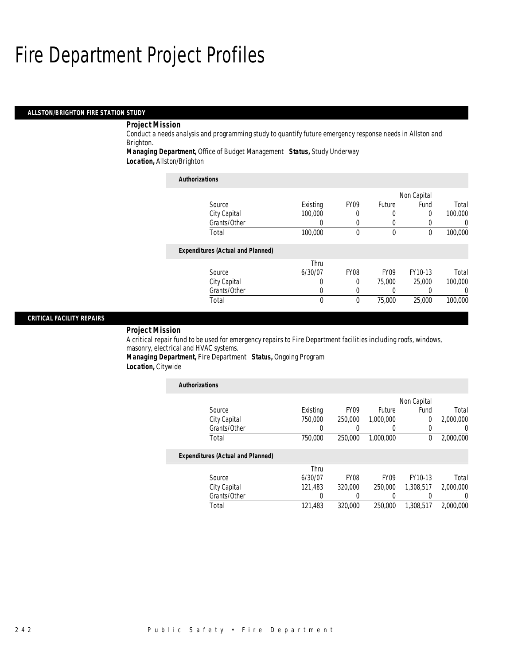#### *ALLSTON/BRIGHTON FIRE STATION STUDY*

### *Project Mission*

Conduct a needs analysis and programming study to quantify future emergency response needs in Allston and Brighton.

*Managing Department,* Office of Budget Management *Status,* Study Underway

*Location,* Allston/Brighton

| <b>Authorizations</b>                    |          |             |             |             |         |
|------------------------------------------|----------|-------------|-------------|-------------|---------|
|                                          |          |             |             | Non Capital |         |
| Source                                   | Existing | <b>FY09</b> | Future      | Fund        | Total   |
| City Capital                             | 100,000  | 0           | $\Omega$    | 0           | 100,000 |
| Grants/Other                             |          | 0           | 0           | 0           |         |
| Total                                    | 100,000  | $\Omega$    | $\theta$    | $\theta$    | 100,000 |
| <b>Expenditures (Actual and Planned)</b> |          |             |             |             |         |
|                                          | Thru     |             |             |             |         |
| Source                                   | 6/30/07  | <b>FY08</b> | <b>FY09</b> | FY10-13     | Total   |
| City Capital                             | 0        | $\Omega$    | 75,000      | 25,000      | 100,000 |
| Grants/Other                             |          | 0           | 0           | 0           |         |
| Total                                    | $\theta$ | $\theta$    | 75,000      | 25,000      | 100,000 |

### *CRITICAL FACILITY REPAIRS*

#### *Project Mission*

A critical repair fund to be used for emergency repairs to Fire Department facilities including roofs, windows, masonry, electrical and HVAC systems.

*Managing Department,* Fire Department *Status,* Ongoing Program

*Location,* Citywide

| <b>Authorizations</b>                    |          |                  |               |             |           |
|------------------------------------------|----------|------------------|---------------|-------------|-----------|
|                                          |          |                  |               | Non Capital |           |
| Source                                   | Existing | FY <sub>09</sub> | <b>Future</b> | Fund        | Total     |
| City Capital                             | 750,000  | 250,000          | 1,000,000     | 0           | 2,000,000 |
| Grants/Other                             | 0        |                  |               | 0           | 0         |
| Total                                    | 750,000  | 250,000          | 1,000,000     | $^{0}$      | 2,000,000 |
| <b>Expenditures (Actual and Planned)</b> |          |                  |               |             |           |
|                                          | Thru     |                  |               |             |           |
| Source                                   | 6/30/07  | <b>FY08</b>      | <b>FY09</b>   | FY10-13     | Total     |
| City Capital                             | 121,483  | 320,000          | 250,000       | 1,308,517   | 2,000,000 |
| Grants/Other                             | 0        |                  |               |             | 0         |
| Total                                    | 121,483  | 320,000          | 250,000       | 1,308,517   | 2.000.000 |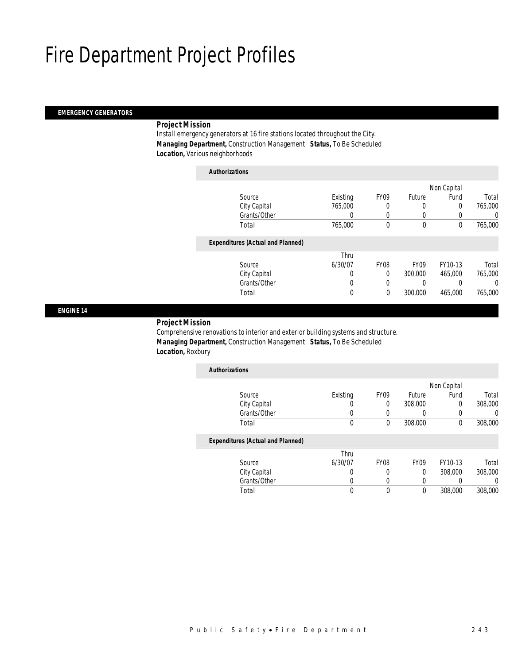### *EMERGENCY GENERATORS*

### *Project Mission*

Install emergency generators at 16 fire stations located throughout the City. *Managing Department,* Construction Management *Status,* To Be Scheduled *Location,* Various neighborhoods

| <b>Authorizations</b>                    |          |             |                  |         |         |  |  |  |
|------------------------------------------|----------|-------------|------------------|---------|---------|--|--|--|
| Non Capital                              |          |             |                  |         |         |  |  |  |
| Source                                   | Existing | <b>FY09</b> | Future           | Fund    | Total   |  |  |  |
| City Capital                             | 765,000  | 0           | 0                | 0       | 765,000 |  |  |  |
| Grants/Other                             | 0        | 0           |                  | 0       |         |  |  |  |
| Total                                    | 765,000  | $\theta$    | $\mathbf{0}$     | 0       | 765,000 |  |  |  |
| <b>Expenditures (Actual and Planned)</b> |          |             |                  |         |         |  |  |  |
|                                          | Thru     |             |                  |         |         |  |  |  |
| Source                                   | 6/30/07  | <b>FY08</b> | FY <sub>09</sub> | FY10-13 | Total   |  |  |  |
| City Capital                             | 0        | $\Omega$    | 300,000          | 465.000 | 765,000 |  |  |  |
| Grants/Other                             | 0        |             |                  | 0       |         |  |  |  |
| Total                                    | 0        | 0           | 300,000          | 465,000 | 765,000 |  |  |  |

*ENGINE 14* 

#### *Project Mission*

Comprehensive renovations to interior and exterior building systems and structure. *Managing Department,* Construction Management *Status,* To Be Scheduled *Location,* Roxbury

| <b>Authorizations</b>                    |          |                  |             |             |         |
|------------------------------------------|----------|------------------|-------------|-------------|---------|
|                                          |          |                  |             | Non Capital |         |
| Source                                   | Existing | FY <sub>09</sub> | Future      | Fund        | Total   |
| City Capital                             | O        | 0                | 308,000     | 0           | 308,000 |
| Grants/Other                             | O        |                  |             | 0           |         |
| Total                                    | 0        | $\theta$         | 308,000     | 0           | 308,000 |
| <b>Expenditures (Actual and Planned)</b> |          |                  |             |             |         |
|                                          | Thru     |                  |             |             |         |
| Source                                   | 6/30/07  | <b>FY08</b>      | <b>FY09</b> | FY10-13     | Total   |
| City Capital                             | O        |                  | 0           | 308,000     | 308,000 |
| Grants/Other                             | U        |                  |             |             |         |
| Total                                    | 0        | $\Omega$         | 0           | 308,000     | 308,000 |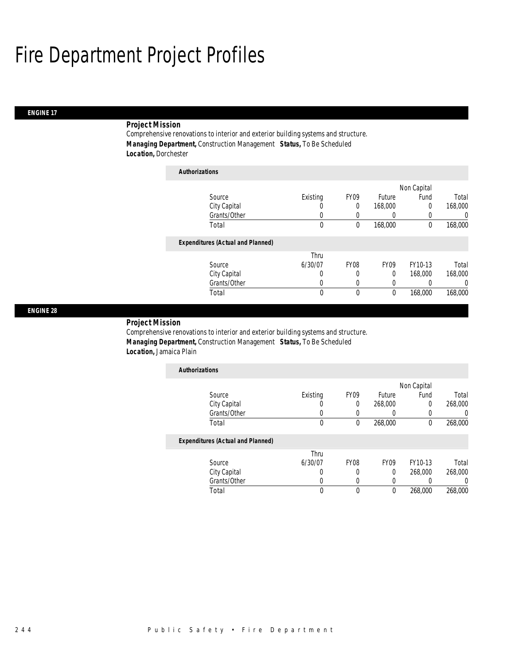### *ENGINE 17*

### *Project Mission*

Comprehensive renovations to interior and exterior building systems and structure. *Managing Department,* Construction Management *Status,* To Be Scheduled *Location,* Dorchester

| <b>Authorizations</b>                    |          |                  |         |             |          |
|------------------------------------------|----------|------------------|---------|-------------|----------|
|                                          |          |                  |         | Non Capital |          |
| Source                                   | Existing | FY <sub>09</sub> | Future  | Fund        | Total    |
| City Capital                             | 0        | 0                | 168,000 | 0           | 168,000  |
| Grants/Other                             | 0        | 0                | 0       |             | 0        |
| Total                                    | 0        | 0                | 168,000 | $\theta$    | 168,000  |
| <b>Expenditures (Actual and Planned)</b> |          |                  |         |             |          |
|                                          | Thru     |                  |         |             |          |
| Source                                   | 6/30/07  | <b>FY08</b>      | FY09    | FY10-13     | Total    |
| City Capital                             | 0        | 0                | 0       | 168,000     | 168,000  |
| Grants/Other                             | 0        | 0                | 0       |             | $\left($ |
| Total                                    | 0        | 0                | 0       | 168,000     | 168,000  |

#### *ENGINE 28*

#### *Project Mission*

Comprehensive renovations to interior and exterior building systems and structure. *Managing Department,* Construction Management *Status,* To Be Scheduled *Location,* Jamaica Plain

| <b>Authorizations</b> |          |                  |         |             |         |
|-----------------------|----------|------------------|---------|-------------|---------|
|                       |          |                  |         | Non Capital |         |
| Source                | Existing | FY <sub>09</sub> | Future  | Fund        | Total   |
| City Capital          | U        | 0                | 268,000 |             | 268,000 |
| Grants/Other          |          |                  |         |             |         |
| Total                 | 0        | 0                | 268,000 |             | 268,000 |
|                       |          |                  |         |             |         |

### *Expenditures (Actual and Planned)*

|              | Thru    |      |                  |         |         |
|--------------|---------|------|------------------|---------|---------|
| Source       | 6/30/07 | FY08 | FY <sub>09</sub> | FY10-13 | Total   |
| City Capital |         |      |                  | 268,000 | 268,000 |
| Grants/Other |         |      |                  |         |         |
| Total        |         |      |                  | 268,000 | 268,000 |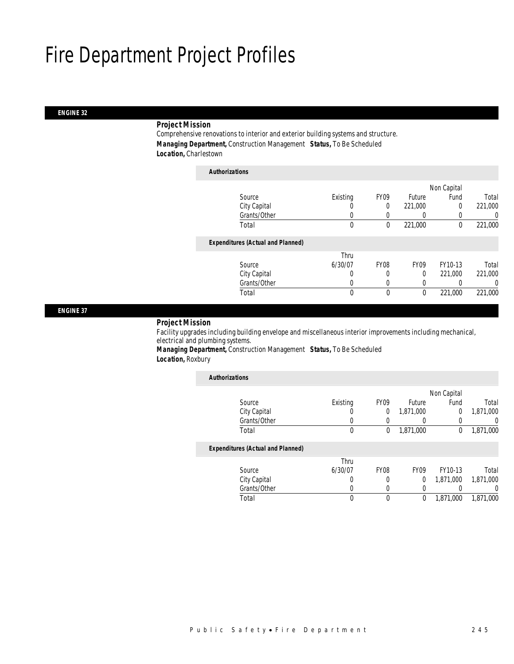#### *ENGINE 32*

### *Project Mission*

Comprehensive renovations to interior and exterior building systems and structure. *Managing Department,* Construction Management *Status,* To Be Scheduled *Location,* Charlestown

| <b>Authorizations</b>                    |              |                  |                  |             |         |
|------------------------------------------|--------------|------------------|------------------|-------------|---------|
|                                          |              |                  |                  | Non Capital |         |
| Source                                   | Existing     | FY <sub>09</sub> | Future           | Fund        | Total   |
| City Capital                             |              | $\theta$         | 221,000          | $\Omega$    | 221,000 |
| Grants/Other                             | 0            | 0                | $\left( \right)$ | 0           | 0       |
| Total                                    | 0            | 0                | 221,000          | 0           | 221,000 |
| <b>Expenditures (Actual and Planned)</b> |              |                  |                  |             |         |
|                                          | Thru         |                  |                  |             |         |
| Source                                   | 6/30/07      | <b>FY08</b>      | <b>FY09</b>      | FY10-13     | Total   |
| City Capital                             | 0            | 0                | $\Omega$         | 221,000     | 221,000 |
| Grants/Other                             | 0            | 0                |                  |             | 0       |
| Total                                    | $\mathbf{0}$ | $\theta$         | 0                | 221,000     | 221,000 |
|                                          |              |                  |                  |             |         |

*ENGINE 37* 

#### *Project Mission*

Facility upgrades including building envelope and miscellaneous interior improvements including mechanical, electrical and plumbing systems.

*Managing Department,* Construction Management *Status,* To Be Scheduled *Location,* Roxbury

| <b>Authorizations</b>                    |          |                  |                  |             |           |
|------------------------------------------|----------|------------------|------------------|-------------|-----------|
|                                          |          |                  |                  | Non Capital |           |
| Source                                   | Existing | FY <sub>09</sub> | Future           | Fund        | Total     |
| City Capital                             | 0        | 0                | 1,871,000        | $\Omega$    | 1,871,000 |
| Grants/Other                             | 0        | 0                |                  | 0           | 0         |
| Total                                    | 0        | 0                | 1.871.000        | $\theta$    | 1,871,000 |
| <b>Expenditures (Actual and Planned)</b> |          |                  |                  |             |           |
|                                          | Thru     |                  |                  |             |           |
| Source                                   | 6/30/07  | <b>FY08</b>      | FY <sub>09</sub> | FY10-13     | Total     |
| City Capital                             | 0        | 0                | 0                | 1,871,000   | 1,871,000 |
| Grants/Other                             | 0        | 0                | 0                |             | 0         |
| Total                                    | 0        | 0                | 0                | 1,871,000   | 1.871.000 |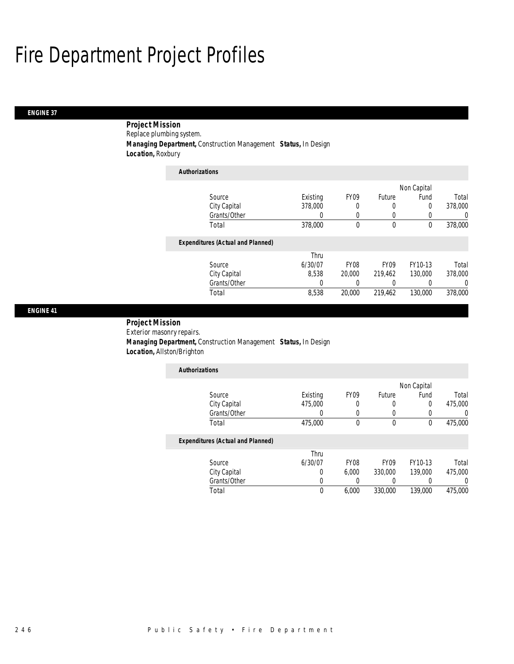#### *ENGINE 37*

 *Project Mission* Replace plumbing system. *Managing Department,* Construction Management *Status,* In Design *Location,* Roxbury

*Authorizations*

| Authorizations                           |          |                  |             |             |                  |
|------------------------------------------|----------|------------------|-------------|-------------|------------------|
|                                          |          |                  |             | Non Capital |                  |
| Source                                   | Existing | FY <sub>09</sub> | Future      | Fund        | Total            |
| City Capital                             | 378,000  | 0                | 0           | 0           | 378,000          |
| Grants/Other                             | 0        | $\left($         |             | 0           | 0                |
| Total                                    | 378,000  | 0                | $\mathbf 0$ | 0           | 378,000          |
| <b>Expenditures (Actual and Planned)</b> |          |                  |             |             |                  |
|                                          | Thru     |                  |             |             |                  |
| Source                                   | 6/30/07  | <b>FY08</b>      | <b>FY09</b> | FY10-13     | Total            |
| City Capital                             | 8.538    | 20,000           | 219.462     | 130,000     | 378,000          |
| Grants/Other                             | 0        | 0                |             |             | $\left( \right)$ |
| Total                                    | 8,538    | 20,000           | 219,462     | 130,000     | 378,000          |

#### *ENGINE 41*

*Project Mission* 

Exterior masonry repairs. *Managing Department,* Construction Management *Status,* In Design *Location,* Allston/Brighton

| <b>Authorizations</b>                    |          |                  |                  |             |         |
|------------------------------------------|----------|------------------|------------------|-------------|---------|
|                                          |          |                  |                  | Non Capital |         |
| Source                                   | Existing | FY <sub>09</sub> | Future           | Fund        | Total   |
| City Capital                             | 475,000  | 0                | 0                | 0           | 475,000 |
| Grants/Other                             |          | 0                | 0                | 0           |         |
| Total                                    | 475,000  | 0                | $\theta$         | 0           | 475,000 |
| <b>Expenditures (Actual and Planned)</b> |          |                  |                  |             |         |
|                                          | Thru     |                  |                  |             |         |
| Source                                   | 6/30/07  | FY <sub>08</sub> | FY <sub>09</sub> | FY10-13     | Total   |
| City Capital                             | 0        | 6.000            | 330,000          | 139,000     | 475,000 |
| Grants/Other                             |          |                  |                  |             |         |

Total 0 6,000 330,000 139,000 475,000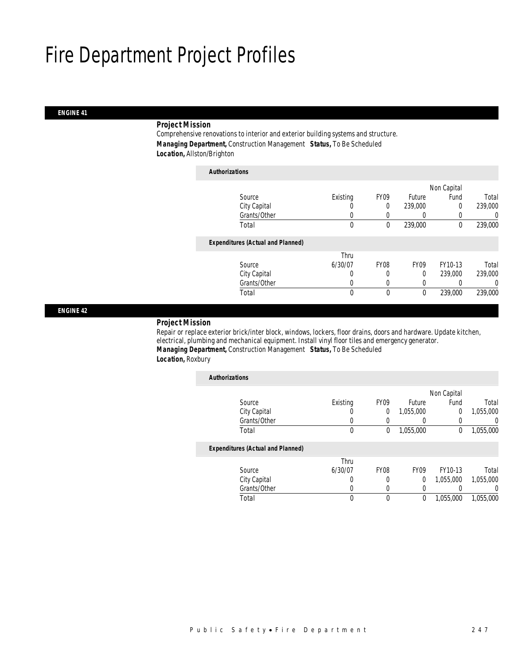#### *ENGINE 41*

### *Project Mission*

Comprehensive renovations to interior and exterior building systems and structure. *Managing Department,* Construction Management *Status,* To Be Scheduled *Location,* Allston/Brighton

| <b>Authorizations</b>                    |          |                  |             |             |         |
|------------------------------------------|----------|------------------|-------------|-------------|---------|
|                                          |          |                  |             | Non Capital |         |
| Source                                   | Existing | FY <sub>09</sub> | Future      | Fund        | Total   |
| City Capital                             |          | 0                | 239,000     | 0           | 239,000 |
| Grants/Other                             | 0        | 0                | 0           | 0           | 0       |
| Total                                    | 0        | 0                | 239,000     | 0           | 239,000 |
| <b>Expenditures (Actual and Planned)</b> |          |                  |             |             |         |
|                                          | Thru     |                  |             |             |         |
| Source                                   | 6/30/07  | <b>FY08</b>      | <b>FY09</b> | FY10-13     | Total   |
| City Capital                             | 0        | 0                | $\theta$    | 239,000     | 239,000 |
| Grants/Other                             |          |                  | 0           |             | 0       |
| Total                                    | 0        | 0                | 0           | 239,000     | 239,000 |

*ENGINE 42* 

#### *Project Mission*

Repair or replace exterior brick/inter block, windows, lockers, floor drains, doors and hardware. Update kitchen, electrical, plumbing and mechanical equipment. Install vinyl floor tiles and emergency generator. *Managing Department,* Construction Management *Status,* To Be Scheduled *Location,* Roxbury

| <b>Authorizations</b>                    |                  |                  |             |             |           |
|------------------------------------------|------------------|------------------|-------------|-------------|-----------|
|                                          |                  |                  |             | Non Capital |           |
| Source                                   | Existing         | FY <sub>09</sub> | Future      | Fund        | Total     |
| City Capital                             | $\left( \right)$ | $\Omega$         | 1,055,000   | $\Omega$    | 1,055,000 |
| Grants/Other                             |                  |                  |             |             | 0         |
| Total                                    | $\mathbf 0$      | 0                | 1,055,000   | 0           | 1,055,000 |
| <b>Expenditures (Actual and Planned)</b> |                  |                  |             |             |           |
|                                          | Thru             |                  |             |             |           |
| Source                                   | 6/30/07          | <b>FY08</b>      | <b>FY09</b> | FY10-13     | Total     |
| City Capital                             | 0                | 0                | 0           | 1,055,000   | 1,055,000 |
| Grants/Other                             |                  |                  |             |             | $\left($  |
| Total                                    | $\theta$         | $\theta$         | 0           | 1,055,000   | 1.055.000 |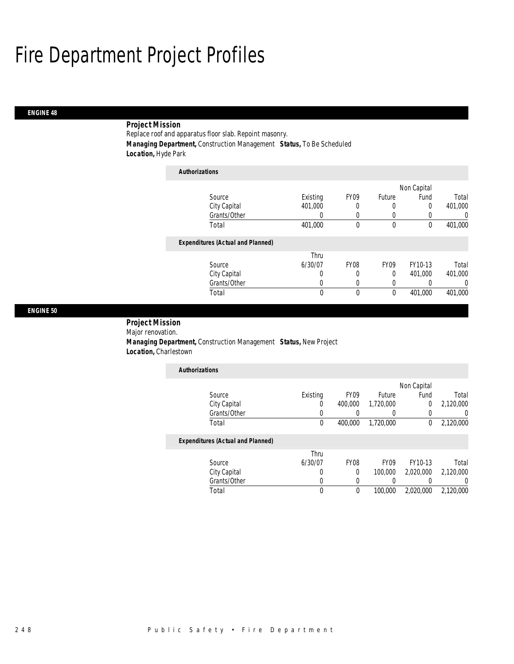### *ENGINE 48*

### *Project Mission*

Replace roof and apparatus floor slab. Repoint masonry. *Managing Department,* Construction Management *Status,* To Be Scheduled *Location,* Hyde Park

| <b>Authorizations</b>                    |          |             |               |             |                  |
|------------------------------------------|----------|-------------|---------------|-------------|------------------|
|                                          |          |             |               | Non Capital |                  |
| Source                                   | Existing | FY09        | <b>Future</b> | Fund        | Total            |
| City Capital                             | 401.000  | 0           | 0             | 0           | 401.000          |
| Grants/Other                             | 0        |             | 0             |             | $\left( \right)$ |
| Total                                    | 401,000  | 0           | 0             | 0           | 401,000          |
| <b>Expenditures (Actual and Planned)</b> |          |             |               |             |                  |
|                                          | Thru     |             |               |             |                  |
| Source                                   | 6/30/07  | <b>FY08</b> | <b>FY09</b>   | FY10-13     | Total            |
| City Capital                             | 0        | 0           | 0             | 401.000     | 401.000          |
| Grants/Other                             | 0        |             | 0             |             | $\left($         |
| Total                                    | 0        | 0           | 0             | 401.000     | 401.000          |

#### *ENGINE 50*

 *Project Mission* Major renovation.

 *Managing Department,* Construction Management *Status,* New Project *Location,* Charlestown

| <b>Authorizations</b> |          |                  |           |             |           |
|-----------------------|----------|------------------|-----------|-------------|-----------|
|                       |          |                  |           | Non Capital |           |
| Source                | Existing | FY <sub>09</sub> | Future    | Fund        | Total     |
| City Capital          |          | 400,000          | 1,720,000 |             | 2,120,000 |
| Grants/Other          |          |                  |           |             |           |
| Total                 |          | 400,000          | 1.720.000 |             | 2,120,000 |

#### *Expenditures (Actual and Planned)*

|              | Thru    |                  |                  |           |           |
|--------------|---------|------------------|------------------|-----------|-----------|
| Source       | 6/30/07 | FY <sub>08</sub> | FY <sub>09</sub> | FY10-13   | Total     |
| City Capital |         |                  | 100.000          | 2.020.000 | 2,120,000 |
| Grants/Other |         |                  |                  |           |           |
| Total        |         |                  | 100,000          | 2.020.000 | 2,120,000 |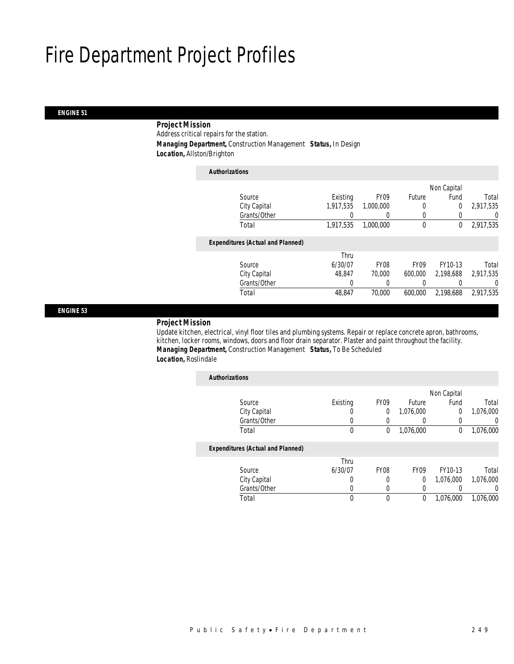#### *ENGINE 51*

### *Project Mission*

Address critical repairs for the station.

*Managing Department,* Construction Management *Status,* In Design

*Location,* Allston/Brighton

| <b>Authorizations</b>                    |           |                  |             |                |           |
|------------------------------------------|-----------|------------------|-------------|----------------|-----------|
|                                          |           |                  |             | Non Capital    |           |
| Source                                   | Existing  | FY <sub>09</sub> | Future      | Fund           | Total     |
| City Capital                             | 1,917,535 | 1,000,000        | 0           | $\overline{0}$ | 2,917,535 |
| Grants/Other                             |           | 0                | 0           | 0              | 0         |
| Total                                    | 1,917,535 | 1.000.000        | $\mathbf 0$ | 0              | 2,917,535 |
| <b>Expenditures (Actual and Planned)</b> |           |                  |             |                |           |
|                                          | Thru      |                  |             |                |           |
| Source                                   | 6/30/07   | FY <sub>08</sub> | <b>FY09</b> | FY10-13        | Total     |
| City Capital                             | 48.847    | 70,000           | 600,000     | 2.198.688      | 2,917,535 |
| Grants/Other                             | 0         | 0                |             |                | 0         |
| Total                                    | 48,847    | 70,000           | 600,000     | 2.198.688      | 2,917,535 |
|                                          |           |                  |             |                |           |

*ENGINE 53* 

#### *Project Mission*

Update kitchen, electrical, vinyl floor tiles and plumbing systems. Repair or replace concrete apron, bathrooms, kitchen, locker rooms, windows, doors and floor drain separator. Plaster and paint throughout the facility. *Managing Department,* Construction Management *Status,* To Be Scheduled *Location,* Roslindale

| <b>Authorizations</b>                    |          |                  |             |             |           |
|------------------------------------------|----------|------------------|-------------|-------------|-----------|
|                                          |          |                  |             | Non Capital |           |
| Source                                   | Existing | FY <sub>09</sub> | Future      | Fund        | Total     |
| City Capital                             | 0        | $\Omega$         | 1,076,000   | 0           | 1,076,000 |
| Grants/Other                             | 0        |                  | 0           | 0           | 0         |
| Total                                    | 0        | 0                | 1,076,000   | 0           | 1,076,000 |
| <b>Expenditures (Actual and Planned)</b> |          |                  |             |             |           |
|                                          | Thru     |                  |             |             |           |
| Source                                   | 6/30/07  | FY <sub>08</sub> | <b>FY09</b> | FY10-13     | Total     |
| City Capital                             | 0        | 0                | 0           | 1,076,000   | 1.076.000 |
| Grants/Other                             | 0        | 0                | 0           |             | $\left($  |
| Total                                    | 0        | $\Omega$         | 0           | 1.076.000   | 1.076.000 |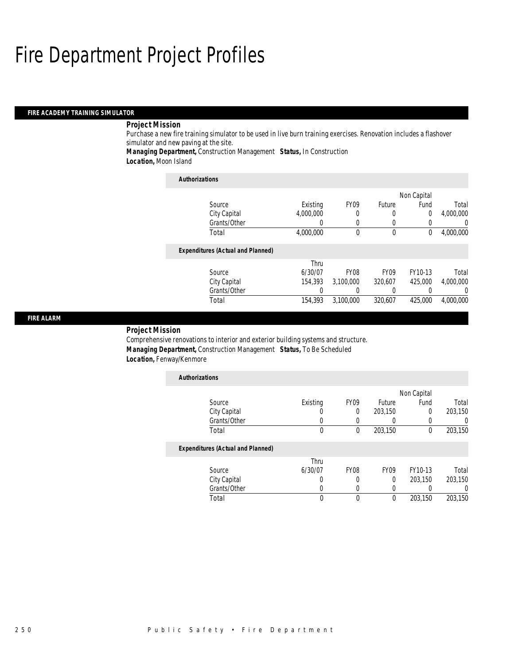#### *FIRE ACADEMY TRAINING SIMULATOR*

### *Project Mission*

Purchase a new fire training simulator to be used in live burn training exercises. Renovation includes a flashover simulator and new paving at the site.

*Managing Department,* Construction Management *Status,* In Construction

*Location,* Moon Island

| <b>Authorizations</b>                    |           |                  |                  |             |           |
|------------------------------------------|-----------|------------------|------------------|-------------|-----------|
|                                          |           |                  |                  | Non Capital |           |
| Source                                   | Existing  | <b>FY09</b>      | Future           | Fund        | Total     |
| City Capital                             | 4,000,000 | 0                | 0                | $\Omega$    | 4,000,000 |
| Grants/Other                             |           | 0                | 0                | 0           |           |
| Total                                    | 4,000,000 | $\theta$         | $\mathbf 0$      | 0           | 4,000,000 |
| <b>Expenditures (Actual and Planned)</b> |           |                  |                  |             |           |
|                                          | Thru      |                  |                  |             |           |
| Source                                   | 6/30/07   | FY <sub>08</sub> | FY <sub>09</sub> | FY10-13     | Total     |
| City Capital                             | 154,393   | 3.100.000        | 320.607          | 425,000     | 4.000.000 |
| Grants/Other                             |           | $\left($         | 0                | 0           | 0         |
| Total                                    | 154,393   | 3,100,000        | 320.607          | 425,000     | 4,000,000 |

### *FIRE ALARM*

### *Project Mission*

Comprehensive renovations to interior and exterior building systems and structure. *Managing Department,* Construction Management *Status,* To Be Scheduled *Location,* Fenway/Kenmore

| <b>Authorizations</b>                    |          |                  |               |             |         |
|------------------------------------------|----------|------------------|---------------|-------------|---------|
|                                          |          |                  |               | Non Capital |         |
| Source                                   | Existing | FY <sub>09</sub> | <b>Future</b> | Fund        | Total   |
| City Capital                             |          | $\Omega$         | 203,150       | 0           | 203,150 |
| Grants/Other                             |          |                  |               | 0           | 0       |
| Total                                    | 0        | $\theta$         | 203,150       | 0           | 203,150 |
| <b>Expenditures (Actual and Planned)</b> |          |                  |               |             |         |
|                                          | Thru     |                  |               |             |         |
| Source                                   | 6/30/07  | <b>FY08</b>      | <b>FY09</b>   | FY10-13     | Total   |
| City Capital                             | O        | 0                | $\theta$      | 203.150     | 203,150 |
| Grants/Other                             |          | $\left($         |               | 0           | 0       |
| Total                                    | 0        | $\Omega$         | $\theta$      | 203.150     | 203.150 |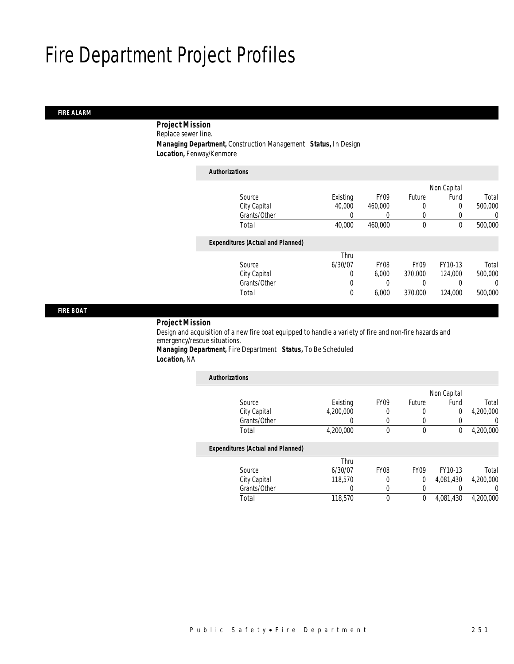### *FIRE ALARM*

*Project Mission* 

Replace sewer line.

*Managing Department,* Construction Management *Status,* In Design

*Location,* Fenway/Kenmore

| <b>Authorizations</b>                    |          |                  |             |             |         |
|------------------------------------------|----------|------------------|-------------|-------------|---------|
|                                          |          |                  |             | Non Capital |         |
| Source                                   | Existing | FY <sub>09</sub> | Future      | Fund        | Total   |
| City Capital                             | 40,000   | 460,000          | 0           | $\Omega$    | 500,000 |
| Grants/Other                             | 0        |                  | 0           | 0           | 0       |
| Total                                    | 40,000   | 460.000          | 0           | 0           | 500,000 |
| <b>Expenditures (Actual and Planned)</b> |          |                  |             |             |         |
|                                          | Thru     |                  |             |             |         |
| Source                                   | 6/30/07  | FY08             | <b>FY09</b> | FY10-13     | Total   |
| City Capital                             | 0        | 6.000            | 370,000     | 124,000     | 500,000 |
| Grants/Other                             | 0        |                  | 0           | 0           | 0       |
| Total                                    | 0        | 6.000            | 370,000     | 124,000     | 500,000 |

*FIRE BOAT* 

#### *Project Mission*

Design and acquisition of a new fire boat equipped to handle a variety of fire and non-fire hazards and emergency/rescue situations. *Managing Department,* Fire Department *Status,* To Be Scheduled

*Location,* NA

| <b>Authorizations</b>                    |           |             |                  |                |           |
|------------------------------------------|-----------|-------------|------------------|----------------|-----------|
|                                          |           |             |                  | Non Capital    |           |
| Source                                   | Existing  | <b>FY09</b> | Future           | Fund           | Total     |
| City Capital                             | 4,200,000 |             | 0                | $\overline{0}$ | 4,200,000 |
| Grants/Other                             |           | 0           | $\Omega$         |                | 0         |
| Total                                    | 4,200,000 | 0           | $\mathbf 0$      | 0              | 4,200,000 |
| <b>Expenditures (Actual and Planned)</b> |           |             |                  |                |           |
|                                          | Thru      |             |                  |                |           |
| Source                                   | 6/30/07   | <b>FY08</b> | FY <sub>09</sub> | FY10-13        | Total     |
| City Capital                             | 118,570   | 0           | $\Omega$         | 4,081,430      | 4,200,000 |
| Grants/Other                             | 0         | $\left($    | 0                |                | 0         |
| Total                                    | 118,570   | $\theta$    | 0                | 4,081,430      | 4.200.000 |
|                                          |           |             |                  |                |           |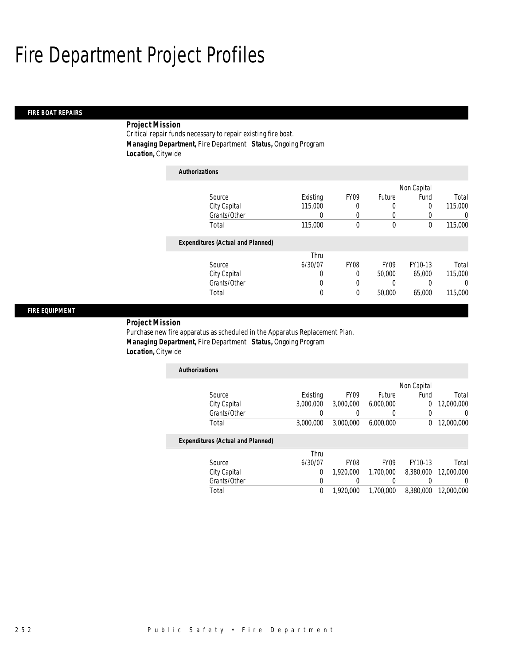#### *FIRE BOAT REPAIRS*

### *Project Mission*

Critical repair funds necessary to repair existing fire boat. *Managing Department,* Fire Department *Status,* Ongoing Program *Location,* Citywide

| <b>Authorizations</b>                    |                  |             |             |             |                  |
|------------------------------------------|------------------|-------------|-------------|-------------|------------------|
|                                          |                  |             |             | Non Capital |                  |
| Source                                   | Existing         | <b>FY09</b> | Future      | Fund        | Total            |
| City Capital                             | 115,000          | 0           |             | $\Omega$    | 115,000          |
| Grants/Other                             | $\left( \right)$ | 0           |             |             | $\left( \right)$ |
| Total                                    | 115,000          | $\theta$    | $\mathbf 0$ | $\theta$    | 115,000          |
| <b>Expenditures (Actual and Planned)</b> |                  |             |             |             |                  |
|                                          | Thru             |             |             |             |                  |
| Source                                   | 6/30/07          | <b>FY08</b> | <b>FY09</b> | FY10-13     | Total            |
| City Capital                             | 0                | 0           | 50,000      | 65,000      | 115,000          |
| Grants/Other                             | 0                | 0           |             |             | 0                |
| Total                                    | 0                | 0           | 50,000      | 65,000      | 115,000          |

#### *FIRE EQUIPMENT*

*Project Mission* 

Purchase new fire apparatus as scheduled in the Apparatus Replacement Plan. *Managing Department,* Fire Department *Status,* Ongoing Program *Location,* Citywide

| <b>Authorizations</b> |           |                  |           |             |            |
|-----------------------|-----------|------------------|-----------|-------------|------------|
|                       |           |                  |           | Non Capital |            |
| Source                | Existing  | FY <sub>09</sub> | Future    | Fund        | Total      |
| City Capital          | 3.000.000 | 3,000,000        | 6,000,000 |             | 12,000,000 |
| Grants/Other          |           |                  |           |             |            |
| Total                 | 3,000,000 | 3,000,000        | 6,000,000 |             | 12,000,000 |

#### *Expenditures (Actual and Planned)*

|              | Thru    |           |                  |           |                      |
|--------------|---------|-----------|------------------|-----------|----------------------|
| Source       | 6/30/07 | FY08      | FY <sub>09</sub> | FY10-13   | Total                |
| City Capital |         | 1,920,000 | 1,700,000        | 8.380.000 | 12,000,000           |
| Grants/Other |         |           |                  |           |                      |
| Total        |         | 1,920,000 | 1,700,000        |           | 8.380.000 12.000.000 |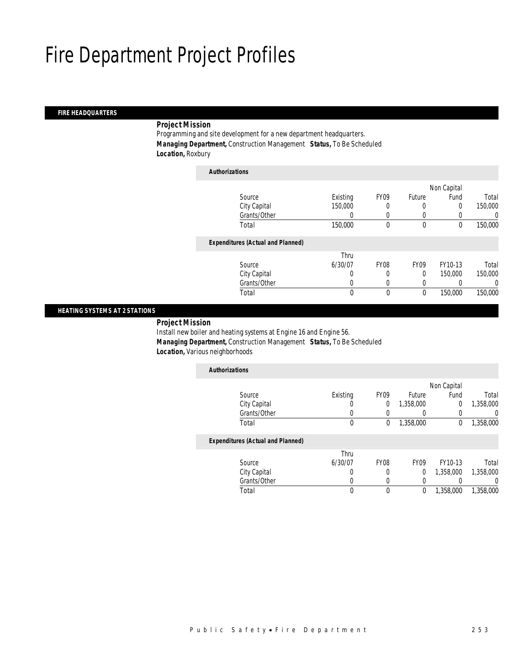### *FIRE HEADQUARTERS*

### *Project Mission*

Programming and site development for a new department headquarters. *Managing Department,* Construction Management *Status,* To Be Scheduled *Location,* Roxbury

| <b>Authorizations</b>                    |          |                  |                  |             |         |
|------------------------------------------|----------|------------------|------------------|-------------|---------|
|                                          |          |                  |                  | Non Capital |         |
| Source                                   | Existing | FY <sub>09</sub> | Future           | Fund        | Total   |
| City Capital                             | 150,000  |                  | $\left($         | 0           | 150,000 |
| Grants/Other                             |          | 0                | $\left($         |             | 0       |
| Total                                    | 150,000  | $\theta$         | $\mathbf 0$      | 0           | 150,000 |
| <b>Expenditures (Actual and Planned)</b> |          |                  |                  |             |         |
|                                          | Thru     |                  |                  |             |         |
| Source                                   | 6/30/07  | FY <sub>08</sub> | FY <sub>09</sub> | FY10-13     | Total   |
| City Capital                             | 0        | 0                | 0                | 150,000     | 150,000 |
| Grants/Other                             | 0        | $\left($         | $\left($         |             | 0       |
| Total                                    | 0        | $\theta$         | 0                | 150,000     | 150,000 |

#### *HEATING SYSTEMS AT 2 STATIONS*

*Project Mission* 

Install new boiler and heating systems at Engine 16 and Engine 56. *Managing Department,* Construction Management *Status,* To Be Scheduled *Location,* Various neighborhoods

| <b>Authorizations</b>                    |              |      |           |             |           |
|------------------------------------------|--------------|------|-----------|-------------|-----------|
|                                          |              |      |           | Non Capital |           |
| Source                                   | Existing     | FY09 | Future    | Fund        | Total     |
| City Capital                             | O            | 0    | 1,358,000 | 0           | 1,358,000 |
| Grants/Other                             |              |      |           |             |           |
| Total                                    | 0            | 0    | 1,358,000 | 0           | 1,358,000 |
| <b>Expenditures (Actual and Planned)</b> |              |      |           |             |           |
|                                          | $\mathbf{r}$ |      |           |             |           |

|              | Thru    |      |      |           |           |
|--------------|---------|------|------|-----------|-----------|
| Source       | 6/30/07 | FY08 | FY09 | FY10-13   | Total     |
| City Capital |         |      |      | 1,358,000 | 1,358,000 |
| Grants/Other |         |      |      |           |           |
| Total        |         |      |      | 1,358,000 | 1,358,000 |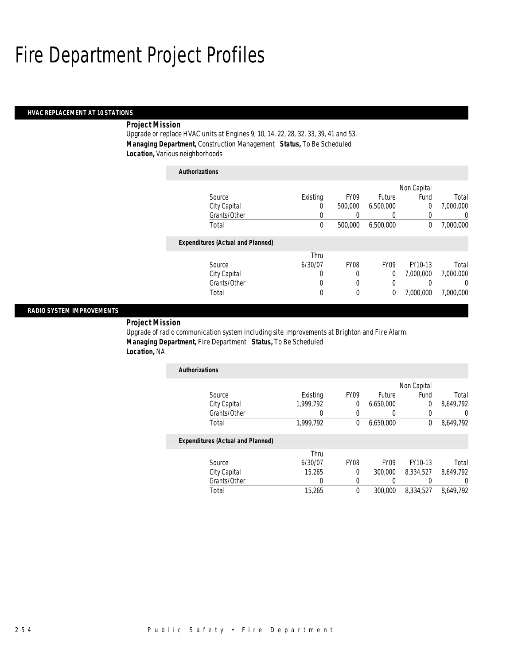#### *HVAC REPLACEMENT AT 10 STATIONS*

### *Project Mission*

Upgrade or replace HVAC units at Engines 9, 10, 14, 22, 28, 32, 33, 39, 41 and 53. *Managing Department,* Construction Management *Status,* To Be Scheduled *Location,* Various neighborhoods

| <b>Authorizations</b> |                                          |          |             |             |             |           |
|-----------------------|------------------------------------------|----------|-------------|-------------|-------------|-----------|
|                       |                                          |          |             |             | Non Capital |           |
|                       | Source                                   | Existing | <b>FY09</b> | Future      | Fund        | Total     |
|                       | City Capital                             | 0        | 500,000     | 6,500,000   | 0           | 7.000.000 |
|                       | Grants/Other                             | 0        |             |             | 0           | 0         |
|                       | Total                                    | 0        | 500,000     | 6,500,000   | 0           | 7,000,000 |
|                       | <b>Expenditures (Actual and Planned)</b> |          |             |             |             |           |
|                       |                                          | Thru     |             |             |             |           |
|                       | Source                                   | 6/30/07  | <b>FY08</b> | <b>FY09</b> | FY10-13     | Total     |
|                       | City Capital                             | 0        | 0           | 0           | 7.000.000   | 7.000.000 |
|                       | Grants/Other                             | 0        | 0           | 0           | 0           | 0         |
|                       | Total                                    | 0        | 0           | 0           | 7.000.000   | 7.000.000 |

#### *RADIO SYSTEM IMPROVEMENTS*

*Project Mission* 

Upgrade of radio communication system including site improvements at Brighton and Fire Alarm. *Managing Department,* Fire Department *Status,* To Be Scheduled *Location,* NA

| <b>Authorizations</b>             |           |                  |           |             |           |
|-----------------------------------|-----------|------------------|-----------|-------------|-----------|
|                                   |           |                  |           | Non Capital |           |
| Source                            | Existing  | FY <sub>09</sub> | Future    | Fund        | Total     |
| City Capital                      | 1,999,792 |                  | 6,650,000 |             | 8,649,792 |
| Grants/Other                      |           |                  |           |             |           |
| Total                             | 1,999,792 |                  | 6,650,000 |             | 8,649,792 |
| Expenditures (Actual and Planned) |           |                  |           |             |           |

#### *Expenditures (Actual and Planned)*

| Total        | 15,265  |                  | 300,000          | 8.334.527 | 8.649.792 |
|--------------|---------|------------------|------------------|-----------|-----------|
| Grants/Other |         |                  |                  |           |           |
| City Capital | 15.265  |                  | 300,000          | 8.334.527 | 8.649.792 |
| Source       | 6/30/07 | FY <sub>08</sub> | FY <sub>09</sub> | FY10-13   | Total     |
|              | Thru    |                  |                  |           |           |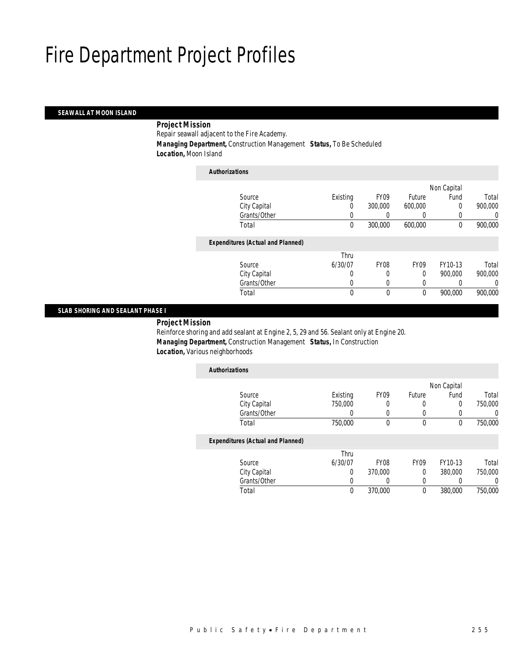### *SEAWALL AT MOON ISLAND*

### *Project Mission*

Repair seawall adjacent to the Fire Academy.

*Managing Department,* Construction Management *Status,* To Be Scheduled

*Location,* Moon Island

| <b>Authorizations</b>                    |          |                  |                  |             |         |
|------------------------------------------|----------|------------------|------------------|-------------|---------|
|                                          |          |                  |                  | Non Capital |         |
| Source                                   | Existing | FY <sub>09</sub> | Future           | Fund        | Total   |
| City Capital                             | 0        | 300,000          | 600,000          | 0           | 900,000 |
| Grants/Other                             | 0        |                  |                  |             | 0       |
| Total                                    | 0        | 300,000          | 600,000          | 0           | 900,000 |
| <b>Expenditures (Actual and Planned)</b> |          |                  |                  |             |         |
|                                          | Thru     |                  |                  |             |         |
| Source                                   | 6/30/07  | <b>FY08</b>      | FY <sub>09</sub> | FY10-13     | Total   |
| City Capital                             | 0        | 0                | $\Omega$         | 900.000     | 900,000 |
| Grants/Other                             | 0        | 0                | 0                |             | 0       |
| Total                                    | 0        | $\theta$         | 0                | 900,000     | 900,000 |

#### *SLAB SHORING AND SEALANT PHASE I*

*Project Mission* 

Reinforce shoring and add sealant at Engine 2, 5, 29 and 56. Sealant only at Engine 20. *Managing Department,* Construction Management *Status,* In Construction *Location,* Various neighborhoods

| <b>Authorizations</b>                    |                 |             |                  |             |              |
|------------------------------------------|-----------------|-------------|------------------|-------------|--------------|
|                                          |                 |             |                  | Non Capital |              |
| Source                                   | Existing        | FY09        | Future           | Fund        | Total        |
| City Capital                             | 750,000         | 0           | $\left( \right)$ | 0           | 750,000      |
| Grants/Other                             |                 |             |                  | 0           |              |
| Total                                    | 750,000         | 0           | 0                | 0           | 750,000      |
| <b>Expenditures (Actual and Planned)</b> |                 |             |                  |             |              |
| S <sub>Q</sub>                           | Thru<br>4/20/07 | <b>EVNQ</b> | <b>EVNO</b>      | EV10 12     | <b>Total</b> |

| Total        |         | 370,000          |                  | 380,000 | 750,000 |
|--------------|---------|------------------|------------------|---------|---------|
| Grants/Other |         |                  |                  |         |         |
| City Capital |         | 370,000          |                  | 380,000 | 750,000 |
| Source       | 6/30/07 | FY <sub>08</sub> | FY <sub>09</sub> | FY10-13 | Total   |
|              | .       |                  |                  |         |         |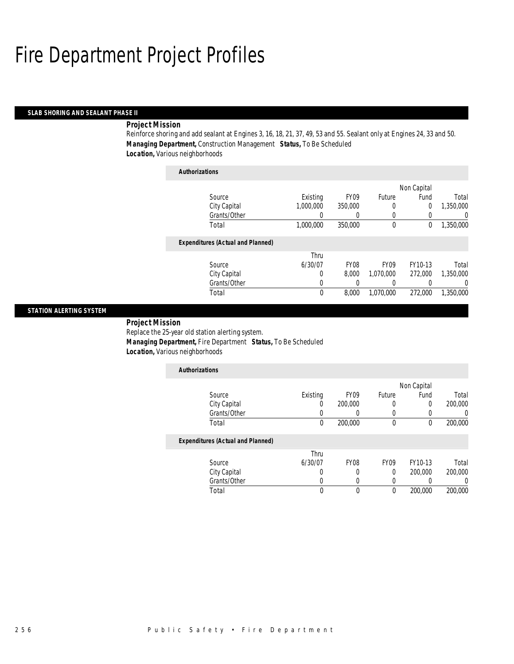#### *SLAB SHORING AND SEALANT PHASE II*

#### *Project Mission*

Reinforce shoring and add sealant at Engines 3, 16, 18, 21, 37, 49, 53 and 55. Sealant only at Engines 24, 33 and 50. *Managing Department,* Construction Management *Status,* To Be Scheduled *Location,* Various neighborhoods

| Authorizations                           |           |                  |              |             |           |
|------------------------------------------|-----------|------------------|--------------|-------------|-----------|
|                                          |           |                  |              | Non Capital |           |
| Source                                   | Existing  | FY <sub>09</sub> | Future       | Fund        | Total     |
| City Capital                             | 1,000,000 | 350,000          | 0            | $\Omega$    | 1,350,000 |
| Grants/Other                             |           |                  | 0            |             | 0         |
| Total                                    | 1,000,000 | 350,000          | $\mathbf{0}$ | 0           | 1,350,000 |
| <b>Expenditures (Actual and Planned)</b> |           |                  |              |             |           |
|                                          | Thru      |                  |              |             |           |
| Source                                   | 6/30/07   | <b>FY08</b>      | <b>FY09</b>  | FY10-13     | Total     |
| City Capital                             | 0         | 8.000            | 1.070.000    | 272,000     | 1.350.000 |
| Grants/Other                             | 0         | 0                | 0            | 0           | $\left($  |
| Total                                    | $\theta$  | 8,000            | 1.070.000    | 272,000     | 1.350.000 |
|                                          |           |                  |              |             |           |

#### *STATION ALERTING SYSTEM*

*Project Mission* 

Replace the 25-year old station alerting system.

*Authorizations*

*Managing Department,* Fire Department *Status,* To Be Scheduled

|  | Location, Various neighborhoods |
|--|---------------------------------|
|--|---------------------------------|

| <b>Authorizations</b>                                                                                                               |          |                  |        |             |         |
|-------------------------------------------------------------------------------------------------------------------------------------|----------|------------------|--------|-------------|---------|
|                                                                                                                                     |          |                  |        | Non Capital |         |
| Source                                                                                                                              | Existing | FY <sub>09</sub> | Future | Fund        | Total   |
| City Capital                                                                                                                        | 0        | 200,000          |        |             | 200,000 |
| Grants/Other                                                                                                                        |          |                  |        |             |         |
| Total                                                                                                                               | 0        | 200,000          |        |             | 200,000 |
| $\mathbf{F}$ and $\mathbf{F}$ and $\mathbf{F}$ and $\mathbf{F}$ and $\mathbf{F}$ and $\mathbf{F}$ and $\mathbf{F}$ and $\mathbf{F}$ |          |                  |        |             |         |

#### *Expenditures (Actual and Planned)*

|              | Thru    |             |      |         |         |
|--------------|---------|-------------|------|---------|---------|
| Source       | 6/30/07 | <b>FY08</b> | FY09 | FY10-13 | Total   |
| City Capital |         |             |      | 200,000 | 200,000 |
| Grants/Other |         |             |      |         |         |
| Total        |         |             |      | 200,000 | 200,000 |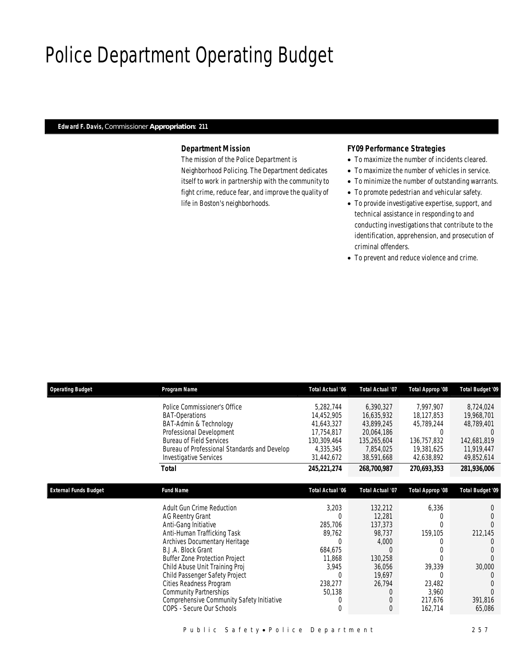## Police Department Operating Budget

#### *Edward F. Davis, Commissioner Appropriation: 211*

### *Department Mission*

The mission of the Police Department is Neighborhood Policing. The Department dedicates itself to work in partnership with the community to fight crime, reduce fear, and improve the quality of life in Boston's neighborhoods.

### *FY09 Performance Strategies*

- To maximize the number of incidents cleared.
- To maximize the number of vehicles in service.
- To minimize the number of outstanding warrants.
- To promote pedestrian and vehicular safety.
- To provide investigative expertise, support, and technical assistance in responding to and conducting investigations that contribute to the identification, apprehension, and prosecution of criminal offenders.
- To prevent and reduce violence and crime.

| <b>Operating Budget</b>      | Program Name                                                                    | <b>Total Actual '06</b>  | <b>Total Actual '07</b>  | Total Approp '08          | Total Budget '09          |
|------------------------------|---------------------------------------------------------------------------------|--------------------------|--------------------------|---------------------------|---------------------------|
|                              | Police Commissioner's Office                                                    | 5,282,744                | 6,390,327                | 7,997,907                 | 8,724,024                 |
|                              | <b>BAT-Operations</b>                                                           | 14,452,905               | 16,635,932               | 18,127,853                | 19,968,701                |
|                              | BAT-Admin & Technology                                                          | 41,643,327               | 43,899,245               | 45,789,244                | 48,789,401                |
|                              | Professional Development                                                        | 17,754,817               | 20,064,186               | $\Omega$                  | $\Omega$                  |
|                              | <b>Bureau of Field Services</b><br>Bureau of Professional Standards and Develop | 130,309,464<br>4,335,345 | 135,265,604<br>7,854,025 | 136,757,832<br>19,381,625 | 142,681,819<br>11,919,447 |
|                              | <b>Investigative Services</b>                                                   | 31,442,672               | 38,591,668               | 42,638,892                | 49,852,614                |
|                              |                                                                                 |                          |                          |                           |                           |
|                              | Total                                                                           | 245,221,274              | 268,700,987              | 270,693,353               | 281,936,006               |
|                              |                                                                                 |                          |                          |                           |                           |
| <b>External Funds Budget</b> | <b>Fund Name</b>                                                                | <b>Total Actual '06</b>  | <b>Total Actual '07</b>  | Total Approp '08          | <b>Total Budget '09</b>   |
|                              | Adult Gun Crime Reduction                                                       | 3,203                    | 132,212                  | 6,336                     |                           |
|                              | <b>AG Reentry Grant</b>                                                         | $\overline{0}$           | 12,281                   |                           |                           |
|                              | Anti-Gang Initiative                                                            | 285,706                  | 137,373                  |                           |                           |
|                              | Anti-Human Trafficking Task                                                     | 89,762                   | 98,737                   | 159,105                   | 212,145                   |
|                              | Archives Documentary Heritage                                                   | $\overline{0}$           | 4,000                    |                           | O                         |
|                              | B.J.A. Block Grant                                                              | 684,675                  | ſ                        |                           |                           |
|                              | <b>Buffer Zone Protection Project</b>                                           | 11,868                   | 130,258                  |                           |                           |
|                              | Child Abuse Unit Training Proj                                                  | 3,945                    | 36,056                   | 39,339                    | 30,000                    |
|                              | Child Passenger Safety Project                                                  | $\Omega$                 | 19,697                   |                           |                           |
|                              | Cities Readness Program                                                         | 238,277                  | 26,794                   | 23,482                    |                           |
|                              | <b>Community Partnerships</b>                                                   | 50,138                   | 0                        | 3,960                     | $\Omega$                  |
|                              | Comprehensive Community Safety Initiative                                       | 0                        |                          | 217,676                   | 391,816                   |
|                              | COPS - Secure Our Schools                                                       | $\overline{0}$           | $\Omega$                 | 162,714                   | 65,086                    |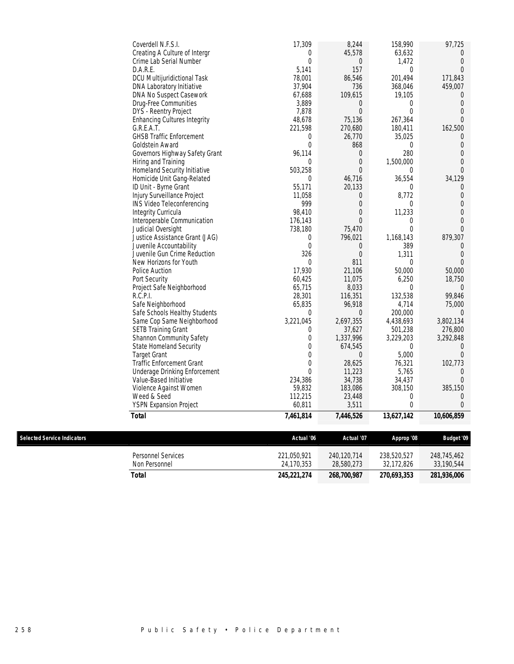|                             | Coverdell N.F.S.I.<br>Creating A Culture of Intergr | 17,309<br>0      | 8,244<br>45,578  | 158,990<br>63,632 | 97,725<br>$\overline{0}$ |
|-----------------------------|-----------------------------------------------------|------------------|------------------|-------------------|--------------------------|
|                             | Crime Lab Serial Number                             | $\overline{0}$   | $\theta$         | 1,472             | 0                        |
|                             | D.A.R.E.                                            | 5,141            | 157              | 0                 | $\Omega$                 |
|                             | DCU Multijuridictional Task                         | 78,001           | 86,546           | 201,494           | 171,843                  |
|                             | DNA Laboratory Initiative                           | 37,904           | 736              | 368,046           | 459,007                  |
|                             | DNA No Suspect Casework                             | 67,688           | 109,615          | 19,105            | $\overline{0}$           |
|                             | Drug-Free Communities                               | 3,889            | $\boldsymbol{0}$ | 0                 | $\overline{0}$           |
|                             | DYS - Reentry Project                               | 7,878            | $\theta$         | 0                 | 0                        |
|                             | <b>Enhancing Cultures Integrity</b>                 | 48,678           | 75,136           | 267,364           | $\Omega$                 |
|                             | G.R.E.A.T.                                          | 221,598          | 270,680          | 180,411           | 162,500                  |
|                             | <b>GHSB Traffic Enforcement</b>                     | 0                | 26,770           | 35,025            | $\overline{0}$           |
|                             | Goldstein Award                                     | $\mathbf 0$      | 868              | 0                 | 0                        |
|                             | Governors Highway Safety Grant                      | 96,114           | $\boldsymbol{0}$ | 280               | 0                        |
|                             | Hiring and Training                                 | $\Omega$         | $\theta$         | 1,500,000         | 0                        |
|                             | Homeland Security Initiative                        | 503,258          | $\overline{0}$   | $\Omega$          | $\Omega$                 |
|                             | Homicide Unit Gang-Related                          | 0                | 46,716           | 36,554            | 34,129                   |
|                             | ID Unit - Byrne Grant                               | 55,171           | 20,133           | 0                 | $\overline{0}$           |
|                             | Injury Surveillance Project                         | 11,058           | $\theta$         | 8,772             | 0                        |
|                             | INS Video Teleconferencing                          | 999              | $\theta$         | 0                 | 0                        |
|                             | Integrity Curricula                                 | 98,410           | $\theta$         | 11,233            | 0                        |
|                             | Interoperable Communication                         | 176,143          | $\overline{0}$   | 0                 | $\Omega$                 |
|                             | Judicial Oversight                                  | 738,180          | 75,470           | 0                 | $\Omega$                 |
|                             | Justice Assistance Grant (JAG)                      | 0                | 796,021          | 1,168,143         | 879,307                  |
|                             | Juvenile Accountability                             | $\overline{0}$   | 0                | 389               | 0                        |
|                             | Juvenile Gun Crime Reduction                        | 326              | $\theta$         | 1,311             | $\theta$                 |
|                             | New Horizons for Youth                              | $\Omega$         | 811              | 0                 | $\Omega$                 |
|                             | Police Auction                                      | 17,930           | 21,106           | 50,000            | 50,000                   |
|                             | Port Security                                       | 60,425           | 11,075           | 6,250             | 18,750                   |
|                             | Project Safe Neighborhood                           | 65,715           | 8,033            | 0                 | $\overline{0}$           |
|                             | R.C.P.I.                                            | 28,301           | 116,351          | 132,538           | 99,846                   |
|                             | Safe Neighborhood                                   | 65,835           | 96,918           | 4,714             | 75,000                   |
|                             | Safe Schools Healthy Students                       | 0                | $\theta$         | 200,000           | $\overline{0}$           |
|                             | Same Cop Same Neighborhood                          | 3,221,045        | 2,697,355        | 4,438,693         | 3,802,134                |
|                             | <b>SETB Training Grant</b>                          | 0                | 37,627           | 501,238           | 276,800                  |
|                             | Shannon Community Safety                            | 0                | 1,337,996        | 3,229,203         | 3,292,848                |
|                             | State Homeland Security                             | $\overline{0}$   | 674,545          | 0                 | 0                        |
|                             | <b>Target Grant</b>                                 | $\boldsymbol{0}$ | $\theta$         | 5,000             | $\Omega$                 |
|                             | <b>Traffic Enforcement Grant</b>                    | 0                | 28,625           | 76,321            | 102,773                  |
|                             | <b>Underage Drinking Enforcement</b>                | $\Omega$         | 11,223           | 5,765             | 0                        |
|                             | Value-Based Initiative                              | 234,386          | 34,738           | 34,437            | $\Omega$                 |
|                             | Violence Against Women                              | 59,832           | 183,086          | 308,150           | 385,150                  |
|                             | Weed & Seed                                         | 112,215          | 23,448           | 0                 | 0                        |
|                             | <b>YSPN Expansion Project</b>                       | 60,811           | 3,511            | 0                 | 0                        |
|                             | <b>Total</b>                                        | 7,461,814        | 7,446,526        | 13,627,142        | 10,606,859               |
|                             |                                                     |                  |                  |                   |                          |
| Selected Service Indicators |                                                     | Actual '06       | Actual '07       | Approp '08        | <b>Budget '09</b>        |
|                             | Personnel Services                                  | 221,050,921      | 240,120,714      | 238,520,527       | 248,745,462              |
|                             | Non Personnel                                       | 24,170,353       | 28,580,273       | 32,172,826        | 33,190,544               |
|                             | <b>Total</b>                                        | 245,221,274      | 268,700,987      | 270,693,353       | 281,936,006              |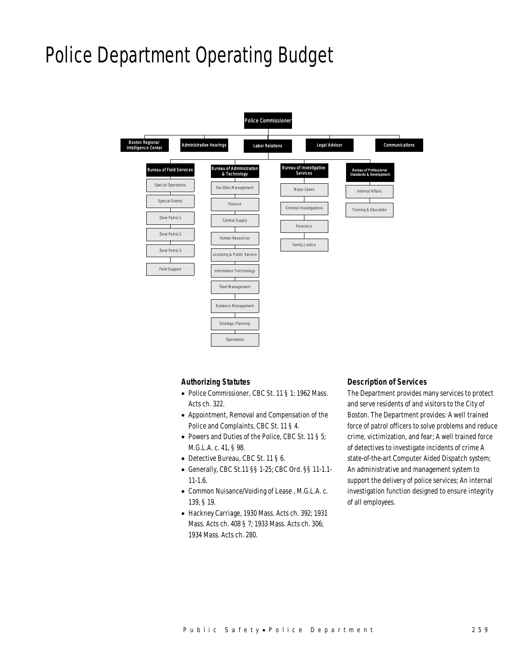## Police Department Operating Budget



### *Authorizing Statutes*

- Police Commissioner, CBC St. 11 § 1; 1962 Mass. Acts ch. 322.
- Appointment, Removal and Compensation of the Police and Complaints, CBC St. 11 § 4.
- Powers and Duties of the Police, CBC St. 11 § 5; M.G.L.A. c. 41, § 98.
- Detective Bureau, CBC St. 11 § 6.
- Generally, CBC St.11 §§ 1-25; CBC Ord. §§ 11-1.1- 11-1.6.
- Common Nuisance/Voiding of Lease , M.G.L.A. c. 139, § 19.
- Hackney Carriage, 1930 Mass. Acts ch. 392; 1931 Mass. Acts ch. 408 § 7; 1933 Mass. Acts ch. 306; 1934 Mass. Acts ch. 280.

#### *Description of Services*

The Department provides many services to protect and serve residents of and visitors to the City of Boston. The Department provides: A well trained force of patrol officers to solve problems and reduce crime, victimization, and fear; A well trained force of detectives to investigate incidents of crime A state-of-the-art Computer Aided Dispatch system; An administrative and management system to support the delivery of police services; An internal investigation function designed to ensure integrity of all employees.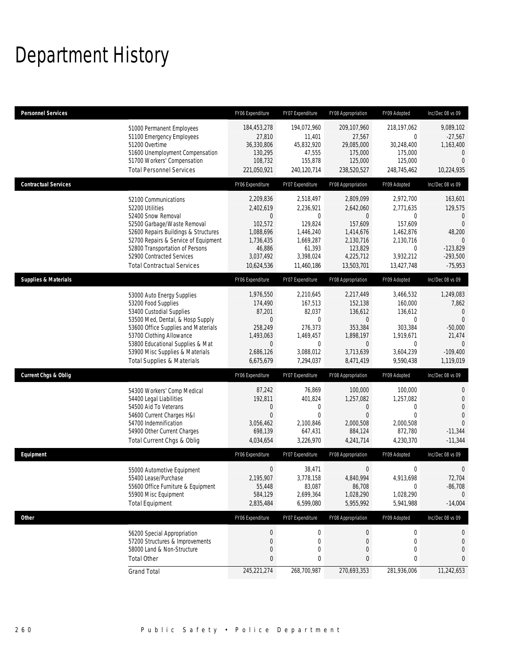## Department History

| <b>Personnel Services</b>       |                                                                                                                                                                                                                                                                                                      | FY06 Expenditure                                                                                      | FY07 Expenditure                                                                                                 | FY08 Appropriation                                                                                                    | FY09 Adopted                                                                                               | Inc/Dec 08 vs 09                                                                                                        |
|---------------------------------|------------------------------------------------------------------------------------------------------------------------------------------------------------------------------------------------------------------------------------------------------------------------------------------------------|-------------------------------------------------------------------------------------------------------|------------------------------------------------------------------------------------------------------------------|-----------------------------------------------------------------------------------------------------------------------|------------------------------------------------------------------------------------------------------------|-------------------------------------------------------------------------------------------------------------------------|
|                                 | 51000 Permanent Employees<br>51100 Emergency Employees<br>51200 Overtime<br>51600 Unemployment Compensation<br>51700 Workers' Compensation<br><b>Total Personnel Services</b>                                                                                                                        | 184,453,278<br>27,810<br>36,330,806<br>130,295<br>108,732<br>221,050,921                              | 194,072,960<br>11,401<br>45,832,920<br>47,555<br>155,878<br>240,120,714                                          | 209,107,960<br>27,567<br>29,085,000<br>175,000<br>125,000<br>238,520,527                                              | 218,197,062<br>0<br>30,248,400<br>175,000<br>125,000<br>248,745,462                                        | 9,089,102<br>$-27,567$<br>1,163,400<br>$\mathbf 0$<br>$\overline{0}$<br>10,224,935                                      |
| <b>Contractual Services</b>     |                                                                                                                                                                                                                                                                                                      | FY06 Expenditure                                                                                      | FY07 Expenditure                                                                                                 | FY08 Appropriation                                                                                                    | FY09 Adopted                                                                                               | Inc/Dec 08 vs 09                                                                                                        |
|                                 | 52100 Communications<br>52200 Utilities<br>52400 Snow Removal<br>52500 Garbage/Waste Removal<br>52600 Repairs Buildings & Structures<br>52700 Repairs & Service of Equipment<br>52800 Transportation of Persons<br>52900 Contracted Services<br><b>Total Contractual Services</b>                    | 2,209,836<br>2,402,619<br>0<br>102,572<br>1,088,696<br>1,736,435<br>46,886<br>3,037,492<br>10,624,536 | 2,518,497<br>2,236,921<br>0<br>129,824<br>1,446,240<br>1,669,287<br>61,393<br>3,398,024<br>11,460,186            | 2,809,099<br>2,642,060<br>$\mathbf{0}$<br>157,609<br>1,414,676<br>2,130,716<br>123,829<br>4,225,712<br>13,503,701     | 2,972,700<br>2,771,635<br>0<br>157,609<br>1,462,876<br>2,130,716<br>$\mathbf 0$<br>3,932,212<br>13,427,748 | 163,601<br>129,575<br>$\mathbf{0}$<br>$\Omega$<br>48,200<br>$\Omega$<br>$-123,829$<br>$-293,500$<br>$-75,953$           |
| <b>Supplies &amp; Materials</b> |                                                                                                                                                                                                                                                                                                      | FY06 Expenditure                                                                                      | FY07 Expenditure                                                                                                 | FY08 Appropriation                                                                                                    | FY09 Adopted                                                                                               | Inc/Dec 08 vs 09                                                                                                        |
|                                 | 53000 Auto Energy Supplies<br>53200 Food Supplies<br>53400 Custodial Supplies<br>53500 Med, Dental, & Hosp Supply<br>53600 Office Supplies and Materials<br>53700 Clothing Allowance<br>53800 Educational Supplies & Mat<br>53900 Misc Supplies & Materials<br><b>Total Supplies &amp; Materials</b> | 1,976,550<br>174,490<br>87,201<br>0<br>258.249<br>1,493,063<br>0<br>2,686,126<br>6,675,679            | 2,210,645<br>167,513<br>82,037<br>$\mathbf{0}$<br>276,373<br>1,469,457<br>$\mathbf{0}$<br>3,088,012<br>7,294,037 | 2,217,449<br>152,138<br>136,612<br>$\overline{0}$<br>353,384<br>1,898,197<br>$\overline{0}$<br>3,713,639<br>8,471,419 | 3,466,532<br>160,000<br>136,612<br>$\mathbf 0$<br>303,384<br>1,919,671<br>0<br>3,604,239<br>9,590,438      | 1,249,083<br>7,862<br>$\mathbf 0$<br>$\overline{0}$<br>$-50,000$<br>21,474<br>$\overline{0}$<br>$-109,400$<br>1,119,019 |
| Current Chgs & Oblig            |                                                                                                                                                                                                                                                                                                      | FY06 Expenditure                                                                                      | FY07 Expenditure                                                                                                 | FY08 Appropriation                                                                                                    | FY09 Adopted                                                                                               | Inc/Dec 08 vs 09                                                                                                        |
|                                 | 54300 Workers' Comp Medical<br>54400 Legal Liabilities<br>54500 Aid To Veterans<br>54600 Current Charges H&I<br>54700 Indemnification<br>54900 Other Current Charges<br>Total Current Chgs & Oblig                                                                                                   | 87,242<br>192,811<br>0<br>$\overline{0}$<br>3,056,462<br>698,139<br>4,034,654                         | 76,869<br>401,824<br>0<br>$\mathbf{0}$<br>2,100,846<br>647,431<br>3,226,970                                      | 100,000<br>1,257,082<br>0<br>$\overline{0}$<br>2,000,508<br>884,124<br>4,241,714                                      | 100,000<br>1,257,082<br>0<br>$\theta$<br>2,000,508<br>872,780<br>4,230,370                                 | $\mathbf 0$<br>$\mathbf 0$<br>$\overline{0}$<br>$\Omega$<br>$-11,344$<br>$-11,344$                                      |
| Equipment                       |                                                                                                                                                                                                                                                                                                      | FY06 Expenditure                                                                                      | FY07 Expenditure                                                                                                 | FY08 Appropriation                                                                                                    | FY09 Adopted                                                                                               | Inc/Dec 08 vs 09                                                                                                        |
|                                 | 55000 Automotive Equipment<br>55400 Lease/Purchase<br>55600 Office Furniture & Equipment<br>55900 Misc Equipment<br><b>Total Equipment</b>                                                                                                                                                           | 0<br>2,195,907<br>55,448<br>584,129<br>2,835,484                                                      | 38,471<br>3,778,158<br>83,087<br>2,699,364<br>6,599,080                                                          | 0<br>4,840,994<br>86,708<br>1,028,290<br>5,955,992                                                                    | 0<br>4,913,698<br>$\boldsymbol{0}$<br>1,028,290<br>5,941,988                                               | $\mathbf 0$<br>72,704<br>$-86,708$<br>$\Omega$<br>$-14,004$                                                             |
| <b>Other</b>                    |                                                                                                                                                                                                                                                                                                      | FY06 Expenditure                                                                                      | FY07 Expenditure                                                                                                 | FY08 Appropriation                                                                                                    | FY09 Adopted                                                                                               | Inc/Dec 08 vs 09                                                                                                        |
|                                 | 56200 Special Appropriation<br>57200 Structures & Improvements<br>58000 Land & Non-Structure<br><b>Total Other</b>                                                                                                                                                                                   | $\pmb{0}$<br>0<br>0<br>0                                                                              | $\boldsymbol{0}$<br>$\mathbf 0$<br>0<br>0                                                                        | 0<br>0<br>$\boldsymbol{0}$<br>$\bf 0$                                                                                 | $\boldsymbol{0}$<br>$\boldsymbol{0}$<br>0<br>0                                                             | 0<br>$\mathbf 0$<br>$\boldsymbol{0}$<br>$\mathbf{0}$                                                                    |
|                                 | <b>Grand Total</b>                                                                                                                                                                                                                                                                                   | 245,221,274                                                                                           | 268,700,987                                                                                                      | 270,693,353                                                                                                           | 281,936,006                                                                                                | 11,242,653                                                                                                              |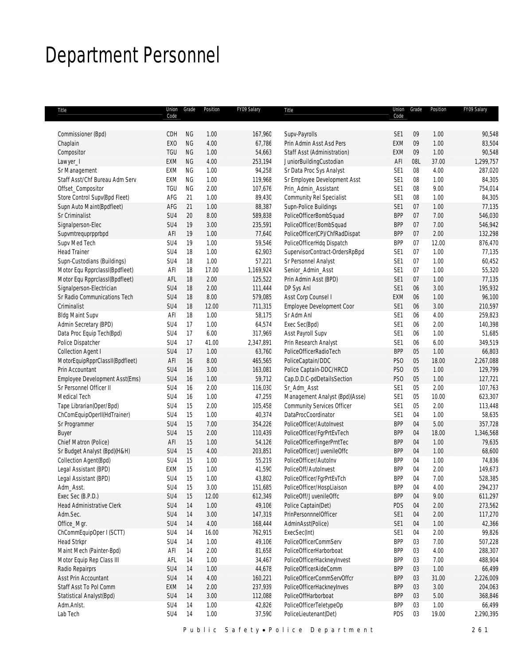## Department Personnel

| Title                           | Union<br>Code   | Grade     | Position | FY09 Salary | Title                              | Union<br>Code   | Grade | Position | FY09 Salary |
|---------------------------------|-----------------|-----------|----------|-------------|------------------------------------|-----------------|-------|----------|-------------|
|                                 |                 |           |          |             |                                    |                 |       |          |             |
| Commissioner (Bpd)              | CDH             | <b>NG</b> | 1.00     | 167,960     | Supv-Payrolls                      | SE <sub>1</sub> | 09    | 1.00     | 90,548      |
| Chaplain                        | <b>EXO</b>      | <b>NG</b> | 4.00     | 67,786      | Prin Admin Asst Asd Pers           | EXM             | 09    | 1.00     | 83,504      |
| Compositor                      | TGU             | <b>NG</b> | 1.00     | 54,663      | <b>Staff Asst (Administration)</b> | EXM             | 09    | 1.00     | 90,548      |
| Lawyer_I                        | <b>EXM</b>      | <b>NG</b> | 4.00     | 253,194     | JuniorBuildingCustodian            | AFI             | 08L   | 37.00    | 1,299,757   |
| Sr Management                   | EXM             | <b>NG</b> | 1.00     | 94,258      | Sr Data Proc Sys Analyst           | SE <sub>1</sub> | 08    | 4.00     | 287,020     |
| Staff Asst/Chf Bureau Adm Serv  | EXM             | <b>NG</b> | 1.00     | 119,968     | Sr Employee Development Asst       | SE <sub>1</sub> | 08    | 1.00     | 84,305      |
| Offset_Compositor               | TGU             | <b>NG</b> | 2.00     | 107,676     | Prin_Admin_Assistant               | SE <sub>1</sub> | 08    | 9.00     | 754,014     |
| Store Control Supv(Bpd Fleet)   | AFG             | 21        | 1.00     | 89,430      | Community Rel Specialist           | SE <sub>1</sub> | 08    | 1.00     | 84,305      |
| Supn Auto Maint(Bpdfleet)       | AFG             | 21        | 1.00     | 88,387      | Supn-Police Buildings              | SE <sub>1</sub> | 07    | 1.00     | 77,135      |
| Sr Criminalist                  | SU4             | 20        | 8.00     | 589,838     | PoliceOfficerBombSquad             | <b>BPP</b>      | 07    | 7.00     | 546,030     |
| Signalperson-Elec               | SU4             | 19        | 3.00     | 235,591     | PoliceOfficer/BombSquad            | <b>BPP</b>      | 07    | 7.00     | 546,942     |
| Supvmtrequprpprbpd              | AFI             | 19        | 1.00     | 77,640      | PoliceOfficer(CP)/ChfRadDispat     | <b>BPP</b>      | 07    | 2.00     | 132,298     |
| Supv Med Tech                   | SU4             | 19        | 1.00     | 59,546      | PoliceOfficerHdq Dispatch          | <b>BPP</b>      | 07    | 12.00    | 876,470     |
| <b>Head Trainer</b>             | SU4             | 18        | 1.00     | 62,903      | SupervisorContract-OrdersRpBpd     | SE <sub>1</sub> | 07    | 1.00     | 77,135      |
| Supn-Custodians (Buildings)     | SU4             | 18        | 1.00     | 57,221      | Sr Personnel Analyst               | SE <sub>1</sub> | 07    | 1.00     | 60,452      |
| Motor Equ RpprclassI(Bpdfleet)  | AFI             | 18        | 17.00    | 1,169,924   | Senior_Admin_Asst                  | SE <sub>1</sub> | 07    | 1.00     | 55,320      |
| Motor Equ RpprclassI(Bpdfleet)  | AFL             | 18        | 2.00     | 125,522     | Prin Admin Asst (BPD)              | SE <sub>1</sub> | 07    | 1.00     | 77,135      |
| Signalperson-Electrician        | SU4             | 18        | 2.00     | 111,444     | DP Sys Anl                         | SE <sub>1</sub> | 06    | 3.00     | 195,932     |
| Sr Radio Communications Tech    | SU4             | 18        | 8.00     | 579,085     | Asst Corp Counsel I                | EXM             | 06    | 1.00     | 96,100      |
| Criminalist                     | SU4             | 18        | 12.00    | 711,315     | Employee Development Coor          | SE <sub>1</sub> | 06    | 3.00     | 210,597     |
| <b>Bldg Maint Supv</b>          | AFI             | 18        | 1.00     | 58,175      | Sr Adm Anl                         | SE <sub>1</sub> | 06    | 4.00     | 259,823     |
| Admin Secretary (BPD)           | SU4             | 17        | 1.00     | 64,574      | Exec Sec(Bpd)                      | SE <sub>1</sub> | 06    | 2.00     | 140,398     |
| Data Proc Equip Tech(Bpd)       | SU4             | 17        | 6.00     | 317,969     | Asst Payroll Supv                  | SE <sub>1</sub> | 06    | 1.00     | 51,685      |
| Police Dispatcher               | SU4             | 17        | 41.00    | 2,347,891   | Prin Research Analyst              | SE <sub>1</sub> | 06    | 6.00     | 349,519     |
| Collection Agent I              | SU4             | 17        | 1.00     | 63,760      | PoliceOfficerRadioTech             | <b>BPP</b>      | 05    | 1.00     | 66,803      |
| MotorEquipRpprClassII(Bpdfleet) | AFI             | 16        | 8.00     | 465,565     | PoliceCaptain/DDC                  | PS <sub>O</sub> | 05    | 18.00    | 2,267,088   |
| Prin Accountant                 | SU4             | 16        | 3.00     | 163,081     | Police Captain-DDC/HRCD            | PS <sub>O</sub> | 05    | 1.00     | 129,799     |
| Employee Development Asst(Ems)  | SU4             | 16        | 1.00     | 59,712      | Cap.D.D.C-pdDetailsSection         | PS <sub>O</sub> | 05    | 1.00     | 127,721     |
| Sr Personnel Officer II         | SU4             | 16        | 2.00     | 116,030     | Sr_Adm_Asst                        | SE <sub>1</sub> | 05    | 2.00     | 107,763     |
| Medical Tech                    | SU4             | 16        | 1.00     | 47,259      | Management Analyst (Bpd)(Asse)     | SE <sub>1</sub> | 05    | 10.00    | 623,307     |
| Tape Librarian(Oper/Bpd)        | SU4             | 15        | 2.00     | 105,458     | <b>Community Services Officer</b>  | SE <sub>1</sub> | 05    | 2.00     | 113,448     |
| ChComEquipOperII(HdTrainer)     | SU4             | 15        | 1.00     | 40,374      | DataProcCoordinator                | SE <sub>1</sub> | 04    | 1.00     | 58,635      |
| Sr Programmer                   | SU4             | 15        | 7.00     | 354,226     | PoliceOfficer/AutoInvest           | <b>BPP</b>      | 04    | 5.00     | 357,728     |
| <b>Buyer</b>                    | SU4             | 15        | 2.00     | 110,439     | PoliceOfficer/FgrPrtEvTech         | <b>BPP</b>      | 04    | 18.00    | 1,346,568   |
| Chief Matron (Police)           | AFI             | 15        | 1.00     | 54,126      | PoliceOfficerFingerPrntTec         | <b>BPP</b>      | 04    | 1.00     | 79,635      |
| Sr Budget Analyst (Bpd)(H&H)    | SU4             | 15        | 4.00     | 203,851     | PoliceOfficer/JuvenileOffc         | <b>BPP</b>      | 04    | 1.00     | 68,600      |
| Collection Agent(Bpd)           | SU4             | 15        | 1.00     | 55,219      | PoliceOfficer/AutoInv              | <b>BPP</b>      | 04    | 1.00     | 74,836      |
| Legal Assistant (BPD)           | EXM             | 15        | 1.00     | 41,590      | PoliceOff/AutoInvest               | <b>BPP</b>      | 04    | 2.00     | 149,673     |
| Legal Assistant (BPD)           | SU4             | $15\,$    | 1.00     | 43,802      | PoliceOfficer/FgrPrtEvTch          | <b>BPP</b>      | 04    | 7.00     | 528,385     |
| Adm_Asst.                       | SU4             | 15        | 3.00     | 151,685     | PoliceOfficer/HospLiaison          | <b>BPP</b>      | 04    | 4.00     | 294,237     |
| Exec Sec (B.P.D.)               | SU4             | 15        | 12.00    | 612,349     | PoliceOff/JuvenileOffc             | <b>BPP</b>      | 04    | 9.00     | 611,297     |
| Head Administrative Clerk       | SU4             | 14        | 1.00     | 49,106      | Police Captain(Det)                | PDS             | 04    | 2.00     | 273,562     |
| Adm.Sec.                        | SU4             | 14        | 3.00     | 147,319     | PrinPersonnnelOfficer              | SE1             | 04    | 2.00     | 117,270     |
| Office_Mgr.                     | SU4             | 14        | 4.00     | 168,444     | AdminAsst(Police)                  | SE <sub>1</sub> | 04    | 1.00     | 42,366      |
| ChCommEquipOper I (SCTT)        | SU4             | 14        | 16.00    | 762,915     | ExecSec(Int)                       | SE <sub>1</sub> | 04    | 2.00     | 99,826      |
| <b>Head Strkpr</b>              | SU4             | 14        | 1.00     | 49,106      | PoliceOfficerCommServ              | <b>BPP</b>      | 03    | 7.00     | 507,228     |
| Maint Mech (Painter-Bpd)        | AFI             | 14        | 2.00     | 81,658      | PoliceOfficerHarborboat            | <b>BPP</b>      | 03    | 4.00     | 288,307     |
| Motor Equip Rep Class III       | AFL             | 14        | 1.00     | 34,467      | PoliceOfficerHackneyInvest         | <b>BPP</b>      | 03    | 7.00     | 488,904     |
| Radio Repairprs                 | SU <sub>4</sub> | 14        | 1.00     | 44,678      | PoliceOfficerAideComm              | <b>BPP</b>      | 03    | 1.00     | 66,499      |
| Asst Prin Accountant            | SU <sub>4</sub> | 14        | 4.00     | 160,221     | PoliceOfficerCommServOffcr         | <b>BPP</b>      | 03    | 31.00    | 2,226,009   |
| Staff Asst To Pol Comm          | EXM             | 14        | 2.00     | 237,939     | PoliceOfficerHackneyInves          | <b>BPP</b>      | 03    | 3.00     | 204,063     |
| Statistical Analyst(Bpd)        | SU4             | 14        | 3.00     | 112,088     | PoliceOffHarborboat                | <b>BPP</b>      | 03    | 5.00     | 368,846     |
| Adm.Anlst.                      | SU4             | 14        | 1.00     | 42,826      | PoliceOfficerTeletypeOp            | <b>BPP</b>      | 03    | 1.00     | 66,499      |
| Lab Tech                        | SU4             | 14        | 1.00     | 37,590      | PoliceLieutenant(Det)              | PDS             | 03    | 19.00    | 2,290,395   |
|                                 |                 |           |          |             |                                    |                 |       |          |             |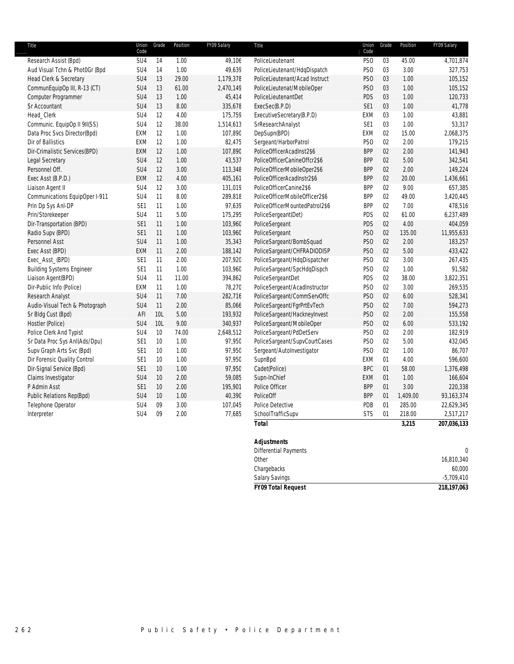| Union<br>Code   |  | Grade | Position<br>FY09 Salary |
|-----------------|--|-------|-------------------------|
| PS <sub>O</sub> |  | 03    | 4,701,874<br>45.00      |
| PS <sub>O</sub> |  | 03    | 3.00<br>327,753         |
| PS <sub>O</sub> |  | 03    | 105,152<br>1.00         |
| PS <sub>O</sub> |  | 03    | 105,152<br>1.00         |
| PDS             |  | 03    | 1.00<br>120,733         |
| SE <sub>1</sub> |  | 03    | 41,778<br>1.00          |
| EXM             |  | 03    | 1.00<br>43,881          |
| SE <sub>1</sub> |  | 03    | 1.00<br>53,317          |
| EXM             |  | 02    | 15.00<br>2,068,375      |
| PS <sub>O</sub> |  | 02    | 179,215<br>2.00         |
| <b>BPP</b>      |  | 02    | 2.00<br>141,943         |
| <b>BPP</b>      |  | 02    | 5.00<br>342,541         |
| <b>BPP</b>      |  | 02    | 2.00<br>149,224         |
| <b>BPP</b>      |  | 02    | 20.00<br>1,436,661      |
| <b>BPP</b>      |  | 02    | 9.00<br>657,385         |
| <b>BPP</b>      |  | 02    | 49.00<br>3,420,445      |
| <b>BPP</b>      |  | 02    | 7.00<br>478,516         |
| PDS             |  | 02    | 6,237,489<br>61.00      |
| PDS             |  | 02    | 4.00<br>404,059         |
| PS <sub>O</sub> |  | 02    | 135.00<br>11,955,633    |
| PS <sub>O</sub> |  | 02    | 2.00<br>183,257         |
| PS <sub>O</sub> |  | 02    | 5.00<br>433,422         |
| PS <sub>O</sub> |  | 02    | 3.00<br>267,435         |
| PS <sub>O</sub> |  | 02    | 91,582<br>1.00          |
| PDS             |  | 02    | 38.00<br>3,822,351      |
| PS <sub>O</sub> |  | 02    | 3.00<br>269,535         |
| PS <sub>0</sub> |  | 02    | 6.00<br>528,341         |
| PS <sub>O</sub> |  | 02    | 7.00<br>594,273         |
| PS <sub>O</sub> |  | 02    | 2.00<br>155,558         |
| PS <sub>O</sub> |  | 02    | 6.00<br>533,192         |
| PS <sub>O</sub> |  | 02    | 2.00<br>182,919         |
| PS <sub>O</sub> |  | 02    | 5.00<br>432,045         |
| PS <sub>O</sub> |  | 02    | 1.00<br>86,707          |
| EXM             |  | 01    | 4.00<br>596,600         |
| <b>BPC</b>      |  | 01    | 58.00<br>1,376,498      |
| EXM             |  | 01    | 1.00<br>166,604         |
| <b>BPP</b>      |  | 01    | 3.00<br>220,338         |
| <b>BPP</b>      |  | 01    | 1,409.00<br>93,163,374  |
| PDB             |  | 01    | 285.00<br>22,629,345    |
| <b>STS</b>      |  | 01    | 218.00<br>2,517,217     |
|                 |  |       | 3,215<br>207,036,133    |
|                 |  |       |                         |

| <b>FY09 Total Request</b>             | 218,197,063  |
|---------------------------------------|--------------|
| <b>Salary Savings</b>                 | $-5,709,410$ |
| Chargebacks                           | 60,000       |
| Other                                 | 16,810,340   |
| <b>Differential Payments</b>          | $\cap$       |
| , , , , , , , , , , , , , , , , , , , |              |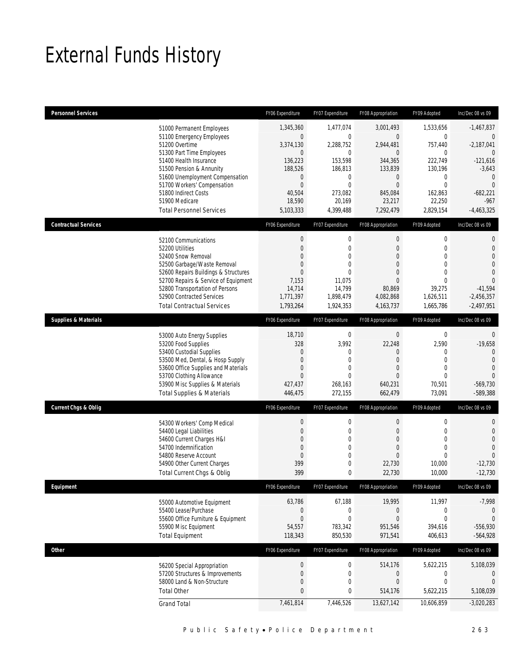## External Funds History

| <b>Personnel Services</b>                                                                                                                                                                                                                                                                                        | FY06 Expenditure                                                                                                                                | FY07 Expenditure                                                                                                    | FY08 Appropriation                                                                                                                                             | FY09 Adopted                                                                                                                                    | Inc/Dec 08 vs 09                                                                                                                                            |
|------------------------------------------------------------------------------------------------------------------------------------------------------------------------------------------------------------------------------------------------------------------------------------------------------------------|-------------------------------------------------------------------------------------------------------------------------------------------------|---------------------------------------------------------------------------------------------------------------------|----------------------------------------------------------------------------------------------------------------------------------------------------------------|-------------------------------------------------------------------------------------------------------------------------------------------------|-------------------------------------------------------------------------------------------------------------------------------------------------------------|
| 51000 Permanent Employees<br>51100 Emergency Employees<br>51200 Overtime<br>51300 Part Time Employees<br>51400 Health Insurance<br>51500 Pension & Annunity<br>51600 Unemployment Compensation<br>51700 Workers' Compensation<br>51800 Indirect Costs<br>51900 Medicare                                          | 1,345,360<br>$\mathbf 0$<br>3,374,130<br>$\mathbf 0$<br>136,223<br>188,526<br>0<br>$\overline{0}$<br>40,504<br>18,590                           | 1,477,074<br>$\mathbf 0$<br>2,288,752<br>$\mathbf 0$<br>153,598<br>186,813<br>$\mathbf 0$<br>0<br>273,082<br>20,169 | 3,001,493<br>$\mathbf 0$<br>2,944,481<br>$\mathbf 0$<br>344,365<br>133,839<br>$\mathbf 0$<br>$\mathbf{0}$<br>845,084<br>23,217                                 | 1,533,656<br>$\mathbf 0$<br>757,440<br>0<br>222,749<br>130,196<br>0<br>$\mathbf 0$<br>162,863<br>22,250                                         | $-1,467,837$<br>$\mathbf 0$<br>$-2,187,041$<br>$\mathbf{0}$<br>$-121,616$<br>$-3,643$<br>$\mathbf{0}$<br>$\mathbf{0}$<br>$-682,221$<br>$-967$               |
| <b>Total Personnel Services</b>                                                                                                                                                                                                                                                                                  | 5,103,333                                                                                                                                       | 4,399,488                                                                                                           | 7,292,479                                                                                                                                                      | 2,829,154                                                                                                                                       | $-4,463,325$                                                                                                                                                |
| <b>Contractual Services</b><br>52100 Communications<br>52200 Utilities<br>52400 Snow Removal<br>52500 Garbage/Waste Removal<br>52600 Repairs Buildings & Structures<br>52700 Repairs & Service of Equipment<br>52800 Transportation of Persons<br>52900 Contracted Services<br><b>Total Contractual Services</b> | FY06 Expenditure<br>$\boldsymbol{0}$<br>$\mathbf{0}$<br>$\Omega$<br>$\overline{0}$<br>$\mathbf{0}$<br>7,153<br>14,714<br>1,771,397<br>1,793,264 | FY07 Expenditure<br>$\mathbf 0$<br>0<br>0<br>0<br>$\Omega$<br>11,075<br>14,799<br>1,898,479<br>1,924,353            | FY08 Appropriation<br>$\boldsymbol{0}$<br>$\mathbf{0}$<br>$\overline{0}$<br>$\theta$<br>$\overline{0}$<br>$\overline{0}$<br>80,869<br>4,082,868<br>4, 163, 737 | FY09 Adopted<br>$\boldsymbol{0}$<br>$\mathbf 0$<br>$\mathbf{0}$<br>$\mathbf{0}$<br>$\mathbf{0}$<br>$\theta$<br>39,275<br>1,626,511<br>1,665,786 | Inc/Dec 08 vs 09<br>$\mathbf 0$<br>$\mathbf{0}$<br>$\mathbf 0$<br>$\overline{0}$<br>$\overline{0}$<br>$\Omega$<br>$-41,594$<br>$-2,456,357$<br>$-2,497,951$ |
| <b>Supplies &amp; Materials</b>                                                                                                                                                                                                                                                                                  | FY06 Expenditure                                                                                                                                | FY07 Expenditure                                                                                                    | FY08 Appropriation                                                                                                                                             | FY09 Adopted                                                                                                                                    | Inc/Dec 08 vs 09                                                                                                                                            |
| 53000 Auto Energy Supplies<br>53200 Food Supplies<br>53400 Custodial Supplies<br>53500 Med, Dental, & Hosp Supply<br>53600 Office Supplies and Materials<br>53700 Clothing Allowance<br>53900 Misc Supplies & Materials<br><b>Total Supplies &amp; Materials</b>                                                 | 18,710<br>328<br>$\mathbf{0}$<br>$\overline{0}$<br>$\overline{0}$<br>$\overline{0}$<br>427,437<br>446,475                                       | $\mathbf 0$<br>3,992<br>0<br>0<br>0<br>$\Omega$<br>268,163<br>272,155                                               | $\mathbf 0$<br>22,248<br>$\overline{0}$<br>$\theta$<br>$\mathbf{0}$<br>$\Omega$<br>640,231<br>662,479                                                          | $\pmb{0}$<br>2,590<br>0<br>0<br>$\mathbf{0}$<br>$\theta$<br>70,501<br>73,091                                                                    | $\mathbf 0$<br>$-19,658$<br>$\overline{0}$<br>$\overline{0}$<br>$\overline{0}$<br>$\Omega$<br>$-569,730$<br>$-589,388$                                      |
| <b>Current Chgs &amp; Oblig</b>                                                                                                                                                                                                                                                                                  | FY06 Expenditure                                                                                                                                | FY07 Expenditure                                                                                                    | FY08 Appropriation                                                                                                                                             | FY09 Adopted                                                                                                                                    | Inc/Dec 08 vs 09                                                                                                                                            |
| 54300 Workers' Comp Medical<br>54400 Legal Liabilities<br>54600 Current Charges H&I<br>54700 Indemnification<br>54800 Reserve Account<br>54900 Other Current Charges<br>Total Current Chgs & Oblig                                                                                                               | $\boldsymbol{0}$<br>0<br>0<br>$\mathbf{0}$<br>$\overline{0}$<br>399<br>399                                                                      | $\mathbf 0$<br>0<br>0<br>0<br>0<br>0<br>0                                                                           | $\boldsymbol{0}$<br>$\mathbf 0$<br>$\mathbf{0}$<br>$\overline{0}$<br>$\mathbf{0}$<br>22,730<br>22,730                                                          | $\boldsymbol{0}$<br>$\mathbf 0$<br>$\mathbf{0}$<br>$\overline{0}$<br>$\mathbf 0$<br>10,000<br>10,000                                            | $\mathbf{0}$<br>$\mathbf{0}$<br>$\overline{0}$<br>$\overline{0}$<br>$\Omega$<br>$-12,730$<br>$-12,730$                                                      |
| Equipment                                                                                                                                                                                                                                                                                                        | FY06 Expenditure                                                                                                                                | FY07 Expenditure                                                                                                    | FY08 Appropriation                                                                                                                                             | FY09 Adopted                                                                                                                                    | Inc/Dec 08 vs 09                                                                                                                                            |
| 55000 Automotive Equipment<br>55400 Lease/Purchase<br>55600 Office Furniture & Equipment<br>55900 Misc Equipment<br><b>Total Equipment</b>                                                                                                                                                                       | 63,786<br>$\boldsymbol{0}$<br>$\mathbf 0$<br>54,557<br>118,343                                                                                  | 67,188<br>$\boldsymbol{0}$<br>$\mathbf 0$<br>783,342<br>850,530                                                     | 19,995<br>$\boldsymbol{0}$<br>$\mathbf{0}$<br>951,546<br>971,541                                                                                               | 11,997<br>0<br>$\boldsymbol{0}$<br>394,616<br>406,613                                                                                           | $-7,998$<br>0<br>$\theta$<br>$-556,930$<br>$-564,928$                                                                                                       |
| <b>Other</b>                                                                                                                                                                                                                                                                                                     | FY06 Expenditure                                                                                                                                | FY07 Expenditure                                                                                                    | FY08 Appropriation                                                                                                                                             | FY09 Adopted                                                                                                                                    | Inc/Dec 08 vs 09                                                                                                                                            |
| 56200 Special Appropriation<br>57200 Structures & Improvements<br>58000 Land & Non-Structure<br><b>Total Other</b><br><b>Grand Total</b>                                                                                                                                                                         | $\boldsymbol{0}$<br>$\boldsymbol{0}$<br>0<br>$\bf 0$<br>7,461,814                                                                               | $\boldsymbol{0}$<br>$\mathbf 0$<br>0<br>0<br>7,446,526                                                              | 514,176<br>$\boldsymbol{0}$<br>$\mathbf{0}$<br>514,176<br>13,627,142                                                                                           | 5,622,215<br>0<br>0<br>5,622,215<br>10,606,859                                                                                                  | 5,108,039<br>0<br>$\mathbf{0}$<br>5,108,039<br>$-3,020,283$                                                                                                 |
|                                                                                                                                                                                                                                                                                                                  |                                                                                                                                                 |                                                                                                                     |                                                                                                                                                                |                                                                                                                                                 |                                                                                                                                                             |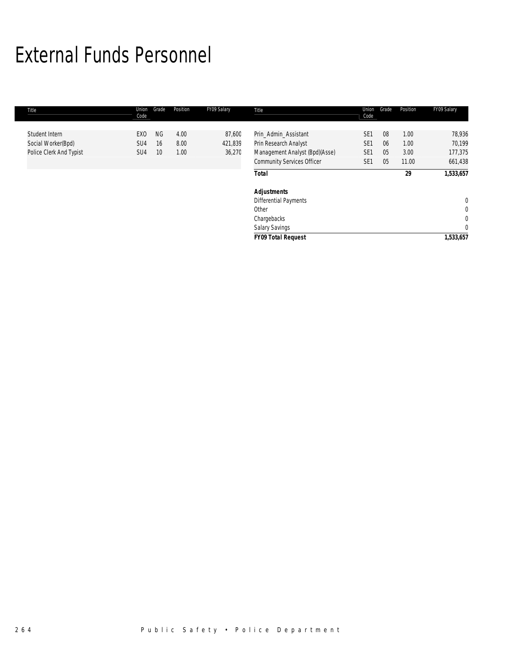## External Funds Personnel

| Title                                                           | Union<br>Code                                         | Grade                              | Position             | FY09 Salary                 | Title                                                                                                                | Union<br>Code                                                            | Grade                | Position                      | FY09 Salary                                     |
|-----------------------------------------------------------------|-------------------------------------------------------|------------------------------------|----------------------|-----------------------------|----------------------------------------------------------------------------------------------------------------------|--------------------------------------------------------------------------|----------------------|-------------------------------|-------------------------------------------------|
| Student Intern<br>Social Worker(Bpd)<br>Police Clerk And Typist | EX <sub>0</sub><br>SU <sub>4</sub><br>SU <sub>4</sub> | <b>NG</b><br>16<br>10 <sup>°</sup> | 4.00<br>8.00<br>1.00 | 87,600<br>421,839<br>36,270 | Prin_Admin_Assistant<br>Prin Research Analyst<br>Management Analyst (Bpd)(Asse)<br><b>Community Services Officer</b> | SE <sub>1</sub><br>SE <sub>1</sub><br>SE <sub>1</sub><br>SE <sub>1</sub> | 08<br>06<br>05<br>05 | 1.00<br>1.00<br>3.00<br>11.00 | 78,936<br>70,199<br>177,375<br>661,438          |
|                                                                 |                                                       |                                    |                      |                             | <b>Total</b>                                                                                                         |                                                                          |                      | 29                            | 1,533,657                                       |
|                                                                 |                                                       |                                    |                      |                             | <b>Adjustments</b><br>Differential Payments<br>Other<br>Chargebacks<br>Salary Savings                                |                                                                          |                      |                               | $\mathbf{0}$<br>$\mathbf 0$<br>0<br>$\mathbf 0$ |
|                                                                 |                                                       |                                    |                      |                             | <b>FY09 Total Request</b>                                                                                            |                                                                          |                      |                               | 1,533,657                                       |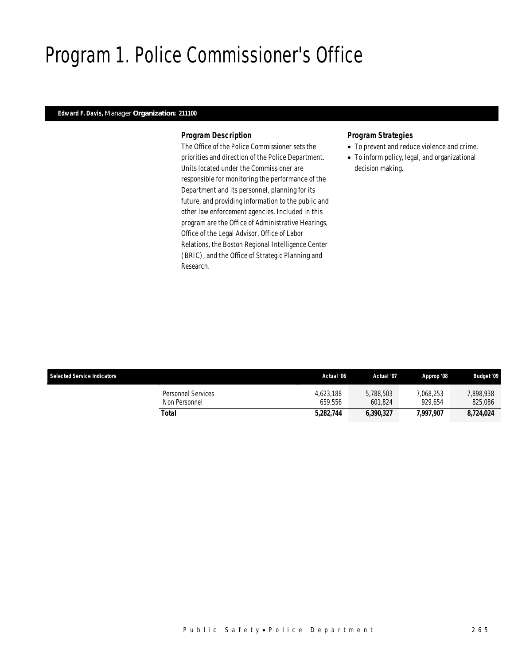## Program 1. Police Commissioner's Office

### *Edward F. Davis, Manager Organization: 211100*

#### *Program Description*

The Office of the Police Commissioner sets the priorities and direction of the Police Department. Units located under the Commissioner are responsible for monitoring the performance of the Department and its personnel, planning for its future, and providing information to the public and other law enforcement agencies. Included in this program are the Office of Administrative Hearings, Office of the Legal Advisor, Office of Labor Relations, the Boston Regional Intelligence Center (BRIC), and the Office of Strategic Planning and Research.

- To prevent and reduce violence and crime.
- To inform policy, legal, and organizational decision making.

| <b>Selected Service Indicators</b>  | Actual '06           | Actual '07           | Approp '08           | <b>Budget '09</b>    |
|-------------------------------------|----------------------|----------------------|----------------------|----------------------|
| Personnel Services<br>Non Personnel | 4.623.188<br>659.556 | 5.788.503<br>601.824 | 7.068.253<br>929.654 | 7,898,938<br>825,086 |
| Total                               | 5,282,744            | 6,390,327            | 7,997,907            | 8,724,024            |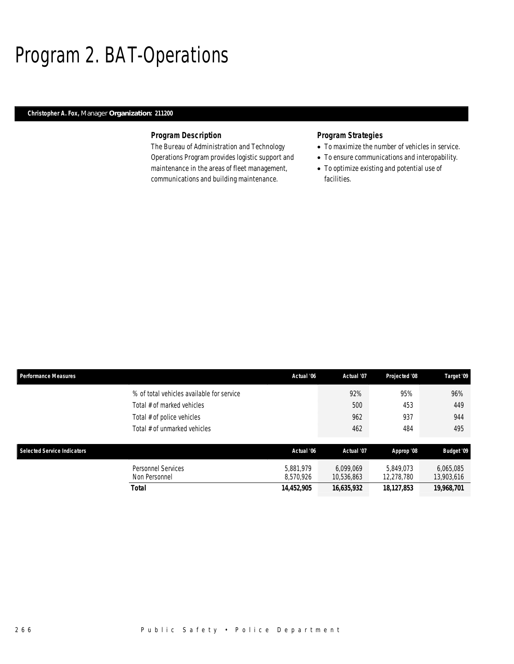## Program 2. BAT-Operations

### *Christopher A. Fox, Manager Organization: 211200*

### *Program Description*

The Bureau of Administration and Technology Operations Program provides logistic support and maintenance in the areas of fleet management, communications and building maintenance.

- To maximize the number of vehicles in service.
- To ensure communications and interopability.
- To optimize existing and potential use of facilities.

| <b>Performance Measures</b>                | Actual '06             | Actual '07              | Projected '08           | Target '09              |
|--------------------------------------------|------------------------|-------------------------|-------------------------|-------------------------|
| % of total vehicles available for service  |                        | 92%                     | 95%                     | 96%                     |
| Total # of marked vehicles                 |                        | 500                     | 453                     | 449                     |
| Total # of police vehicles                 |                        | 962                     | 937                     | 944                     |
| Total # of unmarked vehicles               |                        | 462                     | 484                     | 495                     |
|                                            |                        |                         |                         |                         |
| <b>Selected Service Indicators</b>         | Actual '06             | Actual '07              | Approp '08              | <b>Budget '09</b>       |
| <b>Personnel Services</b><br>Non Personnel | 5.881.979<br>8.570.926 | 6.099.069<br>10,536,863 | 5.849.073<br>12.278.780 | 6,065,085<br>13,903,616 |
| Total                                      | 14,452,905             | 16,635,932              | 18,127,853              | 19,968,701              |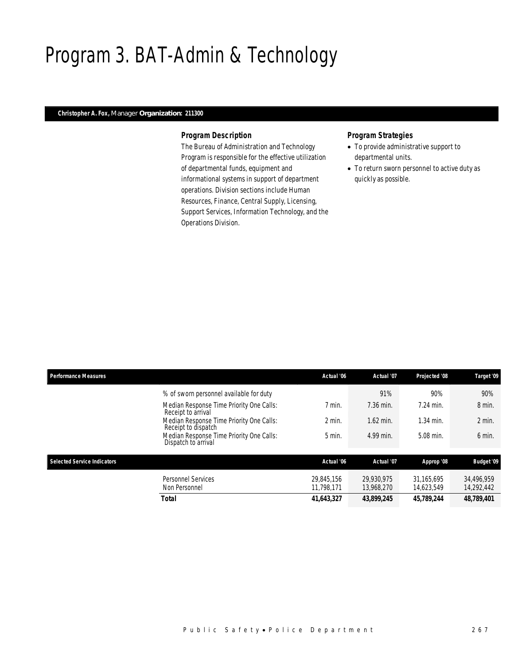## Program 3. BAT-Admin & Technology

### *Christopher A. Fox, Manager Organization: 211300*

#### *Program Description*

The Bureau of Administration and Technology Program is responsible for the effective utilization of departmental funds, equipment and informational systems in support of department operations. Division sections include Human Resources, Finance, Central Supply, Licensing, Support Services, Information Technology, and the Operations Division.

- To provide administrative support to departmental units.
- To return sworn personnel to active duty as quickly as possible.

| <b>Performance Measures</b>        |                                                                 | Actual '06               | Actual '07               | Projected '08            | Target '09               |
|------------------------------------|-----------------------------------------------------------------|--------------------------|--------------------------|--------------------------|--------------------------|
|                                    | % of sworn personnel available for duty                         |                          | 91%                      | 90%                      | 90%                      |
|                                    | Median Response Time Priority One Calls:<br>Receipt to arrival  | 7 min.                   | 7.36 min.                | 7.24 min.                | 8 min.                   |
|                                    | Median Response Time Priority One Calls:<br>Receipt to dispatch | $2$ min.                 | $1.62$ min.              | 1.34 min.                | $2$ min.                 |
|                                    | Median Response Time Priority One Calls:<br>Dispatch to arrival | $5$ min.                 | 4.99 min.                | 5.08 min.                | 6 min.                   |
| <b>Selected Service Indicators</b> |                                                                 | Actual '06               | Actual '07               | Approp '08               | Budget '09               |
|                                    | <b>Personnel Services</b><br>Non Personnel                      | 29.845.156<br>11.798.171 | 29.930.975<br>13.968.270 | 31.165.695<br>14.623.549 | 34.496.959<br>14,292,442 |
|                                    | <b>Total</b>                                                    | 41,643,327               | 43,899,245               | 45,789,244               | 48,789,401               |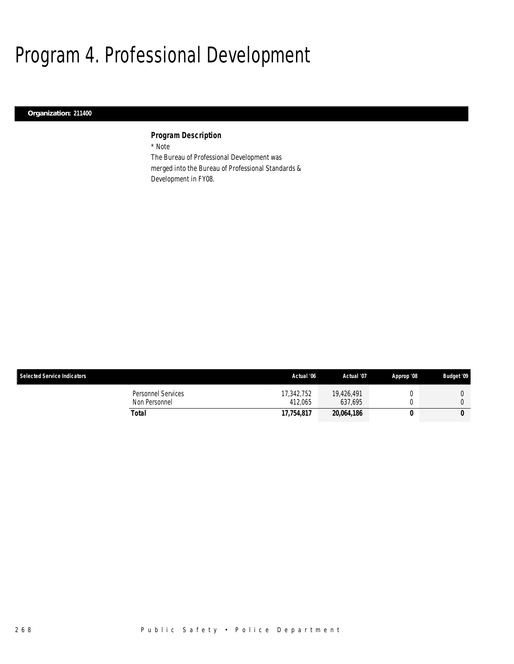## Program 4. Professional Development

### *Organization: 211400*

### *Program Description*

\* Note

The Bureau of Professional Development was merged into the Bureau of Professional Standards & Development in FY08.

| <b>Selected Service Indicators</b>  | Actual '06            | Actual '07            | Approp '08 | <b>Budget '09</b> |
|-------------------------------------|-----------------------|-----------------------|------------|-------------------|
| Personnel Services<br>Non Personnel | 17,342,752<br>412.065 | 19.426.491<br>637.695 |            |                   |
| Total                               | 17.754.817            | 20,064,186            |            | 0                 |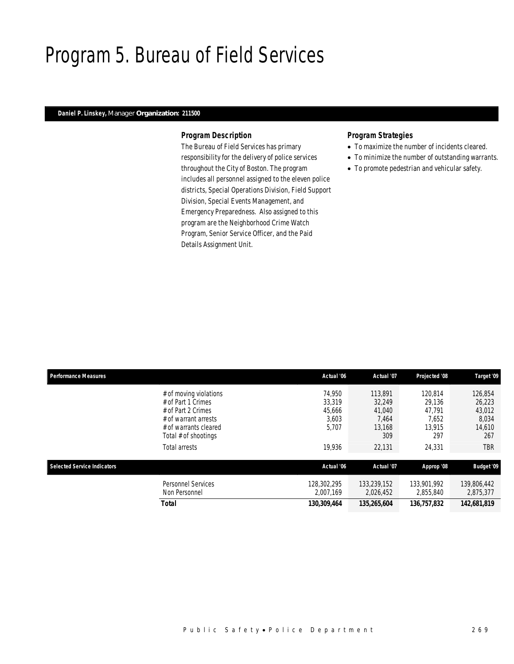## Program 5. Bureau of Field Services

### *Daniel P. Linskey, Manager Organization: 211500*

#### *Program Description*

The Bureau of Field Services has primary responsibility for the delivery of police services throughout the City of Boston. The program includes all personnel assigned to the eleven police districts, Special Operations Division, Field Support Division, Special Events Management, and Emergency Preparedness. Also assigned to this program are the Neighborhood Crime Watch Program, Senior Service Officer, and the Paid Details Assignment Unit.

- To maximize the number of incidents cleared.
- To minimize the number of outstanding warrants.
- To promote pedestrian and vehicular safety.

| <b>Performance Measures</b> |                                                                                                                                                              | Actual '06                                             | Actual '07                                                      | Projected '08                                                   | Target '09                                                   |
|-----------------------------|--------------------------------------------------------------------------------------------------------------------------------------------------------------|--------------------------------------------------------|-----------------------------------------------------------------|-----------------------------------------------------------------|--------------------------------------------------------------|
|                             | # of moving violations<br># of Part 1 Crimes<br># of Part 2 Crimes<br># of warrant arrests<br># of warrants cleared<br>Total # of shootings<br>Total arrests | 74.950<br>33,319<br>45,666<br>3,603<br>5,707<br>19,936 | 113.891<br>32.249<br>41.040<br>7.464<br>13.168<br>309<br>22,131 | 120.814<br>29.136<br>47.791<br>7.652<br>13.915<br>297<br>24,331 | 126,854<br>26,223<br>43,012<br>8,034<br>14,610<br>267<br>TBR |
| Selected Service Indicators |                                                                                                                                                              | Actual '06                                             | Actual '07                                                      | Approp '08                                                      | <b>Budget '09</b>                                            |
|                             | <b>Personnel Services</b><br>Non Personnel                                                                                                                   | 128,302,295<br>2.007.169                               | 133.239.152<br>2,026,452                                        | 133,901,992<br>2,855,840                                        | 139,806,442<br>2,875,377                                     |
|                             | Total                                                                                                                                                        | 130,309,464                                            | 135,265,604                                                     | 136,757,832                                                     | 142,681,819                                                  |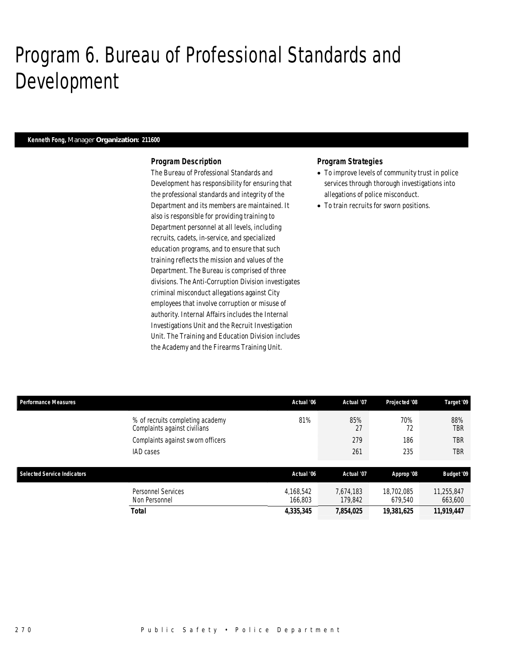## Program 6. Bureau of Professional Standards and Development

#### *Kenneth Fong, Manager Organization: 211600*

#### *Program Description*

The Bureau of Professional Standards and Development has responsibility for ensuring that the professional standards and integrity of the Department and its members are maintained. It also is responsible for providing training to Department personnel at all levels, including recruits, cadets, in-service, and specialized education programs, and to ensure that such training reflects the mission and values of the Department. The Bureau is comprised of three divisions. The Anti-Corruption Division investigates criminal misconduct allegations against City employees that involve corruption or misuse of authority. Internal Affairs includes the Internal Investigations Unit and the Recruit Investigation Unit. The Training and Education Division includes the Academy and the Firearms Training Unit.

- To improve levels of community trust in police services through thorough investigations into allegations of police misconduct.
- To train recruits for sworn positions.

| <b>Performance Measures</b>        |                                                                  | Actual '06           | Actual '07           | Projected '08         | Target '09            |
|------------------------------------|------------------------------------------------------------------|----------------------|----------------------|-----------------------|-----------------------|
|                                    | % of recruits completing academy<br>Complaints against civilians | 81%                  | 85%<br>27            | 70%<br>72             | 88%<br>TBR            |
|                                    | Complaints against sworn officers                                |                      | 279                  | 186                   | TBR                   |
|                                    | <b>IAD</b> cases                                                 |                      | 261                  | 235                   | TBR                   |
|                                    |                                                                  |                      |                      |                       |                       |
| <b>Selected Service Indicators</b> |                                                                  | Actual '06           | Actual '07           | Approp '08            | <b>Budget '09</b>     |
|                                    | <b>Personnel Services</b><br>Non Personnel                       | 4,168,542<br>166,803 | 7,674,183<br>179,842 | 18,702,085<br>679,540 | 11,255,847<br>663,600 |
|                                    | Total                                                            | 4,335,345            | 7,854,025            | 19,381,625            | 11,919,447            |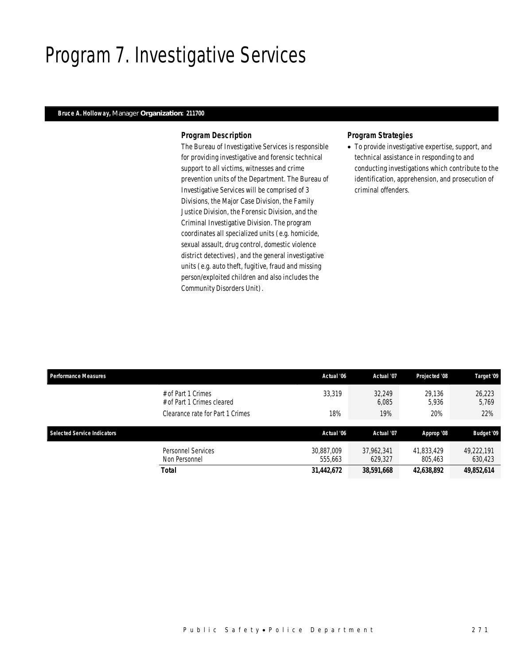## Program 7. Investigative Services

#### *Bruce A. Holloway, Manager Organization: 211700*

#### *Program Description*

The Bureau of Investigative Services is responsible for providing investigative and forensic technical support to all victims, witnesses and crime prevention units of the Department. The Bureau of Investigative Services will be comprised of 3 Divisions, the Major Case Division, the Family Justice Division, the Forensic Division, and the Criminal Investigative Division. The program coordinates all specialized units (e.g. homicide, sexual assault, drug control, domestic violence district detectives), and the general investigative units (e.g. auto theft, fugitive, fraud and missing person/exploited children and also includes the Community Disorders Unit).

#### *Program Strategies*

• To provide investigative expertise, support, and technical assistance in responding to and conducting investigations which contribute to the identification, apprehension, and prosecution of criminal offenders.

| <b>Performance Measures</b> |                                                  | Actual '06            | Actual '07            | Projected '08         | Target '09            |
|-----------------------------|--------------------------------------------------|-----------------------|-----------------------|-----------------------|-----------------------|
|                             | # of Part 1 Crimes<br># of Part 1 Crimes cleared | 33,319                | 32.249<br>6,085       | 29.136<br>5.936       | 26,223<br>5,769       |
|                             | Clearance rate for Part 1 Crimes                 | 18%                   | 19%                   | 20%                   | 22%                   |
|                             |                                                  |                       |                       |                       |                       |
|                             |                                                  |                       |                       |                       |                       |
| Selected Service Indicators |                                                  | Actual '06            | Actual '07            | Approp '08            | <b>Budget '09</b>     |
|                             | Personnel Services<br>Non Personnel              | 30.887.009<br>555.663 | 37.962.341<br>629,327 | 41,833,429<br>805,463 | 49.222.191<br>630,423 |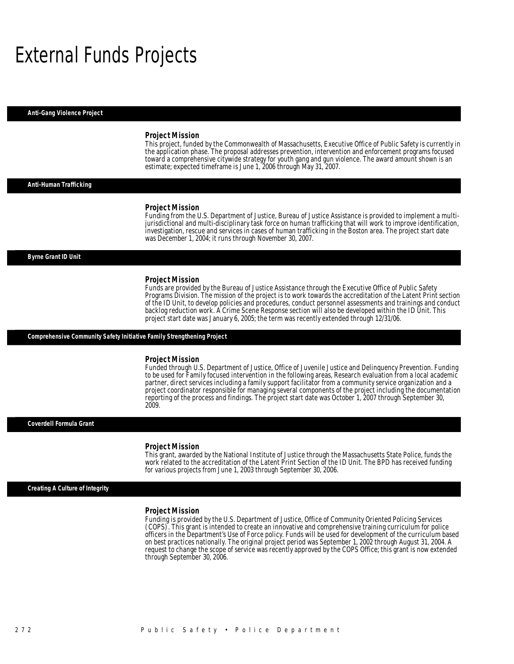## External Funds Projects

*Anti-Gang Violence Project* 

#### *Project Mission*

This project, funded by the Commonwealth of Massachusetts, Executive Office of Public Safety is currently in the application phase. The proposal addresses prevention, intervention and enforcement programs focused toward a comprehensive citywide strategy for youth gang and gun violence. The award amount shown is an estimate; expected timeframe is June 1, 2006 through May 31, 2007.

#### *Anti-Human Trafficking*

#### *Project Mission*

Funding from the U.S. Department of Justice, Bureau of Justice Assistance is provided to implement a multijurisdictional and multi-disciplinary task force on human trafficking that will work to improve identification, investigation, rescue and services in cases of human trafficking in the Boston area. The project start date was December 1, 2004; it runs through November 30, 2007.

#### *Byrne Grant ID Unit*

#### *Project Mission*

Funds are provided by the Bureau of Justice Assistance through the Executive Office of Public Safety Programs Division. The mission of the project is to work towards the accreditation of the Latent Print section of the ID Unit, to develop policies and procedures, conduct personnel assessments and trainings and conduct backlog reduction work. A Crime Scene Response section will also be developed within the ID Unit. This project start date was January 6, 2005; the term was recently extended through 12/31/06.

#### *Comprehensive Community Safety Initiative Family Strengthening Project*

Î

#### *Project Mission*

Funded through U.S. Department of Justice, Office of Juvenile Justice and Delinquency Prevention. Funding to be used for Family focused intervention in the following areas, Research evaluation from a local academic partner, direct services including a family support facilitator from a community service organization and a project coordinator responsible for managing several components of the project including the documentation reporting of the process and findings. The project start date was October 1, 2007 through September 30, 2009.

#### *Coverdell Formula Grant*

#### *Project Mission*

This grant, awarded by the National Institute of Justice through the Massachusetts State Police, funds the work related to the accreditation of the Latent Print Section of the ID Unit. The BPD has received funding for various projects from June 1, 2003 through September 30, 2006.

#### *Creating A Culture of Integrity*

#### *Project Mission*

Funding is provided by the U.S. Department of Justice, Office of Community Oriented Policing Services (COPS). This grant is intended to create an innovative and comprehensive training curriculum for police officers in the Department's Use of Force policy. Funds will be used for development of the curriculum based on best practices nationally. The original project period was September 1, 2002 through August 31, 2004. A request to change the scope of service was recently approved by the COPS Office; this grant is now extended through September 30, 2006.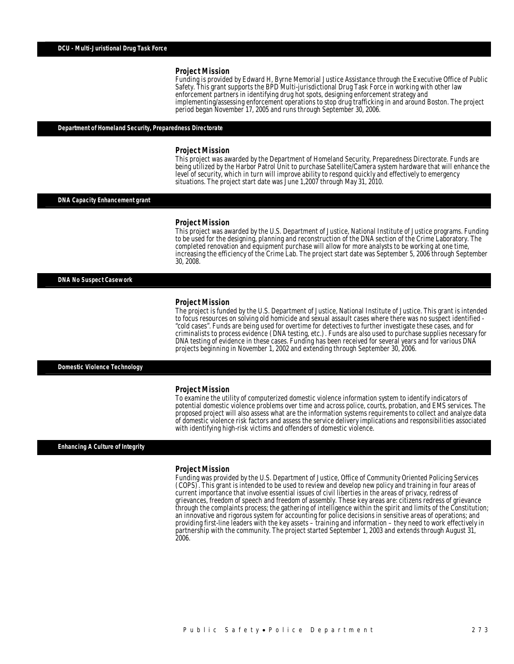Funding is provided by Edward H, Byrne Memorial Justice Assistance through the Executive Office of Public Safety. This grant supports the BPD Multi-jurisdictional Drug Task Force in working with other law enforcement partners in identifying drug hot spots, designing enforcement strategy and implementing/assessing enforcement operations to stop drug trafficking in and around Boston. The project period began November 17, 2005 and runs through September 30, 2006. Î

#### *Department of Homeland Security, Preparedness Directorate*

#### *Project Mission*

This project was awarded by the Department of Homeland Security, Preparedness Directorate. Funds are being utilized by the Harbor Patrol Unit to purchase Satellite/Camera system hardware that will enhance the level of security, which in turn will improve ability to respond quickly and effectively to emergency situations. The project start date was June 1,2007 through May 31, 2010.

#### *DNA Capacity Enhancement grant*

#### *Project Mission*

This project was awarded by the U.S. Department of Justice, National Institute of Justice programs. Funding to be used for the designing, planning and reconstruction of the DNA section of the Crime Laboratory. The completed renovation and equipment purchase will allow for more analysts to be working at one time, increasing the efficiency of the Crime Lab. The project start date was September 5, 2006 through September 30, 2008.

*DNA No Suspect Casework* 

#### *Project Mission*

The project is funded by the U.S. Department of Justice, National Institute of Justice. This grant is intended to focus resources on solving old homicide and sexual assault cases where there was no suspect identified - "cold cases". Funds are being used for overtime for detectives to further investigate these cases, and for criminalists to process evidence (DNA testing, etc.). Funds are also used to purchase supplies necessary for DNA testing of evidence in these cases. Funding has been received for several years and for various DNA projects beginning in November 1, 2002 and extending through September 30, 2006. Î

#### *Domestic Violence Technology*

#### *Project Mission*

To examine the utility of computerized domestic violence information system to identify indicators of potential domestic violence problems over time and across police, courts, probation, and EMS services. The proposed project will also assess what are the information systems requirements to collect and analyze data of domestic violence risk factors and assess the service delivery implications and responsibilities associated with identifying high-risk victims and offenders of domestic violence.

#### *Enhancing A Culture of Integrity*

#### *Project Mission*

Funding was provided by the U.S. Department of Justice, Office of Community Oriented Policing Services (COPS). This grant is intended to be used to review and develop new policy and training in four areas of current importance that involve essential issues of civil liberties in the areas of privacy, redress of grievances, freedom of speech and freedom of assembly. These key areas are: citizens redress of grievance through the complaints process; the gathering of intelligence within the spirit and limits of the Constitution; an innovative and rigorous system for accounting for police decisions in sensitive areas of operations; and providing first-line leaders with the key assets – training and information – they need to work effectively in partnership with the community. The project started September 1, 2003 and extends through August 31, 2006.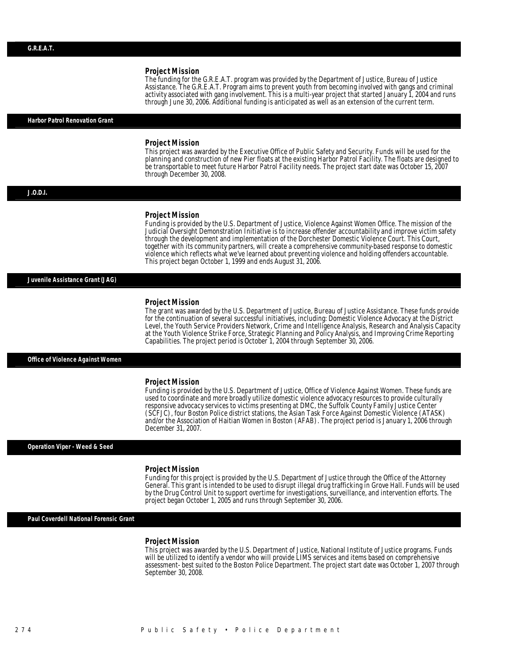The funding for the G.R.E.A.T. program was provided by the Department of Justice, Bureau of Justice Assistance. The G.R.E.A.T. Program aims to prevent youth from becoming involved with gangs and criminal activity associated with gang involvement. This is a multi-year project that started January 1, 2004 and runs through June 30, 2006. Additional funding is anticipated as well as an extension of the current term.

#### *Harbor Patrol Renovation Grant*

#### *Project Mission*

This project was awarded by the Executive Office of Public Safety and Security. Funds will be used for the planning and construction of new Pier floats at the existing Harbor Patrol Facility. The floats are designed to be transportable to meet future Harbor Patrol Facility needs. The project start date was October 15, 2007 through December 30, 2008.

#### *J.O.D.I.*

#### *Project Mission*

Funding is provided by the U.S. Department of Justice, Violence Against Women Office. The mission of the Judicial Oversight Demonstration Initiative is to increase offender accountability and improve victim safety through the development and implementation of the Dorchester Domestic Violence Court. This Court, together with its community partners, will create a comprehensive community-based response to domestic violence which reflects what we've learned about preventing violence and holding offenders accountable. This project began October 1, 1999 and ends August 31, 2006.

#### *Juvenile Assistance Grant (JAG)*

#### *Project Mission*

The grant was awarded by the U.S. Department of Justice, Bureau of Justice Assistance. These funds provide for the continuation of several successful initiatives, including: Domestic Violence Advocacy at the District Level, the Youth Service Providers Network, Crime and Intelligence Analysis, Research and Analysis Capacity at the Youth Violence Strike Force, Strategic Planning and Policy Analysis, and Improving Crime Reporting Capabilities. The project period is October 1, 2004 through September 30, 2006.

#### *Office of Violence Against Women*

#### *Project Mission*

Funding is provided by the U.S. Department of Justice, Office of Violence Against Women. These funds are used to coordinate and more broadly utilize domestic violence advocacy resources to provide culturally responsive advocacy services to victims presenting at DMC, the Suffolk County Family Justice Center (SCFJC), four Boston Police district stations, the Asian Task Force Against Domestic Violence (ATASK) and/or the Association of Haitian Women in Boston (AFAB). The project period is January 1, 2006 through December 31, 2007.

#### *Operation Viper - Weed & Seed*

#### *Project Mission*

Î

Funding for this project is provided by the U.S. Department of Justice through the Office of the Attorney General. This grant is intended to be used to disrupt illegal drug trafficking in Grove Hall. Funds will be used by the Drug Control Unit to support overtime for investigations, surveillance, and intervention efforts. The project began October 1, 2005 and runs through September 30, 2006.

*Paul Coverdell National Forensic Grant* 

#### *Project Mission*

This project was awarded by the U.S. Department of Justice, National Institute of Justice programs. Funds will be utilized to identify a vendor who will provide LIMS services and items based on comprehensive assessment- best suited to the Boston Police Department. The project start date was October 1, 2007 through September 30, 2008.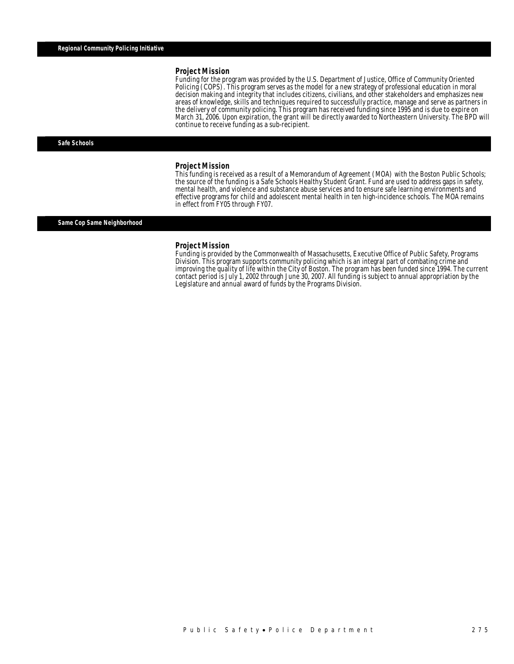Funding for the program was provided by the U.S. Department of Justice, Office of Community Oriented Policing (COPS). This program serves as the model for a new strategy of professional education in moral decision making and integrity that includes citizens, civilians, and other stakeholders and emphasizes new areas of knowledge, skills and techniques required to successfully practice, manage and serve as partners in the delivery of community policing. This program has received funding since 1995 and is due to expire on March 31, 2006. Upon expiration, the grant will be directly awarded to Northeastern University. The BPD will continue to receive funding as a sub-recipient.

#### *Safe Schools*

#### *Project Mission*

This funding is received as a result of a Memorandum of Agreement (MOA) with the Boston Public Schools; the source of the funding is a Safe Schools Healthy Student Grant. Fund are used to address gaps in safety, mental health, and violence and substance abuse services and to ensure safe learning environments and effective programs for child and adolescent mental health in ten high-incidence schools. The MOA remains in effect from FY05 through FY07.

#### *Same Cop Same Neighborhood*

#### *Project Mission*

Funding is provided by the Commonwealth of Massachusetts, Executive Office of Public Safety, Programs Division. This program supports community policing which is an integral part of combating crime and improving the quality of life within the City of Boston. The program has been funded since 1994. The current contact period is July 1, 2002 through June 30, 2007. All funding is subject to annual appropriation by the Legislature and annual award of funds by the Programs Division.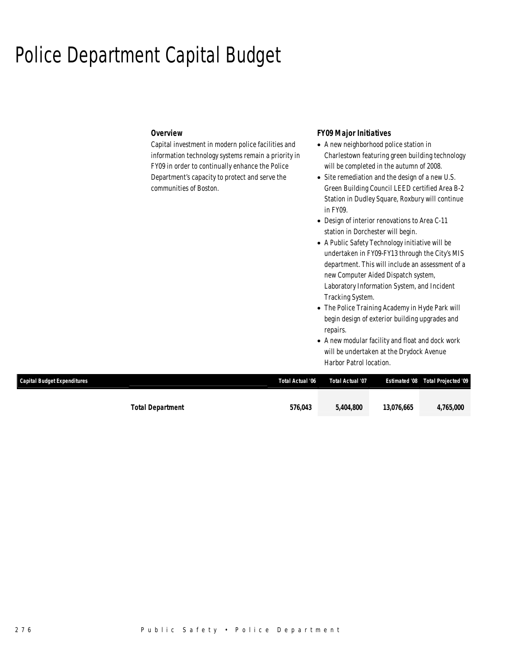## Police Department Capital Budget

### *Overview*

Capital investment in modern police facilities and information technology systems remain a priority in FY09 in order to continually enhance the Police Department's capacity to protect and serve the communities of Boston.

### *FY09 Major Initiatives*

- A new neighborhood police station in Charlestown featuring green building technology will be completed in the autumn of 2008.
- Site remediation and the design of a new U.S. Green Building Council LEED certified Area B-2 Station in Dudley Square, Roxbury will continue in FY09.
- Design of interior renovations to Area C-11 station in Dorchester will begin.
- A Public Safety Technology initiative will be undertaken in FY09-FY13 through the City's MIS department. This will include an assessment of a new Computer Aided Dispatch system, Laboratory Information System, and Incident Tracking System.
- The Police Training Academy in Hyde Park will begin design of exterior building upgrades and repairs.
- A new modular facility and float and dock work will be undertaken at the Drydock Avenue Harbor Patrol location.

| <b>Capital Budget Expenditures</b> | Total Actual '06 | Total Actual '07 |            | <b>Estimated '08 Total Projected '09</b> |
|------------------------------------|------------------|------------------|------------|------------------------------------------|
|                                    |                  |                  |            |                                          |
| <b>Total Department</b>            | 576,043          | 5,404,800        | 13.076.665 | 4,765,000                                |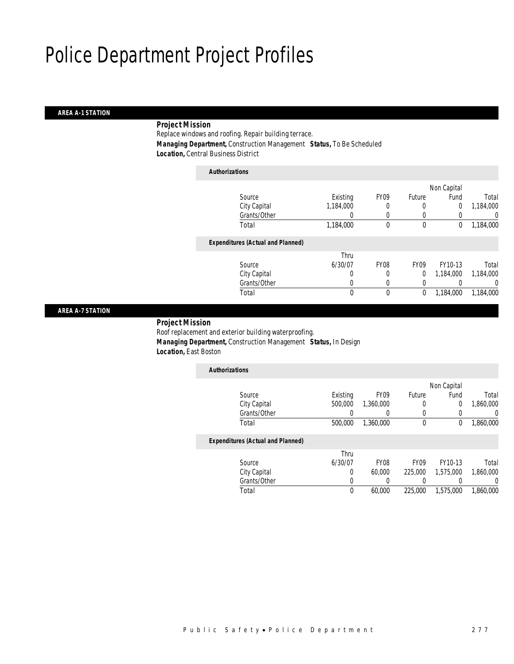#### *AREA A-1 STATION*

### *Project Mission*

Replace windows and roofing. Repair building terrace. *Managing Department,* Construction Management *Status,* To Be Scheduled *Location,* Central Business District

| <b>Authorizations</b>                    |             |                  |             |             |                  |
|------------------------------------------|-------------|------------------|-------------|-------------|------------------|
|                                          |             |                  |             | Non Capital |                  |
| Source                                   | Existing    | FY <sub>09</sub> | Future      | Fund        | Total            |
| City Capital                             | 1,184,000   |                  | 0           | $\mathbf 0$ | 1,184,000        |
| Grants/Other                             | 0           |                  | 0           | 0           | $\left( \right)$ |
| Total                                    | 1,184,000   | $\theta$         | 0           | 0           | 1,184,000        |
| <b>Expenditures (Actual and Planned)</b> |             |                  |             |             |                  |
|                                          | Thru        |                  |             |             |                  |
| Source                                   | 6/30/07     | <b>FY08</b>      | <b>FY09</b> | FY10-13     | Total            |
| City Capital                             | 0           | 0                | $\Omega$    | 1,184,000   | 1,184,000        |
| Grants/Other                             | 0           | 0                | 0           | $\left($    | 0                |
| Total                                    | $\mathbf 0$ | $\theta$         | 0           | 1,184,000   | 1,184,000        |

#### *AREA A-7 STATION*

#### *Project Mission*

Roof replacement and exterior building waterproofing. *Managing Department,* Construction Management *Status,* In Design *Location,* East Boston

| <b>Authorizations</b>                    |          |                  |                  |             |                  |
|------------------------------------------|----------|------------------|------------------|-------------|------------------|
|                                          |          |                  |                  | Non Capital |                  |
| Source                                   | Existing | FY <sub>09</sub> | <b>Future</b>    | Fund        | Total            |
| City Capital                             | 500,000  | 1,360,000        | 0                | 0           | 1,860,000        |
| Grants/Other                             |          | 0                | $\left( \right)$ |             | $\left( \right)$ |
| Total                                    | 500,000  | 1,360,000        | $\theta$         | 0           | 1,860,000        |
| <b>Expenditures (Actual and Planned)</b> |          |                  |                  |             |                  |
|                                          | Thru     |                  |                  |             |                  |
| Source                                   | 6/30/07  | FY08             | <b>FY09</b>      | FY10-13     | Total            |
| City Capital                             | 0        | 60,000           | 225,000          | 1,575,000   | 1,860,000        |
| Grants/Other                             |          |                  |                  |             |                  |

Total 0 60,000 225,000 1,575,000 1,860,000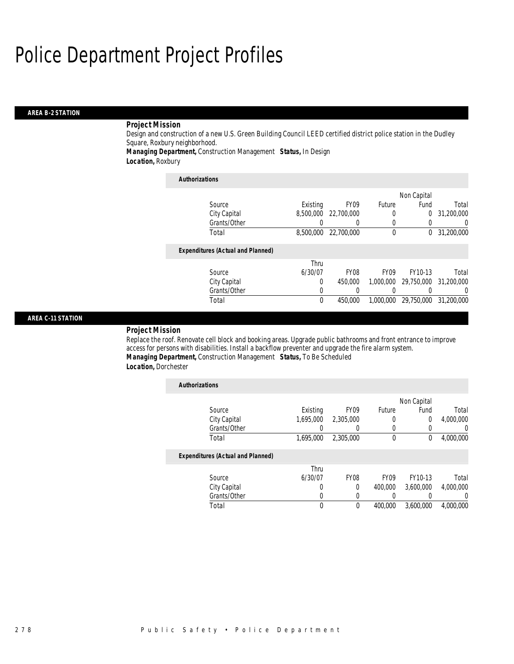#### *AREA B-2 STATION*

### *Project Mission*

Design and construction of a new U.S. Green Building Council LEED certified district police station in the Dudley Square, Roxbury neighborhood.

*Managing Department,* Construction Management *Status,* In Design

*Location,* Roxbury

| <b>Authorizations</b>                    |           |                  |             |             |            |
|------------------------------------------|-----------|------------------|-------------|-------------|------------|
|                                          |           |                  |             | Non Capital |            |
| Source                                   | Existing  | FY <sub>09</sub> | Future      | Fund        | Total      |
| City Capital                             | 8,500,000 | 22,700,000       | 0           | 0           | 31,200,000 |
| Grants/Other                             |           | 0                | 0           | 0           | 0          |
| Total                                    | 8,500,000 | 22,700,000       | $\theta$    | $^{0}$      | 31,200,000 |
| <b>Expenditures (Actual and Planned)</b> |           |                  |             |             |            |
|                                          | Thru      |                  |             |             |            |
| Source                                   | 6/30/07   | <b>FY08</b>      | <b>FY09</b> | FY10-13     | Total      |
| City Capital                             | 0         | 450,000          | 1,000,000   | 29.750.000  | 31,200,000 |
| Grants/Other                             | 0         |                  |             |             | $\Omega$   |
| Total                                    | 0         | 450.000          | 1.000.000   | 29.750.000  | 31,200,000 |

#### *AREA C-11 STATION*

#### *Project Mission*

Replace the roof. Renovate cell block and booking areas. Upgrade public bathrooms and front entrance to improve access for persons with disabilities. Install a backflow preventer and upgrade the fire alarm system. *Managing Department,* Construction Management *Status,* To Be Scheduled *Location,* Dorchester

| <b>Authorizations</b>                    |           |             |             |             |           |
|------------------------------------------|-----------|-------------|-------------|-------------|-----------|
|                                          |           |             |             | Non Capital |           |
| Source                                   | Existing  | <b>FY09</b> | Future      | Fund        | Total     |
| City Capital                             | 1.695.000 | 2,305,000   |             | 0           | 4,000,000 |
| Grants/Other                             |           | 0           |             | 0           | 0         |
| Total                                    | 1.695.000 | 2.305.000   | $\theta$    | $\Omega$    | 4,000,000 |
| <b>Expenditures (Actual and Planned)</b> |           |             |             |             |           |
|                                          | Thru      |             |             |             |           |
| Source                                   | 6/30/07   | <b>FY08</b> | <b>FY09</b> | FY10-13     | Total     |
| City Capital                             | 0         | 0           | 400,000     | 3,600,000   | 4,000,000 |
| Grants/Other                             | O         | 0           |             |             | 0         |
| Total                                    | 0         | 0           | 400.000     | 3.600.000   | 4,000,000 |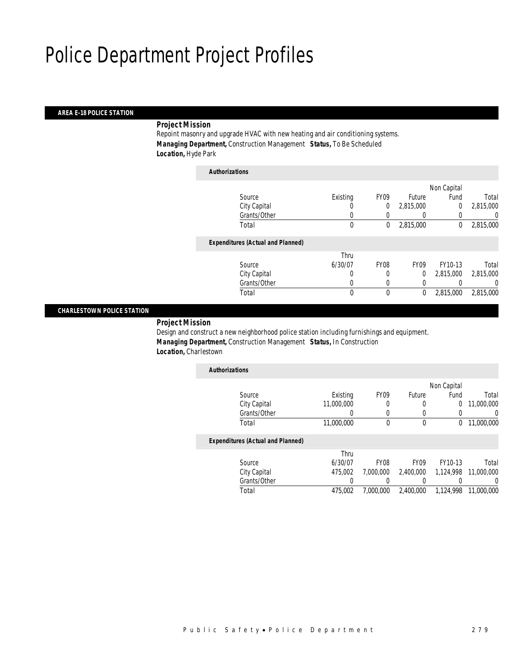### *AREA E-18 POLICE STATION*

### *Project Mission*

Repoint masonry and upgrade HVAC with new heating and air conditioning systems. *Managing Department,* Construction Management *Status,* To Be Scheduled *Location,* Hyde Park

| <b>Authorizations</b>                    |          |                  |                  |             |           |
|------------------------------------------|----------|------------------|------------------|-------------|-----------|
|                                          |          |                  |                  | Non Capital |           |
| Source                                   | Existing | FY <sub>09</sub> | Future           | Fund        | Total     |
| City Capital                             | 0        | 0                | 2,815,000        | $\mathbf 0$ | 2,815,000 |
| Grants/Other                             | 0        |                  |                  | 0           | 0         |
| Total                                    | 0        | 0                | 2,815,000        | 0           | 2,815,000 |
| <b>Expenditures (Actual and Planned)</b> |          |                  |                  |             |           |
|                                          | Thru     |                  |                  |             |           |
| Source                                   | 6/30/07  | FY <sub>08</sub> | FY <sub>09</sub> | FY10-13     | Total     |
| City Capital                             | 0        | 0                | 0                | 2.815,000   | 2,815,000 |
| Grants/Other                             | 0        | $\Omega$         | 0                |             | 0         |
| Total                                    | 0        | $\theta$         | 0                | 2,815,000   | 2,815,000 |
|                                          |          |                  |                  |             |           |

#### *CHARLESTOWN POLICE STATION*

*Project Mission* 

Design and construct a new neighborhood police station including furnishings and equipment. *Managing Department,* Construction Management *Status,* In Construction *Location,* Charlestown

| <b>Authorizations</b>             |            |                  |        |             |            |
|-----------------------------------|------------|------------------|--------|-------------|------------|
|                                   |            |                  |        | Non Capital |            |
| Source                            | Existing   | FY <sub>09</sub> | Future | Fund        | Total      |
| City Capital                      | 11,000,000 | 0                | 0      | 0           | 11,000,000 |
| Grants/Other                      |            |                  |        |             |            |
| Total                             | 11,000,000 |                  | 0      |             | 11,000,000 |
| Expenditures (Actual and Planned) |            |                  |        |             |            |

#### *Expenditures (Actual and Planned)*

|              | Thru    |           |                                  |         |       |
|--------------|---------|-----------|----------------------------------|---------|-------|
| Source       | 6/30/07 | FY08      | FY <sub>09</sub>                 | FY10-13 | Total |
| City Capital | 475.002 | 7.000.000 |                                  |         |       |
| Grants/Other |         |           |                                  |         |       |
| Total        | 475.002 | 7,000,000 | 2,400,000  1,124,998  11,000,000 |         |       |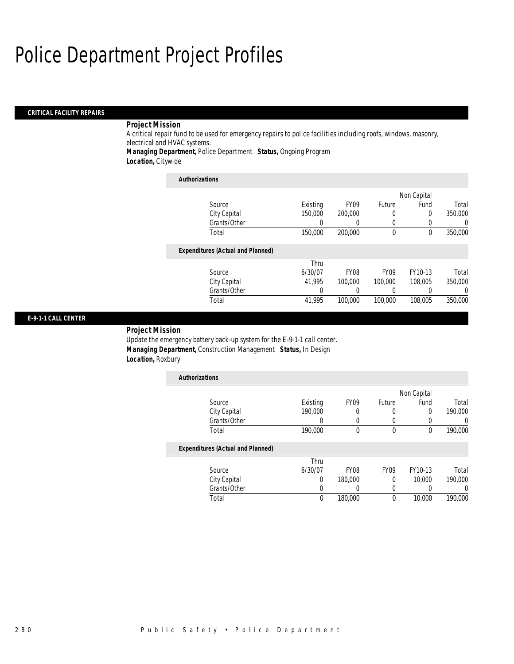### *CRITICAL FACILITY REPAIRS*

### *Project Mission*

A critical repair fund to be used for emergency repairs to police facilities including roofs, windows, masonry, electrical and HVAC systems.

*Managing Department,* Police Department *Status,* Ongoing Program

*Location,* Citywide

| <b>Authorizations</b>                    |          |                  |                  |             |         |
|------------------------------------------|----------|------------------|------------------|-------------|---------|
|                                          |          |                  |                  | Non Capital |         |
| Source                                   | Existing | <b>FY09</b>      | Future           | Fund        | Total   |
| City Capital                             | 150,000  | 200,000          | 0                | $\Omega$    | 350,000 |
| Grants/Other                             | 0        |                  | 0                | 0           | 0       |
| Total                                    | 150,000  | 200,000          | $\theta$         | $\theta$    | 350,000 |
| <b>Expenditures (Actual and Planned)</b> |          |                  |                  |             |         |
|                                          | Thru     |                  |                  |             |         |
| Source                                   | 6/30/07  | FY <sub>08</sub> | FY <sub>09</sub> | FY10-13     | Total   |
| City Capital                             | 41.995   | 100,000          | 100,000          | 108,005     | 350,000 |
| Grants/Other                             | 0        |                  |                  | 0           | 0       |
| Total                                    | 41.995   | 100,000          | 100,000          | 108,005     | 350,000 |

### *E-9-1-1 CALL CENTER*

*Project Mission* 

Update the emergency battery back-up system for the E-9-1-1 call center. *Managing Department,* Construction Management *Status,* In Design *Location,* Roxbury

| <b>Authorizations</b>                    |          |                  |             |             |         |
|------------------------------------------|----------|------------------|-------------|-------------|---------|
|                                          |          |                  |             | Non Capital |         |
| Source                                   | Existing | FY <sub>09</sub> | Future      | Fund        | Total   |
| City Capital                             | 190,000  | 0                | 0           | $\Omega$    | 190,000 |
| Grants/Other                             | O        | 0                | 0           | 0           | 0       |
| Total                                    | 190,000  | $\theta$         | $\mathbf 0$ | 0           | 190,000 |
| <b>Expenditures (Actual and Planned)</b> |          |                  |             |             |         |
|                                          | Thru     |                  |             |             |         |
| Source                                   | 6/30/07  | FY <sub>08</sub> | <b>FY09</b> | FY10-13     | Total   |
| City Capital                             | 0        | 180,000          | 0           | 10,000      | 190,000 |
| Grants/Other                             | 0        |                  | 0           | 0           |         |
| Total                                    | $\theta$ | 180,000          | 0           | 10,000      | 190,000 |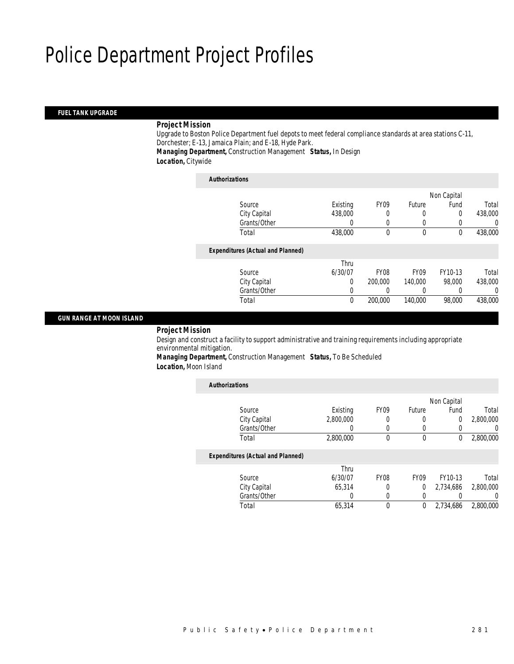#### *FUEL TANK UPGRADE*

### *Project Mission*

Upgrade to Boston Police Department fuel depots to meet federal compliance standards at area stations C-11, Dorchester; E-13, Jamaica Plain; and E-18, Hyde Park. *Managing Department,* Construction Management *Status,* In Design

*Location,* Citywide

| <b>Authorizations</b>                    |          |                  |             |             |          |
|------------------------------------------|----------|------------------|-------------|-------------|----------|
|                                          |          |                  |             | Non Capital |          |
| Source                                   | Existing | FY <sub>09</sub> | Future      | Fund        | Total    |
| City Capital                             | 438,000  | 0                | 0           | 0           | 438,000  |
| Grants/Other                             | 0        | $\left($         | 0           | 0           | 0        |
| Total                                    | 438,000  | 0                | $\theta$    | $^{0}$      | 438,000  |
| <b>Expenditures (Actual and Planned)</b> |          |                  |             |             |          |
|                                          | Thru     |                  |             |             |          |
| Source                                   | 6/30/07  | FY <sub>08</sub> | <b>FY09</b> | FY10-13     | Total    |
| City Capital                             | 0        | 200,000          | 140,000     | 98,000      | 438,000  |
| Grants/Other                             | 0        |                  | 0           |             | $\Omega$ |
| Total                                    | 0        | 200,000          | 140,000     | 98,000      | 438,000  |

### *GUN RANGE AT MOON ISLAND*

*Project Mission* 

Design and construct a facility to support administrative and training requirements including appropriate environmental mitigation.

*Managing Department,* Construction Management *Status,* To Be Scheduled *Location,* Moon Island

| <b>Authorizations</b>                    |                  |                  |                  |             |                  |
|------------------------------------------|------------------|------------------|------------------|-------------|------------------|
|                                          |                  |                  |                  | Non Capital |                  |
| Source                                   | Existing         | FY <sub>09</sub> | Future           | Fund        | Total            |
| City Capital                             | 2,800,000        | 0                | 0                | 0           | 2,800,000        |
| Grants/Other                             |                  | $\Omega$         | $\left($         | $\Omega$    | $\left( \right)$ |
| Total                                    | 2,800,000        | $\theta$         | $\mathbf 0$      | 0           | 2,800,000        |
| <b>Expenditures (Actual and Planned)</b> |                  |                  |                  |             |                  |
|                                          | Thru             |                  |                  |             |                  |
| Source                                   | 6/30/07          | FY <sub>08</sub> | FY <sub>09</sub> | FY10-13     | Total            |
| City Capital                             | 65,314           | $\Omega$         | 0                | 2,734,686   | 2,800,000        |
| Grants/Other                             | $\left( \right)$ | $\Omega$         | $\left($         |             | 0                |
| Total                                    | 65,314           | $\theta$         | 0                | 2,734,686   | 2,800,000        |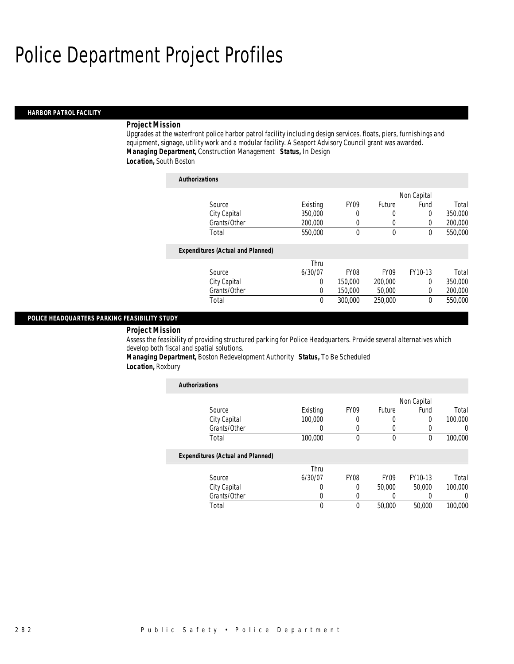#### *HARBOR PATROL FACILITY*

#### *Project Mission*

Upgrades at the waterfront police harbor patrol facility including design services, floats, piers, furnishings and equipment, signage, utility work and a modular facility. A Seaport Advisory Council grant was awarded. *Managing Department,* Construction Management *Status,* In Design

### *Location,* South Boston

| <b>Authorizations</b>                    |          |                  |                  |             |         |
|------------------------------------------|----------|------------------|------------------|-------------|---------|
|                                          |          |                  |                  | Non Capital |         |
| Source                                   | Existing | <b>FY09</b>      | Future           | Fund        | Total   |
| City Capital                             | 350,000  | 0                | 0                | 0           | 350,000 |
| Grants/Other                             | 200,000  | 0                | 0                | 0           | 200,000 |
| Total                                    | 550,000  | $\theta$         | $\theta$         | $\theta$    | 550,000 |
| <b>Expenditures (Actual and Planned)</b> |          |                  |                  |             |         |
|                                          | Thru     |                  |                  |             |         |
| Source                                   | 6/30/07  | FY <sub>08</sub> | FY <sub>09</sub> | FY10-13     | Total   |
| City Capital                             | 0        | 150,000          | 200,000          | 0           | 350,000 |
| Grants/Other                             | 0        | 150,000          | 50,000           | $\Omega$    | 200,000 |
| Total                                    | 0        | 300,000          | 250,000          | 0           | 550,000 |

#### *POLICE HEADQUARTERS PARKING FEASIBILITY STUDY*

#### *Project Mission*

Assess the feasibility of providing structured parking for Police Headquarters. Provide several alternatives which develop both fiscal and spatial solutions.

*Managing Department,* Boston Redevelopment Authority *Status,* To Be Scheduled

### *Location,* Roxbury

| <b>Authorizations</b>                    |          |             |             |             |                  |
|------------------------------------------|----------|-------------|-------------|-------------|------------------|
|                                          |          |             |             | Non Capital |                  |
| Source                                   | Existing | <b>FY09</b> | Future      | Fund        | Total            |
| City Capital                             | 100,000  | 0           |             | $\Omega$    | 100,000          |
| Grants/Other                             | 0        | 0           |             |             | $\left( \right)$ |
| Total                                    | 100,000  | $\theta$    | $\theta$    | $\theta$    | 100,000          |
| <b>Expenditures (Actual and Planned)</b> |          |             |             |             |                  |
|                                          | Thru     |             |             |             |                  |
| Source                                   | 6/30/07  | <b>FY08</b> | <b>FY09</b> | FY10-13     | Total            |
| City Capital                             | 0        | 0           | 50,000      | 50,000      | 100,000          |
| Grants/Other                             | U        | 0           |             |             | 0                |
| Total                                    | 0        | $\Omega$    | 50,000      | 50,000      | 100,000          |